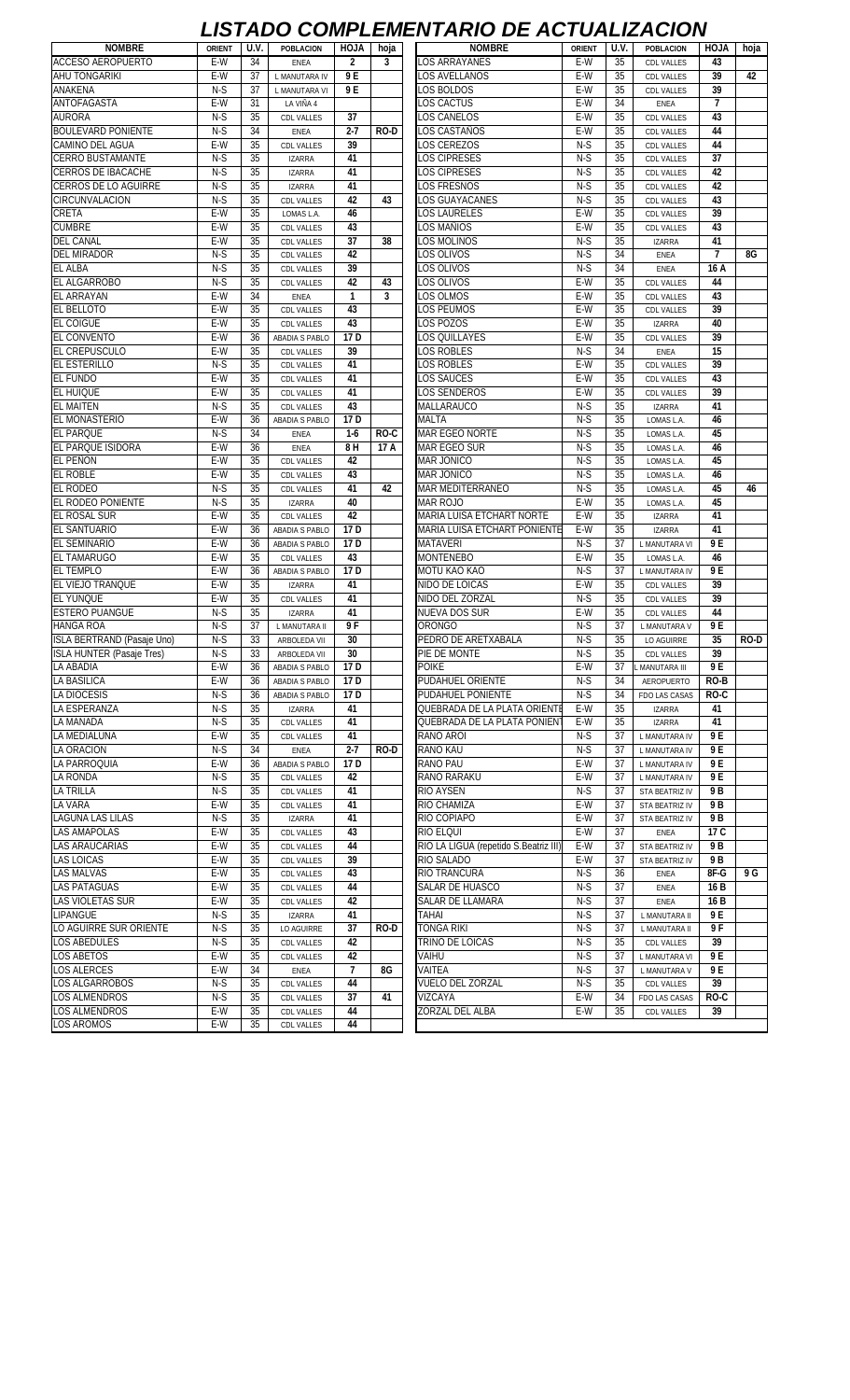## *LISTADO COMPLEMENTARIO DE ACTUALIZACION*

| <b>ACCESO AEROPUERTO</b><br>E-W<br>34<br>$\overline{2}$<br>3<br><b>LOS ARRAYANES</b><br>E-W<br>35<br>43<br><b>ENEA</b><br><b>CDL VALLES</b><br>E-W<br>9E<br>E-W<br><b>AHU TONGARIKI</b><br>37<br>LOS AVELLANOS<br>35<br>39<br>42<br>L MANUTARA IV<br><b>CDL VALLES</b><br>ANAKENA<br>N-S<br>37<br>9 E<br>LOS BOLDOS<br>E-W<br>35<br>39<br>L MANUTARA VI<br><b>CDL VALLES</b><br>ANTOFAGASTA<br>E-W<br>E-W<br>34<br>$\overline{1}$<br>31<br>LOS CACTUS<br>LA VIÑA 4<br>ENEA<br><b>AURORA</b><br>$N-S$<br>E-W<br>35<br>37<br>LOS CANELOS<br>35<br>43<br><b>CDL VALLES</b><br><b>CDL VALLES</b><br>$N-S$<br>35<br><b>BOULEVARD PONIENTE</b><br>34<br>$2 - 7$<br>LOS CASTAÑOS<br>E-W<br>44<br><b>RO-D</b><br><b>CDL VALLES</b><br><b>ENEA</b><br>E-W<br>$N-S$<br>CAMINO DEL AGUA<br>35<br>39<br>LOS CEREZOS<br>35<br>44<br><b>CDL VALLES</b><br><b>CDL VALLES</b><br>$N-S$<br>$N-S$<br>35<br>41<br><b>LOS CIPRESES</b><br>35<br>37<br><b>IZARRA</b><br><b>CDL VALLES</b><br>$N-S$<br>$N-S$<br>35<br><b>OS CIPRESES</b><br>35<br>42<br>41<br><b>CDL VALLES</b><br><b>IZARRA</b><br>$N-S$<br>$N-S$<br>35<br>CERROS DE LO AGUIRRE<br>35<br>41<br><b>OS FRESNOS</b><br>42<br><b>IZARRA</b><br><b>CDL VALLES</b><br>$N-S$<br>$N-S$<br>35<br>42<br>LOS GUAYACANES<br>35<br>43<br><b>CDL VALLES</b><br>43<br><b>CDL VALLES</b><br>$E-W$<br>$E-W$<br>CRETA<br>35<br><b>OS LAURELES</b><br>35<br>39<br>46<br>LOMAS L.A.<br><b>CDL VALLES</b><br><b>CUMBRE</b><br>E-W<br>35<br>LOS MAÑIOS<br>E-W<br>35<br>43<br>43<br><b>CDL VALLES</b><br><b>CDL VALLES</b><br><b>DEL CANAL</b><br>E-W<br>35<br>37<br>LOS MOLINOS<br>$N-S$<br>35<br>41<br>38<br><b>CDL VALLES</b><br><b>IZARRA</b><br>$N-S$<br>$N-S$<br><b>DEL MIRADOR</b><br>35<br>42<br>LOS OLIVOS<br>34<br>$\overline{1}$<br>8G<br><b>CDL VALLES</b><br>ENEA<br>$N-S$<br>$N-S$<br>34<br><b>EL ALBA</b><br>35<br>39<br>LOS OLIVOS<br>16 A<br><b>ENEA</b><br><b>CDL VALLES</b><br><b>EL ALGARROBO</b><br>$N-S$<br>LOS OLIVOS<br>$E-W$<br>35<br>35<br>42<br>43<br>44<br><b>CDL VALLES</b><br><b>CDL VALLES</b><br>E-W<br>E-W<br><b>EL ARRAYAN</b><br>34<br>3<br>LOS OLMOS<br>35<br>43<br><b>ENEA</b><br>1<br><b>CDL VALLES</b><br>E-W<br>35<br>43<br>E-W<br>35<br>39<br><b>EL BELLOTO</b><br>LOS PEUMOS<br><b>CDL VALLES</b><br><b>CDL VALLES</b><br>43<br>$E-W$<br><b>EL COIGUE</b><br>E-W<br>35<br>LOS POZOS<br>35<br>40<br><b>CDL VALLES</b><br><b>IZARRA</b><br><b>EL CONVENTO</b><br>E-W<br>36<br>17 D<br><b>OS QUILLAYES</b><br>E-W<br>35<br>39<br><b>CDL VALLES</b><br>ABADIA S PABLO<br>E-W<br><b>LOS ROBLES</b><br>$N-S$<br><b>EL CREPUSCULO</b><br>35<br>39<br>34<br>15<br><b>ENEA</b><br><b>CDL VALLES</b><br><b>EL ESTERILLO</b><br>N-S<br>35<br>41<br>LOS ROBLES<br>E-W<br>35<br>39<br><b>CDL VALLES</b><br>CDL VALLES<br>E-W<br>E-W<br>35<br>41<br>LOS SAUCES<br>35<br>43<br><b>CDL VALLES</b><br><b>CDL VALLES</b><br>E-W<br>E-W<br>35<br>41<br>LOS SENDEROS<br>35<br>39<br><b>CDL VALLES</b><br><b>CDL VALLES</b><br>35<br>$N-S$<br>35<br>43<br>MALLARAUCO<br>$N-S$<br>41<br><b>CDL VALLES</b><br><b>IZARRA</b><br>$E-W$<br>17D<br><b>MALTA</b><br>$N-S$<br>35<br>46<br>36<br>LOMAS L.A<br>ABADIA S PABLO<br><b>EL PARQUE</b><br>$N-S$<br><b>MAR EGEO NORTE</b><br>$N-S$<br>35<br>34<br>$1-6$<br>RO-C<br>45<br><b>ENEA</b><br>LOMAS L.A.<br>E-W<br>$N-S$<br>35<br>36<br>8H<br><b>MAR EGEO SUR</b><br>46<br>17 A<br><b>ENEA</b><br>LOMAS L.A<br>$N-S$<br>35<br>E-W<br>35<br>42<br><b>MAR JONICO</b><br>45<br><b>CDL VALLES</b><br>LOMAS L.A.<br>E-W<br><b>MAR JONICO</b><br>$N-S$<br>35<br>43<br>35<br>46<br><b>CDL VALLES</b><br>LOMAS L.A.<br>$N-S$<br><b>MAR MEDITERRANEO</b><br>$N-S$<br>35<br>41<br>35<br>45<br>42<br>46<br><b>CDL VALLES</b><br>LOMAS L.A<br><b>EL RODEO PONIENTE</b><br>$N-S$<br>35<br>E-W<br>35<br>45<br>40<br><b>MAR ROJO</b><br><b>IZARRA</b><br>LOMAS L.A.<br>E-W<br>35<br>42<br>E-W<br>35<br><b>EL ROSAL SUR</b><br>MARIA LUISA ETCHART NORTE<br>41<br><b>CDL VALLES</b><br><b>IZARRA</b><br><b>EL SANTUARIO</b><br>E-W<br>17 D<br><b>MARIA LUISA ETCHART PONIENTE</b><br>E-W<br>35<br>41<br>36<br><b>IZARRA</b><br>ABADIA S PABLO<br>9E<br><b>EL SEMINARIO</b><br>E-W<br>17 <sub>D</sub><br><b>MATAVERI</b><br>$N-S$<br>37<br>36<br>ABADIA S PABLO<br>L MANUTARA VI<br>$E-W$<br>43<br><b>MONTENEBO</b><br>$E-W$<br>35<br><b>EL TAMARUGO</b><br>35<br>46<br>LOMAS L.A.<br><b>CDL VALLES</b><br>$N-S$<br><b>EL TEMPLO</b><br>E-W<br>17 D<br>MOTU KAO KAO<br>37<br>9 E<br>36<br>ABADIA S PABLO<br>L MANUTARA IV<br>E-W<br>E-W<br><b>EL VIEJO TRANQUE</b><br>35<br>41<br>NIDO DE LOICAS<br>35<br>39<br><b>IZARRA</b><br><b>CDL VALLES</b><br><b>EL YUNQUE</b><br>41<br>$N-S$<br>E-W<br>35<br>NIDO DEL ZORZAL<br>35<br>39<br><b>CDL VALLES</b><br>CDL VALLES<br>E-W<br><b>ESTERO PUANGUE</b><br>$N-S$<br>35<br>41<br><b>NUEVA DOS SUR</b><br>35<br>44<br><b>IZARRA</b><br><b>CDL VALLES</b><br>$N-S$<br>9F<br><b>ORONGO</b><br>$N-S$<br>9E<br><b>HANGA ROA</b><br>37<br>37<br>L MANUTARA II<br>L MANUTARA V<br>$N-S$<br>$N-S$<br>35<br>ISLA BERTRAND (Pasaje Uno)<br>33<br>30<br>PEDRO DE ARETXABALA<br>35<br><b>RO-D</b><br>ARBOLEDA VII<br>LO AGUIRRE<br>$N-S$<br>$N-S$<br>39<br>33<br>30<br>PIE DE MONTE<br>35<br><b>ISLA HUNTER (Pasaje Tres)</b><br>ARBOLEDA VII<br>CDL VALLES<br>E-W<br><b>LA ABADIA</b><br>$E-W$<br>36<br>17D<br><b>POIKE</b><br>37 L MANUTARA III<br>9 E<br>ABADIA S PABLO<br>E-W<br>17 D<br>PUDAHUEL ORIENTE<br>LA BASILICA<br>36<br>N-S<br>34<br>RO-B<br>ABADIA S PABLO<br><b>AEROPUERTO</b><br>$N-S$<br>$N-S$<br>17 D<br>PUDAHUEL PONIENTE<br>RO-C<br>LA DIOCESIS<br>36<br>34<br>ABADIA S PABLO<br>FDO LAS CASAS<br>$N-S$<br><b>LA ESPERANZA</b><br>35<br>QUEBRADA DE LA PLATA ORIENTI<br>E-W<br>35<br>41<br>41<br><b>IZARRA</b><br><b>IZARRA</b><br>N-S<br>E-W<br>35<br>35<br>41<br>QUEBRADA DE LA PLATA PONIENT<br>41<br><b>CDL VALLES</b><br><b>IZARRA</b><br>9E<br>E-W<br>35<br>41<br>$N-S$<br>37<br>RANO AROI<br>CDL VALLES<br>L MANUTARA IV<br>$N-S$<br>34<br>$2 - 7$<br>RANO KAU<br>N-S<br>9 E<br>RO-D<br>37<br>L MANUTARA IV<br>ENEA<br>$E-W$<br>17 D<br>RANO PAU<br>E-W<br>37<br>9 E<br>36<br>ABADIA S PABLO<br>L MANUTARA IV<br>$N-S$<br>E-W<br>35<br><b>RANO RARAKU</b><br>37<br>9 E<br>42<br>CDL VALLES<br>L MANUTARA IV<br>$N-S$<br>35<br><b>RIO AYSEN</b><br>N-S<br>9 B<br>41<br>37<br><b>CDL VALLES</b><br>STA BEATRIZ IV<br>E-W<br>E-W<br>9 B<br>35<br>41<br>RIO CHAMIZA<br>37<br><b>CDL VALLES</b><br>STA BEATRIZ IV<br>$N-S$<br>RIO COPIAPO<br>E-W<br>37<br>9 B<br>35<br>41<br><b>IZARRA</b><br>STA BEATRIZ IV<br><b>RIO ELQUI</b><br>E-W<br>E-W<br>17 C<br>35<br>43<br>37<br>CDL VALLES<br>ENEA<br><b>LAS ARAUCARIAS</b><br>E-W<br>RIO LA LIGUA (repetido S.Beatriz III)<br>E-W<br>9 B<br>35<br>44<br>37<br><b>CDL VALLES</b><br>STA BEATRIZ IV<br><b>LAS LOICAS</b><br>E-W<br>35<br>39<br>RIO SALADO<br>E-W<br>37<br>9 B<br><b>CDL VALLES</b><br>STA BEATRIZ IV<br><b>LAS MALVAS</b><br>E-W<br>35<br>RIO TRANCURA<br>$N-S$<br>36<br>8F-G<br>9 G<br>43<br>CDL VALLES<br>ENEA<br><b>LAS PATAGUAS</b><br>E-W<br>SALAR DE HUASCO<br>N-S<br>37<br>16 B<br>35<br>44<br>CDL VALLES<br>ENEA<br>LAS VIOLETAS SUR<br>E-W<br>35<br>SALAR DE LLAMARA<br>$N-S$<br>37<br>16 B<br>42<br><b>CDL VALLES</b><br>ENEA<br><b>LIPANGUE</b><br>$N-S$<br>35<br>TAHAI<br>$N-S$<br>37<br>9 E<br>41<br><b>IZARRA</b><br>L MANUTARA II<br>$N-S$<br><b>TONGA RIKI</b><br>$N-S$<br>LO AGUIRRE SUR ORIENTE<br>9 F<br>35<br>37<br><b>RO-D</b><br>37<br>LO AGUIRRE<br>L MANUTARA II<br>TRINO DE LOICAS<br><b>LOS ABEDULES</b><br>N-S<br>35<br>$N-S$<br>35<br>42<br>39<br><b>CDL VALLES</b><br>CDL VALLES<br>LOS ABETOS<br>E-W<br>VAIHU<br>$N-S$<br>9 E<br>35<br>42<br>37<br>L MANUTARA VI<br>CDL VALLES<br>$N-S$<br><b>LOS ALERCES</b><br>E-W<br>34<br>8G<br>VAITEA<br>37<br>9 E<br>7<br>ENEA<br>L MANUTARA V<br>$N-S$<br>44<br>VUELO DEL ZORZAL<br>N-S<br>35<br>39<br>35<br>CDL VALLES<br>CDL VALLES<br>LOS ALMENDROS<br>N-S<br>35<br>VIZCAYA<br>E-W<br>37<br>41<br>34<br>RO-C<br><b>CDL VALLES</b><br>FDO LAS CASAS<br>LOS ALMENDROS<br>E-W<br>35<br>ZORZAL DEL ALBA<br>E-W<br>35<br>39<br>44<br>CDL VALLES<br>CDL VALLES<br>E-W<br>35<br><b>CDL VALLES</b><br>44 | <b>NOMBRE</b>             | <b>ORIENT</b> | U.V. | <b>POBLACION</b> | HOJA | hoja | <b>NOMBRE</b> | <b>ORIENT</b> | U.V. | <b>POBLACION</b> | HOJA | hoja |
|--------------------------------------------------------------------------------------------------------------------------------------------------------------------------------------------------------------------------------------------------------------------------------------------------------------------------------------------------------------------------------------------------------------------------------------------------------------------------------------------------------------------------------------------------------------------------------------------------------------------------------------------------------------------------------------------------------------------------------------------------------------------------------------------------------------------------------------------------------------------------------------------------------------------------------------------------------------------------------------------------------------------------------------------------------------------------------------------------------------------------------------------------------------------------------------------------------------------------------------------------------------------------------------------------------------------------------------------------------------------------------------------------------------------------------------------------------------------------------------------------------------------------------------------------------------------------------------------------------------------------------------------------------------------------------------------------------------------------------------------------------------------------------------------------------------------------------------------------------------------------------------------------------------------------------------------------------------------------------------------------------------------------------------------------------------------------------------------------------------------------------------------------------------------------------------------------------------------------------------------------------------------------------------------------------------------------------------------------------------------------------------------------------------------------------------------------------------------------------------------------------------------------------------------------------------------------------------------------------------------------------------------------------------------------------------------------------------------------------------------------------------------------------------------------------------------------------------------------------------------------------------------------------------------------------------------------------------------------------------------------------------------------------------------------------------------------------------------------------------------------------------------------------------------------------------------------------------------------------------------------------------------------------------------------------------------------------------------------------------------------------------------------------------------------------------------------------------------------------------------------------------------------------------------------------------------------------------------------------------------------------------------------------------------------------------------------------------------------------------------------------------------------------------------------------------------------------------------------------------------------------------------------------------------------------------------------------------------------------------------------------------------------------------------------------------------------------------------------------------------------------------------------------------------------------------------------------------------------------------------------------------------------------------------------------------------------------------------------------------------------------------------------------------------------------------------------------------------------------------------------------------------------------------------------------------------------------------------------------------------------------------------------------------------------------------------------------------------------------------------------------------------------------------------------------------------------------------------------------------------------------------------------------------------------------------------------------------------------------------------------------------------------------------------------------------------------------------------------------------------------------------------------------------------------------------------------------------------------------------------------------------------------------------------------------------------------------------------------------------------------------------------------------------------------------------------------------------------------------------------------------------------------------------------------------------------------------------------------------------------------------------------------------------------------------------------------------------------------------------------------------------------------------------------------------------------------------------------------------------------------------------------------------------------------------------------------------------------------------------------------------------------------------------------------------------------------------------------------------------------------------------------------------------------------------------------------------------------------------------------------------------------------------------------------------------------------------------------------------------------------------------------------------------------------------------------------------------------------------------------------------------------------------------------------------------------------------------------------------------------------------------------------------------------------------------------------------------------------------------------------------------------------------------------------------------------------------------------------------------------------------------------------------------------------------------------------------------------------------------------------------------------------------------------------------------------------------------------------------------------------------------------------------------------------------------------------------------------------------------------------------------------------------------------------------------------------------------------------------------------------------------------------------------------------------------------------------------------------------------------------------------------------------------------------------------------------------------------------------------------------------------------------------------------------------------------------------------------------------------------------------------------------------------------------------------------------------------------------------------------------------------------------------------------------------------------------------------------------------------------------------------------------------------------------------------------------------------------------------------------------------------------------------------|---------------------------|---------------|------|------------------|------|------|---------------|---------------|------|------------------|------|------|
|                                                                                                                                                                                                                                                                                                                                                                                                                                                                                                                                                                                                                                                                                                                                                                                                                                                                                                                                                                                                                                                                                                                                                                                                                                                                                                                                                                                                                                                                                                                                                                                                                                                                                                                                                                                                                                                                                                                                                                                                                                                                                                                                                                                                                                                                                                                                                                                                                                                                                                                                                                                                                                                                                                                                                                                                                                                                                                                                                                                                                                                                                                                                                                                                                                                                                                                                                                                                                                                                                                                                                                                                                                                                                                                                                                                                                                                                                                                                                                                                                                                                                                                                                                                                                                                                                                                                                                                                                                                                                                                                                                                                                                                                                                                                                                                                                                                                                                                                                                                                                                                                                                                                                                                                                                                                                                                                                                                                                                                                                                                                                                                                                                                                                                                                                                                                                                                                                                                                                                                                                                                                                                                                                                                                                                                                                                                                                                                                                                                                                                                                                                                                                                                                                                                                                                                                                                                                                                                                                                                                                                                                                                                                                                                                                                                                                                                                                                                                                                                                                                                                                                                                                                                                                                                                                                                                                                                                                                                                                                                                                                                                                                                                                              |                           |               |      |                  |      |      |               |               |      |                  |      |      |
|                                                                                                                                                                                                                                                                                                                                                                                                                                                                                                                                                                                                                                                                                                                                                                                                                                                                                                                                                                                                                                                                                                                                                                                                                                                                                                                                                                                                                                                                                                                                                                                                                                                                                                                                                                                                                                                                                                                                                                                                                                                                                                                                                                                                                                                                                                                                                                                                                                                                                                                                                                                                                                                                                                                                                                                                                                                                                                                                                                                                                                                                                                                                                                                                                                                                                                                                                                                                                                                                                                                                                                                                                                                                                                                                                                                                                                                                                                                                                                                                                                                                                                                                                                                                                                                                                                                                                                                                                                                                                                                                                                                                                                                                                                                                                                                                                                                                                                                                                                                                                                                                                                                                                                                                                                                                                                                                                                                                                                                                                                                                                                                                                                                                                                                                                                                                                                                                                                                                                                                                                                                                                                                                                                                                                                                                                                                                                                                                                                                                                                                                                                                                                                                                                                                                                                                                                                                                                                                                                                                                                                                                                                                                                                                                                                                                                                                                                                                                                                                                                                                                                                                                                                                                                                                                                                                                                                                                                                                                                                                                                                                                                                                                                              |                           |               |      |                  |      |      |               |               |      |                  |      |      |
|                                                                                                                                                                                                                                                                                                                                                                                                                                                                                                                                                                                                                                                                                                                                                                                                                                                                                                                                                                                                                                                                                                                                                                                                                                                                                                                                                                                                                                                                                                                                                                                                                                                                                                                                                                                                                                                                                                                                                                                                                                                                                                                                                                                                                                                                                                                                                                                                                                                                                                                                                                                                                                                                                                                                                                                                                                                                                                                                                                                                                                                                                                                                                                                                                                                                                                                                                                                                                                                                                                                                                                                                                                                                                                                                                                                                                                                                                                                                                                                                                                                                                                                                                                                                                                                                                                                                                                                                                                                                                                                                                                                                                                                                                                                                                                                                                                                                                                                                                                                                                                                                                                                                                                                                                                                                                                                                                                                                                                                                                                                                                                                                                                                                                                                                                                                                                                                                                                                                                                                                                                                                                                                                                                                                                                                                                                                                                                                                                                                                                                                                                                                                                                                                                                                                                                                                                                                                                                                                                                                                                                                                                                                                                                                                                                                                                                                                                                                                                                                                                                                                                                                                                                                                                                                                                                                                                                                                                                                                                                                                                                                                                                                                                              |                           |               |      |                  |      |      |               |               |      |                  |      |      |
|                                                                                                                                                                                                                                                                                                                                                                                                                                                                                                                                                                                                                                                                                                                                                                                                                                                                                                                                                                                                                                                                                                                                                                                                                                                                                                                                                                                                                                                                                                                                                                                                                                                                                                                                                                                                                                                                                                                                                                                                                                                                                                                                                                                                                                                                                                                                                                                                                                                                                                                                                                                                                                                                                                                                                                                                                                                                                                                                                                                                                                                                                                                                                                                                                                                                                                                                                                                                                                                                                                                                                                                                                                                                                                                                                                                                                                                                                                                                                                                                                                                                                                                                                                                                                                                                                                                                                                                                                                                                                                                                                                                                                                                                                                                                                                                                                                                                                                                                                                                                                                                                                                                                                                                                                                                                                                                                                                                                                                                                                                                                                                                                                                                                                                                                                                                                                                                                                                                                                                                                                                                                                                                                                                                                                                                                                                                                                                                                                                                                                                                                                                                                                                                                                                                                                                                                                                                                                                                                                                                                                                                                                                                                                                                                                                                                                                                                                                                                                                                                                                                                                                                                                                                                                                                                                                                                                                                                                                                                                                                                                                                                                                                                                              |                           |               |      |                  |      |      |               |               |      |                  |      |      |
|                                                                                                                                                                                                                                                                                                                                                                                                                                                                                                                                                                                                                                                                                                                                                                                                                                                                                                                                                                                                                                                                                                                                                                                                                                                                                                                                                                                                                                                                                                                                                                                                                                                                                                                                                                                                                                                                                                                                                                                                                                                                                                                                                                                                                                                                                                                                                                                                                                                                                                                                                                                                                                                                                                                                                                                                                                                                                                                                                                                                                                                                                                                                                                                                                                                                                                                                                                                                                                                                                                                                                                                                                                                                                                                                                                                                                                                                                                                                                                                                                                                                                                                                                                                                                                                                                                                                                                                                                                                                                                                                                                                                                                                                                                                                                                                                                                                                                                                                                                                                                                                                                                                                                                                                                                                                                                                                                                                                                                                                                                                                                                                                                                                                                                                                                                                                                                                                                                                                                                                                                                                                                                                                                                                                                                                                                                                                                                                                                                                                                                                                                                                                                                                                                                                                                                                                                                                                                                                                                                                                                                                                                                                                                                                                                                                                                                                                                                                                                                                                                                                                                                                                                                                                                                                                                                                                                                                                                                                                                                                                                                                                                                                                                              |                           |               |      |                  |      |      |               |               |      |                  |      |      |
|                                                                                                                                                                                                                                                                                                                                                                                                                                                                                                                                                                                                                                                                                                                                                                                                                                                                                                                                                                                                                                                                                                                                                                                                                                                                                                                                                                                                                                                                                                                                                                                                                                                                                                                                                                                                                                                                                                                                                                                                                                                                                                                                                                                                                                                                                                                                                                                                                                                                                                                                                                                                                                                                                                                                                                                                                                                                                                                                                                                                                                                                                                                                                                                                                                                                                                                                                                                                                                                                                                                                                                                                                                                                                                                                                                                                                                                                                                                                                                                                                                                                                                                                                                                                                                                                                                                                                                                                                                                                                                                                                                                                                                                                                                                                                                                                                                                                                                                                                                                                                                                                                                                                                                                                                                                                                                                                                                                                                                                                                                                                                                                                                                                                                                                                                                                                                                                                                                                                                                                                                                                                                                                                                                                                                                                                                                                                                                                                                                                                                                                                                                                                                                                                                                                                                                                                                                                                                                                                                                                                                                                                                                                                                                                                                                                                                                                                                                                                                                                                                                                                                                                                                                                                                                                                                                                                                                                                                                                                                                                                                                                                                                                                                              |                           |               |      |                  |      |      |               |               |      |                  |      |      |
|                                                                                                                                                                                                                                                                                                                                                                                                                                                                                                                                                                                                                                                                                                                                                                                                                                                                                                                                                                                                                                                                                                                                                                                                                                                                                                                                                                                                                                                                                                                                                                                                                                                                                                                                                                                                                                                                                                                                                                                                                                                                                                                                                                                                                                                                                                                                                                                                                                                                                                                                                                                                                                                                                                                                                                                                                                                                                                                                                                                                                                                                                                                                                                                                                                                                                                                                                                                                                                                                                                                                                                                                                                                                                                                                                                                                                                                                                                                                                                                                                                                                                                                                                                                                                                                                                                                                                                                                                                                                                                                                                                                                                                                                                                                                                                                                                                                                                                                                                                                                                                                                                                                                                                                                                                                                                                                                                                                                                                                                                                                                                                                                                                                                                                                                                                                                                                                                                                                                                                                                                                                                                                                                                                                                                                                                                                                                                                                                                                                                                                                                                                                                                                                                                                                                                                                                                                                                                                                                                                                                                                                                                                                                                                                                                                                                                                                                                                                                                                                                                                                                                                                                                                                                                                                                                                                                                                                                                                                                                                                                                                                                                                                                                              |                           |               |      |                  |      |      |               |               |      |                  |      |      |
|                                                                                                                                                                                                                                                                                                                                                                                                                                                                                                                                                                                                                                                                                                                                                                                                                                                                                                                                                                                                                                                                                                                                                                                                                                                                                                                                                                                                                                                                                                                                                                                                                                                                                                                                                                                                                                                                                                                                                                                                                                                                                                                                                                                                                                                                                                                                                                                                                                                                                                                                                                                                                                                                                                                                                                                                                                                                                                                                                                                                                                                                                                                                                                                                                                                                                                                                                                                                                                                                                                                                                                                                                                                                                                                                                                                                                                                                                                                                                                                                                                                                                                                                                                                                                                                                                                                                                                                                                                                                                                                                                                                                                                                                                                                                                                                                                                                                                                                                                                                                                                                                                                                                                                                                                                                                                                                                                                                                                                                                                                                                                                                                                                                                                                                                                                                                                                                                                                                                                                                                                                                                                                                                                                                                                                                                                                                                                                                                                                                                                                                                                                                                                                                                                                                                                                                                                                                                                                                                                                                                                                                                                                                                                                                                                                                                                                                                                                                                                                                                                                                                                                                                                                                                                                                                                                                                                                                                                                                                                                                                                                                                                                                                                              | <b>CERRO BUSTAMANTE</b>   |               |      |                  |      |      |               |               |      |                  |      |      |
|                                                                                                                                                                                                                                                                                                                                                                                                                                                                                                                                                                                                                                                                                                                                                                                                                                                                                                                                                                                                                                                                                                                                                                                                                                                                                                                                                                                                                                                                                                                                                                                                                                                                                                                                                                                                                                                                                                                                                                                                                                                                                                                                                                                                                                                                                                                                                                                                                                                                                                                                                                                                                                                                                                                                                                                                                                                                                                                                                                                                                                                                                                                                                                                                                                                                                                                                                                                                                                                                                                                                                                                                                                                                                                                                                                                                                                                                                                                                                                                                                                                                                                                                                                                                                                                                                                                                                                                                                                                                                                                                                                                                                                                                                                                                                                                                                                                                                                                                                                                                                                                                                                                                                                                                                                                                                                                                                                                                                                                                                                                                                                                                                                                                                                                                                                                                                                                                                                                                                                                                                                                                                                                                                                                                                                                                                                                                                                                                                                                                                                                                                                                                                                                                                                                                                                                                                                                                                                                                                                                                                                                                                                                                                                                                                                                                                                                                                                                                                                                                                                                                                                                                                                                                                                                                                                                                                                                                                                                                                                                                                                                                                                                                                              | <b>CERROS DE IBACACHE</b> |               |      |                  |      |      |               |               |      |                  |      |      |
|                                                                                                                                                                                                                                                                                                                                                                                                                                                                                                                                                                                                                                                                                                                                                                                                                                                                                                                                                                                                                                                                                                                                                                                                                                                                                                                                                                                                                                                                                                                                                                                                                                                                                                                                                                                                                                                                                                                                                                                                                                                                                                                                                                                                                                                                                                                                                                                                                                                                                                                                                                                                                                                                                                                                                                                                                                                                                                                                                                                                                                                                                                                                                                                                                                                                                                                                                                                                                                                                                                                                                                                                                                                                                                                                                                                                                                                                                                                                                                                                                                                                                                                                                                                                                                                                                                                                                                                                                                                                                                                                                                                                                                                                                                                                                                                                                                                                                                                                                                                                                                                                                                                                                                                                                                                                                                                                                                                                                                                                                                                                                                                                                                                                                                                                                                                                                                                                                                                                                                                                                                                                                                                                                                                                                                                                                                                                                                                                                                                                                                                                                                                                                                                                                                                                                                                                                                                                                                                                                                                                                                                                                                                                                                                                                                                                                                                                                                                                                                                                                                                                                                                                                                                                                                                                                                                                                                                                                                                                                                                                                                                                                                                                                              |                           |               |      |                  |      |      |               |               |      |                  |      |      |
|                                                                                                                                                                                                                                                                                                                                                                                                                                                                                                                                                                                                                                                                                                                                                                                                                                                                                                                                                                                                                                                                                                                                                                                                                                                                                                                                                                                                                                                                                                                                                                                                                                                                                                                                                                                                                                                                                                                                                                                                                                                                                                                                                                                                                                                                                                                                                                                                                                                                                                                                                                                                                                                                                                                                                                                                                                                                                                                                                                                                                                                                                                                                                                                                                                                                                                                                                                                                                                                                                                                                                                                                                                                                                                                                                                                                                                                                                                                                                                                                                                                                                                                                                                                                                                                                                                                                                                                                                                                                                                                                                                                                                                                                                                                                                                                                                                                                                                                                                                                                                                                                                                                                                                                                                                                                                                                                                                                                                                                                                                                                                                                                                                                                                                                                                                                                                                                                                                                                                                                                                                                                                                                                                                                                                                                                                                                                                                                                                                                                                                                                                                                                                                                                                                                                                                                                                                                                                                                                                                                                                                                                                                                                                                                                                                                                                                                                                                                                                                                                                                                                                                                                                                                                                                                                                                                                                                                                                                                                                                                                                                                                                                                                                              | CIRCUNVALACION            |               |      |                  |      |      |               |               |      |                  |      |      |
|                                                                                                                                                                                                                                                                                                                                                                                                                                                                                                                                                                                                                                                                                                                                                                                                                                                                                                                                                                                                                                                                                                                                                                                                                                                                                                                                                                                                                                                                                                                                                                                                                                                                                                                                                                                                                                                                                                                                                                                                                                                                                                                                                                                                                                                                                                                                                                                                                                                                                                                                                                                                                                                                                                                                                                                                                                                                                                                                                                                                                                                                                                                                                                                                                                                                                                                                                                                                                                                                                                                                                                                                                                                                                                                                                                                                                                                                                                                                                                                                                                                                                                                                                                                                                                                                                                                                                                                                                                                                                                                                                                                                                                                                                                                                                                                                                                                                                                                                                                                                                                                                                                                                                                                                                                                                                                                                                                                                                                                                                                                                                                                                                                                                                                                                                                                                                                                                                                                                                                                                                                                                                                                                                                                                                                                                                                                                                                                                                                                                                                                                                                                                                                                                                                                                                                                                                                                                                                                                                                                                                                                                                                                                                                                                                                                                                                                                                                                                                                                                                                                                                                                                                                                                                                                                                                                                                                                                                                                                                                                                                                                                                                                                                              |                           |               |      |                  |      |      |               |               |      |                  |      |      |
|                                                                                                                                                                                                                                                                                                                                                                                                                                                                                                                                                                                                                                                                                                                                                                                                                                                                                                                                                                                                                                                                                                                                                                                                                                                                                                                                                                                                                                                                                                                                                                                                                                                                                                                                                                                                                                                                                                                                                                                                                                                                                                                                                                                                                                                                                                                                                                                                                                                                                                                                                                                                                                                                                                                                                                                                                                                                                                                                                                                                                                                                                                                                                                                                                                                                                                                                                                                                                                                                                                                                                                                                                                                                                                                                                                                                                                                                                                                                                                                                                                                                                                                                                                                                                                                                                                                                                                                                                                                                                                                                                                                                                                                                                                                                                                                                                                                                                                                                                                                                                                                                                                                                                                                                                                                                                                                                                                                                                                                                                                                                                                                                                                                                                                                                                                                                                                                                                                                                                                                                                                                                                                                                                                                                                                                                                                                                                                                                                                                                                                                                                                                                                                                                                                                                                                                                                                                                                                                                                                                                                                                                                                                                                                                                                                                                                                                                                                                                                                                                                                                                                                                                                                                                                                                                                                                                                                                                                                                                                                                                                                                                                                                                                              |                           |               |      |                  |      |      |               |               |      |                  |      |      |
|                                                                                                                                                                                                                                                                                                                                                                                                                                                                                                                                                                                                                                                                                                                                                                                                                                                                                                                                                                                                                                                                                                                                                                                                                                                                                                                                                                                                                                                                                                                                                                                                                                                                                                                                                                                                                                                                                                                                                                                                                                                                                                                                                                                                                                                                                                                                                                                                                                                                                                                                                                                                                                                                                                                                                                                                                                                                                                                                                                                                                                                                                                                                                                                                                                                                                                                                                                                                                                                                                                                                                                                                                                                                                                                                                                                                                                                                                                                                                                                                                                                                                                                                                                                                                                                                                                                                                                                                                                                                                                                                                                                                                                                                                                                                                                                                                                                                                                                                                                                                                                                                                                                                                                                                                                                                                                                                                                                                                                                                                                                                                                                                                                                                                                                                                                                                                                                                                                                                                                                                                                                                                                                                                                                                                                                                                                                                                                                                                                                                                                                                                                                                                                                                                                                                                                                                                                                                                                                                                                                                                                                                                                                                                                                                                                                                                                                                                                                                                                                                                                                                                                                                                                                                                                                                                                                                                                                                                                                                                                                                                                                                                                                                                              |                           |               |      |                  |      |      |               |               |      |                  |      |      |
|                                                                                                                                                                                                                                                                                                                                                                                                                                                                                                                                                                                                                                                                                                                                                                                                                                                                                                                                                                                                                                                                                                                                                                                                                                                                                                                                                                                                                                                                                                                                                                                                                                                                                                                                                                                                                                                                                                                                                                                                                                                                                                                                                                                                                                                                                                                                                                                                                                                                                                                                                                                                                                                                                                                                                                                                                                                                                                                                                                                                                                                                                                                                                                                                                                                                                                                                                                                                                                                                                                                                                                                                                                                                                                                                                                                                                                                                                                                                                                                                                                                                                                                                                                                                                                                                                                                                                                                                                                                                                                                                                                                                                                                                                                                                                                                                                                                                                                                                                                                                                                                                                                                                                                                                                                                                                                                                                                                                                                                                                                                                                                                                                                                                                                                                                                                                                                                                                                                                                                                                                                                                                                                                                                                                                                                                                                                                                                                                                                                                                                                                                                                                                                                                                                                                                                                                                                                                                                                                                                                                                                                                                                                                                                                                                                                                                                                                                                                                                                                                                                                                                                                                                                                                                                                                                                                                                                                                                                                                                                                                                                                                                                                                                              |                           |               |      |                  |      |      |               |               |      |                  |      |      |
|                                                                                                                                                                                                                                                                                                                                                                                                                                                                                                                                                                                                                                                                                                                                                                                                                                                                                                                                                                                                                                                                                                                                                                                                                                                                                                                                                                                                                                                                                                                                                                                                                                                                                                                                                                                                                                                                                                                                                                                                                                                                                                                                                                                                                                                                                                                                                                                                                                                                                                                                                                                                                                                                                                                                                                                                                                                                                                                                                                                                                                                                                                                                                                                                                                                                                                                                                                                                                                                                                                                                                                                                                                                                                                                                                                                                                                                                                                                                                                                                                                                                                                                                                                                                                                                                                                                                                                                                                                                                                                                                                                                                                                                                                                                                                                                                                                                                                                                                                                                                                                                                                                                                                                                                                                                                                                                                                                                                                                                                                                                                                                                                                                                                                                                                                                                                                                                                                                                                                                                                                                                                                                                                                                                                                                                                                                                                                                                                                                                                                                                                                                                                                                                                                                                                                                                                                                                                                                                                                                                                                                                                                                                                                                                                                                                                                                                                                                                                                                                                                                                                                                                                                                                                                                                                                                                                                                                                                                                                                                                                                                                                                                                                                              |                           |               |      |                  |      |      |               |               |      |                  |      |      |
|                                                                                                                                                                                                                                                                                                                                                                                                                                                                                                                                                                                                                                                                                                                                                                                                                                                                                                                                                                                                                                                                                                                                                                                                                                                                                                                                                                                                                                                                                                                                                                                                                                                                                                                                                                                                                                                                                                                                                                                                                                                                                                                                                                                                                                                                                                                                                                                                                                                                                                                                                                                                                                                                                                                                                                                                                                                                                                                                                                                                                                                                                                                                                                                                                                                                                                                                                                                                                                                                                                                                                                                                                                                                                                                                                                                                                                                                                                                                                                                                                                                                                                                                                                                                                                                                                                                                                                                                                                                                                                                                                                                                                                                                                                                                                                                                                                                                                                                                                                                                                                                                                                                                                                                                                                                                                                                                                                                                                                                                                                                                                                                                                                                                                                                                                                                                                                                                                                                                                                                                                                                                                                                                                                                                                                                                                                                                                                                                                                                                                                                                                                                                                                                                                                                                                                                                                                                                                                                                                                                                                                                                                                                                                                                                                                                                                                                                                                                                                                                                                                                                                                                                                                                                                                                                                                                                                                                                                                                                                                                                                                                                                                                                                              |                           |               |      |                  |      |      |               |               |      |                  |      |      |
|                                                                                                                                                                                                                                                                                                                                                                                                                                                                                                                                                                                                                                                                                                                                                                                                                                                                                                                                                                                                                                                                                                                                                                                                                                                                                                                                                                                                                                                                                                                                                                                                                                                                                                                                                                                                                                                                                                                                                                                                                                                                                                                                                                                                                                                                                                                                                                                                                                                                                                                                                                                                                                                                                                                                                                                                                                                                                                                                                                                                                                                                                                                                                                                                                                                                                                                                                                                                                                                                                                                                                                                                                                                                                                                                                                                                                                                                                                                                                                                                                                                                                                                                                                                                                                                                                                                                                                                                                                                                                                                                                                                                                                                                                                                                                                                                                                                                                                                                                                                                                                                                                                                                                                                                                                                                                                                                                                                                                                                                                                                                                                                                                                                                                                                                                                                                                                                                                                                                                                                                                                                                                                                                                                                                                                                                                                                                                                                                                                                                                                                                                                                                                                                                                                                                                                                                                                                                                                                                                                                                                                                                                                                                                                                                                                                                                                                                                                                                                                                                                                                                                                                                                                                                                                                                                                                                                                                                                                                                                                                                                                                                                                                                                              |                           |               |      |                  |      |      |               |               |      |                  |      |      |
|                                                                                                                                                                                                                                                                                                                                                                                                                                                                                                                                                                                                                                                                                                                                                                                                                                                                                                                                                                                                                                                                                                                                                                                                                                                                                                                                                                                                                                                                                                                                                                                                                                                                                                                                                                                                                                                                                                                                                                                                                                                                                                                                                                                                                                                                                                                                                                                                                                                                                                                                                                                                                                                                                                                                                                                                                                                                                                                                                                                                                                                                                                                                                                                                                                                                                                                                                                                                                                                                                                                                                                                                                                                                                                                                                                                                                                                                                                                                                                                                                                                                                                                                                                                                                                                                                                                                                                                                                                                                                                                                                                                                                                                                                                                                                                                                                                                                                                                                                                                                                                                                                                                                                                                                                                                                                                                                                                                                                                                                                                                                                                                                                                                                                                                                                                                                                                                                                                                                                                                                                                                                                                                                                                                                                                                                                                                                                                                                                                                                                                                                                                                                                                                                                                                                                                                                                                                                                                                                                                                                                                                                                                                                                                                                                                                                                                                                                                                                                                                                                                                                                                                                                                                                                                                                                                                                                                                                                                                                                                                                                                                                                                                                                              |                           |               |      |                  |      |      |               |               |      |                  |      |      |
|                                                                                                                                                                                                                                                                                                                                                                                                                                                                                                                                                                                                                                                                                                                                                                                                                                                                                                                                                                                                                                                                                                                                                                                                                                                                                                                                                                                                                                                                                                                                                                                                                                                                                                                                                                                                                                                                                                                                                                                                                                                                                                                                                                                                                                                                                                                                                                                                                                                                                                                                                                                                                                                                                                                                                                                                                                                                                                                                                                                                                                                                                                                                                                                                                                                                                                                                                                                                                                                                                                                                                                                                                                                                                                                                                                                                                                                                                                                                                                                                                                                                                                                                                                                                                                                                                                                                                                                                                                                                                                                                                                                                                                                                                                                                                                                                                                                                                                                                                                                                                                                                                                                                                                                                                                                                                                                                                                                                                                                                                                                                                                                                                                                                                                                                                                                                                                                                                                                                                                                                                                                                                                                                                                                                                                                                                                                                                                                                                                                                                                                                                                                                                                                                                                                                                                                                                                                                                                                                                                                                                                                                                                                                                                                                                                                                                                                                                                                                                                                                                                                                                                                                                                                                                                                                                                                                                                                                                                                                                                                                                                                                                                                                                              |                           |               |      |                  |      |      |               |               |      |                  |      |      |
|                                                                                                                                                                                                                                                                                                                                                                                                                                                                                                                                                                                                                                                                                                                                                                                                                                                                                                                                                                                                                                                                                                                                                                                                                                                                                                                                                                                                                                                                                                                                                                                                                                                                                                                                                                                                                                                                                                                                                                                                                                                                                                                                                                                                                                                                                                                                                                                                                                                                                                                                                                                                                                                                                                                                                                                                                                                                                                                                                                                                                                                                                                                                                                                                                                                                                                                                                                                                                                                                                                                                                                                                                                                                                                                                                                                                                                                                                                                                                                                                                                                                                                                                                                                                                                                                                                                                                                                                                                                                                                                                                                                                                                                                                                                                                                                                                                                                                                                                                                                                                                                                                                                                                                                                                                                                                                                                                                                                                                                                                                                                                                                                                                                                                                                                                                                                                                                                                                                                                                                                                                                                                                                                                                                                                                                                                                                                                                                                                                                                                                                                                                                                                                                                                                                                                                                                                                                                                                                                                                                                                                                                                                                                                                                                                                                                                                                                                                                                                                                                                                                                                                                                                                                                                                                                                                                                                                                                                                                                                                                                                                                                                                                                                              |                           |               |      |                  |      |      |               |               |      |                  |      |      |
|                                                                                                                                                                                                                                                                                                                                                                                                                                                                                                                                                                                                                                                                                                                                                                                                                                                                                                                                                                                                                                                                                                                                                                                                                                                                                                                                                                                                                                                                                                                                                                                                                                                                                                                                                                                                                                                                                                                                                                                                                                                                                                                                                                                                                                                                                                                                                                                                                                                                                                                                                                                                                                                                                                                                                                                                                                                                                                                                                                                                                                                                                                                                                                                                                                                                                                                                                                                                                                                                                                                                                                                                                                                                                                                                                                                                                                                                                                                                                                                                                                                                                                                                                                                                                                                                                                                                                                                                                                                                                                                                                                                                                                                                                                                                                                                                                                                                                                                                                                                                                                                                                                                                                                                                                                                                                                                                                                                                                                                                                                                                                                                                                                                                                                                                                                                                                                                                                                                                                                                                                                                                                                                                                                                                                                                                                                                                                                                                                                                                                                                                                                                                                                                                                                                                                                                                                                                                                                                                                                                                                                                                                                                                                                                                                                                                                                                                                                                                                                                                                                                                                                                                                                                                                                                                                                                                                                                                                                                                                                                                                                                                                                                                                              |                           |               |      |                  |      |      |               |               |      |                  |      |      |
|                                                                                                                                                                                                                                                                                                                                                                                                                                                                                                                                                                                                                                                                                                                                                                                                                                                                                                                                                                                                                                                                                                                                                                                                                                                                                                                                                                                                                                                                                                                                                                                                                                                                                                                                                                                                                                                                                                                                                                                                                                                                                                                                                                                                                                                                                                                                                                                                                                                                                                                                                                                                                                                                                                                                                                                                                                                                                                                                                                                                                                                                                                                                                                                                                                                                                                                                                                                                                                                                                                                                                                                                                                                                                                                                                                                                                                                                                                                                                                                                                                                                                                                                                                                                                                                                                                                                                                                                                                                                                                                                                                                                                                                                                                                                                                                                                                                                                                                                                                                                                                                                                                                                                                                                                                                                                                                                                                                                                                                                                                                                                                                                                                                                                                                                                                                                                                                                                                                                                                                                                                                                                                                                                                                                                                                                                                                                                                                                                                                                                                                                                                                                                                                                                                                                                                                                                                                                                                                                                                                                                                                                                                                                                                                                                                                                                                                                                                                                                                                                                                                                                                                                                                                                                                                                                                                                                                                                                                                                                                                                                                                                                                                                                              |                           |               |      |                  |      |      |               |               |      |                  |      |      |
|                                                                                                                                                                                                                                                                                                                                                                                                                                                                                                                                                                                                                                                                                                                                                                                                                                                                                                                                                                                                                                                                                                                                                                                                                                                                                                                                                                                                                                                                                                                                                                                                                                                                                                                                                                                                                                                                                                                                                                                                                                                                                                                                                                                                                                                                                                                                                                                                                                                                                                                                                                                                                                                                                                                                                                                                                                                                                                                                                                                                                                                                                                                                                                                                                                                                                                                                                                                                                                                                                                                                                                                                                                                                                                                                                                                                                                                                                                                                                                                                                                                                                                                                                                                                                                                                                                                                                                                                                                                                                                                                                                                                                                                                                                                                                                                                                                                                                                                                                                                                                                                                                                                                                                                                                                                                                                                                                                                                                                                                                                                                                                                                                                                                                                                                                                                                                                                                                                                                                                                                                                                                                                                                                                                                                                                                                                                                                                                                                                                                                                                                                                                                                                                                                                                                                                                                                                                                                                                                                                                                                                                                                                                                                                                                                                                                                                                                                                                                                                                                                                                                                                                                                                                                                                                                                                                                                                                                                                                                                                                                                                                                                                                                                              |                           |               |      |                  |      |      |               |               |      |                  |      |      |
|                                                                                                                                                                                                                                                                                                                                                                                                                                                                                                                                                                                                                                                                                                                                                                                                                                                                                                                                                                                                                                                                                                                                                                                                                                                                                                                                                                                                                                                                                                                                                                                                                                                                                                                                                                                                                                                                                                                                                                                                                                                                                                                                                                                                                                                                                                                                                                                                                                                                                                                                                                                                                                                                                                                                                                                                                                                                                                                                                                                                                                                                                                                                                                                                                                                                                                                                                                                                                                                                                                                                                                                                                                                                                                                                                                                                                                                                                                                                                                                                                                                                                                                                                                                                                                                                                                                                                                                                                                                                                                                                                                                                                                                                                                                                                                                                                                                                                                                                                                                                                                                                                                                                                                                                                                                                                                                                                                                                                                                                                                                                                                                                                                                                                                                                                                                                                                                                                                                                                                                                                                                                                                                                                                                                                                                                                                                                                                                                                                                                                                                                                                                                                                                                                                                                                                                                                                                                                                                                                                                                                                                                                                                                                                                                                                                                                                                                                                                                                                                                                                                                                                                                                                                                                                                                                                                                                                                                                                                                                                                                                                                                                                                                                              | <b>EL FUNDO</b>           |               |      |                  |      |      |               |               |      |                  |      |      |
|                                                                                                                                                                                                                                                                                                                                                                                                                                                                                                                                                                                                                                                                                                                                                                                                                                                                                                                                                                                                                                                                                                                                                                                                                                                                                                                                                                                                                                                                                                                                                                                                                                                                                                                                                                                                                                                                                                                                                                                                                                                                                                                                                                                                                                                                                                                                                                                                                                                                                                                                                                                                                                                                                                                                                                                                                                                                                                                                                                                                                                                                                                                                                                                                                                                                                                                                                                                                                                                                                                                                                                                                                                                                                                                                                                                                                                                                                                                                                                                                                                                                                                                                                                                                                                                                                                                                                                                                                                                                                                                                                                                                                                                                                                                                                                                                                                                                                                                                                                                                                                                                                                                                                                                                                                                                                                                                                                                                                                                                                                                                                                                                                                                                                                                                                                                                                                                                                                                                                                                                                                                                                                                                                                                                                                                                                                                                                                                                                                                                                                                                                                                                                                                                                                                                                                                                                                                                                                                                                                                                                                                                                                                                                                                                                                                                                                                                                                                                                                                                                                                                                                                                                                                                                                                                                                                                                                                                                                                                                                                                                                                                                                                                                              | <b>EL HUIQUE</b>          |               |      |                  |      |      |               |               |      |                  |      |      |
|                                                                                                                                                                                                                                                                                                                                                                                                                                                                                                                                                                                                                                                                                                                                                                                                                                                                                                                                                                                                                                                                                                                                                                                                                                                                                                                                                                                                                                                                                                                                                                                                                                                                                                                                                                                                                                                                                                                                                                                                                                                                                                                                                                                                                                                                                                                                                                                                                                                                                                                                                                                                                                                                                                                                                                                                                                                                                                                                                                                                                                                                                                                                                                                                                                                                                                                                                                                                                                                                                                                                                                                                                                                                                                                                                                                                                                                                                                                                                                                                                                                                                                                                                                                                                                                                                                                                                                                                                                                                                                                                                                                                                                                                                                                                                                                                                                                                                                                                                                                                                                                                                                                                                                                                                                                                                                                                                                                                                                                                                                                                                                                                                                                                                                                                                                                                                                                                                                                                                                                                                                                                                                                                                                                                                                                                                                                                                                                                                                                                                                                                                                                                                                                                                                                                                                                                                                                                                                                                                                                                                                                                                                                                                                                                                                                                                                                                                                                                                                                                                                                                                                                                                                                                                                                                                                                                                                                                                                                                                                                                                                                                                                                                                              | <b>EL MAITEN</b>          |               |      |                  |      |      |               |               |      |                  |      |      |
|                                                                                                                                                                                                                                                                                                                                                                                                                                                                                                                                                                                                                                                                                                                                                                                                                                                                                                                                                                                                                                                                                                                                                                                                                                                                                                                                                                                                                                                                                                                                                                                                                                                                                                                                                                                                                                                                                                                                                                                                                                                                                                                                                                                                                                                                                                                                                                                                                                                                                                                                                                                                                                                                                                                                                                                                                                                                                                                                                                                                                                                                                                                                                                                                                                                                                                                                                                                                                                                                                                                                                                                                                                                                                                                                                                                                                                                                                                                                                                                                                                                                                                                                                                                                                                                                                                                                                                                                                                                                                                                                                                                                                                                                                                                                                                                                                                                                                                                                                                                                                                                                                                                                                                                                                                                                                                                                                                                                                                                                                                                                                                                                                                                                                                                                                                                                                                                                                                                                                                                                                                                                                                                                                                                                                                                                                                                                                                                                                                                                                                                                                                                                                                                                                                                                                                                                                                                                                                                                                                                                                                                                                                                                                                                                                                                                                                                                                                                                                                                                                                                                                                                                                                                                                                                                                                                                                                                                                                                                                                                                                                                                                                                                                              | <b>EL MONASTERIO</b>      |               |      |                  |      |      |               |               |      |                  |      |      |
|                                                                                                                                                                                                                                                                                                                                                                                                                                                                                                                                                                                                                                                                                                                                                                                                                                                                                                                                                                                                                                                                                                                                                                                                                                                                                                                                                                                                                                                                                                                                                                                                                                                                                                                                                                                                                                                                                                                                                                                                                                                                                                                                                                                                                                                                                                                                                                                                                                                                                                                                                                                                                                                                                                                                                                                                                                                                                                                                                                                                                                                                                                                                                                                                                                                                                                                                                                                                                                                                                                                                                                                                                                                                                                                                                                                                                                                                                                                                                                                                                                                                                                                                                                                                                                                                                                                                                                                                                                                                                                                                                                                                                                                                                                                                                                                                                                                                                                                                                                                                                                                                                                                                                                                                                                                                                                                                                                                                                                                                                                                                                                                                                                                                                                                                                                                                                                                                                                                                                                                                                                                                                                                                                                                                                                                                                                                                                                                                                                                                                                                                                                                                                                                                                                                                                                                                                                                                                                                                                                                                                                                                                                                                                                                                                                                                                                                                                                                                                                                                                                                                                                                                                                                                                                                                                                                                                                                                                                                                                                                                                                                                                                                                                              |                           |               |      |                  |      |      |               |               |      |                  |      |      |
|                                                                                                                                                                                                                                                                                                                                                                                                                                                                                                                                                                                                                                                                                                                                                                                                                                                                                                                                                                                                                                                                                                                                                                                                                                                                                                                                                                                                                                                                                                                                                                                                                                                                                                                                                                                                                                                                                                                                                                                                                                                                                                                                                                                                                                                                                                                                                                                                                                                                                                                                                                                                                                                                                                                                                                                                                                                                                                                                                                                                                                                                                                                                                                                                                                                                                                                                                                                                                                                                                                                                                                                                                                                                                                                                                                                                                                                                                                                                                                                                                                                                                                                                                                                                                                                                                                                                                                                                                                                                                                                                                                                                                                                                                                                                                                                                                                                                                                                                                                                                                                                                                                                                                                                                                                                                                                                                                                                                                                                                                                                                                                                                                                                                                                                                                                                                                                                                                                                                                                                                                                                                                                                                                                                                                                                                                                                                                                                                                                                                                                                                                                                                                                                                                                                                                                                                                                                                                                                                                                                                                                                                                                                                                                                                                                                                                                                                                                                                                                                                                                                                                                                                                                                                                                                                                                                                                                                                                                                                                                                                                                                                                                                                                              | <b>EL PARQUE ISIDORA</b>  |               |      |                  |      |      |               |               |      |                  |      |      |
|                                                                                                                                                                                                                                                                                                                                                                                                                                                                                                                                                                                                                                                                                                                                                                                                                                                                                                                                                                                                                                                                                                                                                                                                                                                                                                                                                                                                                                                                                                                                                                                                                                                                                                                                                                                                                                                                                                                                                                                                                                                                                                                                                                                                                                                                                                                                                                                                                                                                                                                                                                                                                                                                                                                                                                                                                                                                                                                                                                                                                                                                                                                                                                                                                                                                                                                                                                                                                                                                                                                                                                                                                                                                                                                                                                                                                                                                                                                                                                                                                                                                                                                                                                                                                                                                                                                                                                                                                                                                                                                                                                                                                                                                                                                                                                                                                                                                                                                                                                                                                                                                                                                                                                                                                                                                                                                                                                                                                                                                                                                                                                                                                                                                                                                                                                                                                                                                                                                                                                                                                                                                                                                                                                                                                                                                                                                                                                                                                                                                                                                                                                                                                                                                                                                                                                                                                                                                                                                                                                                                                                                                                                                                                                                                                                                                                                                                                                                                                                                                                                                                                                                                                                                                                                                                                                                                                                                                                                                                                                                                                                                                                                                                                              | <b>EL PEÑON</b>           |               |      |                  |      |      |               |               |      |                  |      |      |
|                                                                                                                                                                                                                                                                                                                                                                                                                                                                                                                                                                                                                                                                                                                                                                                                                                                                                                                                                                                                                                                                                                                                                                                                                                                                                                                                                                                                                                                                                                                                                                                                                                                                                                                                                                                                                                                                                                                                                                                                                                                                                                                                                                                                                                                                                                                                                                                                                                                                                                                                                                                                                                                                                                                                                                                                                                                                                                                                                                                                                                                                                                                                                                                                                                                                                                                                                                                                                                                                                                                                                                                                                                                                                                                                                                                                                                                                                                                                                                                                                                                                                                                                                                                                                                                                                                                                                                                                                                                                                                                                                                                                                                                                                                                                                                                                                                                                                                                                                                                                                                                                                                                                                                                                                                                                                                                                                                                                                                                                                                                                                                                                                                                                                                                                                                                                                                                                                                                                                                                                                                                                                                                                                                                                                                                                                                                                                                                                                                                                                                                                                                                                                                                                                                                                                                                                                                                                                                                                                                                                                                                                                                                                                                                                                                                                                                                                                                                                                                                                                                                                                                                                                                                                                                                                                                                                                                                                                                                                                                                                                                                                                                                                                              | <b>EL ROBLE</b>           |               |      |                  |      |      |               |               |      |                  |      |      |
|                                                                                                                                                                                                                                                                                                                                                                                                                                                                                                                                                                                                                                                                                                                                                                                                                                                                                                                                                                                                                                                                                                                                                                                                                                                                                                                                                                                                                                                                                                                                                                                                                                                                                                                                                                                                                                                                                                                                                                                                                                                                                                                                                                                                                                                                                                                                                                                                                                                                                                                                                                                                                                                                                                                                                                                                                                                                                                                                                                                                                                                                                                                                                                                                                                                                                                                                                                                                                                                                                                                                                                                                                                                                                                                                                                                                                                                                                                                                                                                                                                                                                                                                                                                                                                                                                                                                                                                                                                                                                                                                                                                                                                                                                                                                                                                                                                                                                                                                                                                                                                                                                                                                                                                                                                                                                                                                                                                                                                                                                                                                                                                                                                                                                                                                                                                                                                                                                                                                                                                                                                                                                                                                                                                                                                                                                                                                                                                                                                                                                                                                                                                                                                                                                                                                                                                                                                                                                                                                                                                                                                                                                                                                                                                                                                                                                                                                                                                                                                                                                                                                                                                                                                                                                                                                                                                                                                                                                                                                                                                                                                                                                                                                                              | <b>EL RODEO</b>           |               |      |                  |      |      |               |               |      |                  |      |      |
|                                                                                                                                                                                                                                                                                                                                                                                                                                                                                                                                                                                                                                                                                                                                                                                                                                                                                                                                                                                                                                                                                                                                                                                                                                                                                                                                                                                                                                                                                                                                                                                                                                                                                                                                                                                                                                                                                                                                                                                                                                                                                                                                                                                                                                                                                                                                                                                                                                                                                                                                                                                                                                                                                                                                                                                                                                                                                                                                                                                                                                                                                                                                                                                                                                                                                                                                                                                                                                                                                                                                                                                                                                                                                                                                                                                                                                                                                                                                                                                                                                                                                                                                                                                                                                                                                                                                                                                                                                                                                                                                                                                                                                                                                                                                                                                                                                                                                                                                                                                                                                                                                                                                                                                                                                                                                                                                                                                                                                                                                                                                                                                                                                                                                                                                                                                                                                                                                                                                                                                                                                                                                                                                                                                                                                                                                                                                                                                                                                                                                                                                                                                                                                                                                                                                                                                                                                                                                                                                                                                                                                                                                                                                                                                                                                                                                                                                                                                                                                                                                                                                                                                                                                                                                                                                                                                                                                                                                                                                                                                                                                                                                                                                                              |                           |               |      |                  |      |      |               |               |      |                  |      |      |
|                                                                                                                                                                                                                                                                                                                                                                                                                                                                                                                                                                                                                                                                                                                                                                                                                                                                                                                                                                                                                                                                                                                                                                                                                                                                                                                                                                                                                                                                                                                                                                                                                                                                                                                                                                                                                                                                                                                                                                                                                                                                                                                                                                                                                                                                                                                                                                                                                                                                                                                                                                                                                                                                                                                                                                                                                                                                                                                                                                                                                                                                                                                                                                                                                                                                                                                                                                                                                                                                                                                                                                                                                                                                                                                                                                                                                                                                                                                                                                                                                                                                                                                                                                                                                                                                                                                                                                                                                                                                                                                                                                                                                                                                                                                                                                                                                                                                                                                                                                                                                                                                                                                                                                                                                                                                                                                                                                                                                                                                                                                                                                                                                                                                                                                                                                                                                                                                                                                                                                                                                                                                                                                                                                                                                                                                                                                                                                                                                                                                                                                                                                                                                                                                                                                                                                                                                                                                                                                                                                                                                                                                                                                                                                                                                                                                                                                                                                                                                                                                                                                                                                                                                                                                                                                                                                                                                                                                                                                                                                                                                                                                                                                                                              |                           |               |      |                  |      |      |               |               |      |                  |      |      |
|                                                                                                                                                                                                                                                                                                                                                                                                                                                                                                                                                                                                                                                                                                                                                                                                                                                                                                                                                                                                                                                                                                                                                                                                                                                                                                                                                                                                                                                                                                                                                                                                                                                                                                                                                                                                                                                                                                                                                                                                                                                                                                                                                                                                                                                                                                                                                                                                                                                                                                                                                                                                                                                                                                                                                                                                                                                                                                                                                                                                                                                                                                                                                                                                                                                                                                                                                                                                                                                                                                                                                                                                                                                                                                                                                                                                                                                                                                                                                                                                                                                                                                                                                                                                                                                                                                                                                                                                                                                                                                                                                                                                                                                                                                                                                                                                                                                                                                                                                                                                                                                                                                                                                                                                                                                                                                                                                                                                                                                                                                                                                                                                                                                                                                                                                                                                                                                                                                                                                                                                                                                                                                                                                                                                                                                                                                                                                                                                                                                                                                                                                                                                                                                                                                                                                                                                                                                                                                                                                                                                                                                                                                                                                                                                                                                                                                                                                                                                                                                                                                                                                                                                                                                                                                                                                                                                                                                                                                                                                                                                                                                                                                                                                              |                           |               |      |                  |      |      |               |               |      |                  |      |      |
|                                                                                                                                                                                                                                                                                                                                                                                                                                                                                                                                                                                                                                                                                                                                                                                                                                                                                                                                                                                                                                                                                                                                                                                                                                                                                                                                                                                                                                                                                                                                                                                                                                                                                                                                                                                                                                                                                                                                                                                                                                                                                                                                                                                                                                                                                                                                                                                                                                                                                                                                                                                                                                                                                                                                                                                                                                                                                                                                                                                                                                                                                                                                                                                                                                                                                                                                                                                                                                                                                                                                                                                                                                                                                                                                                                                                                                                                                                                                                                                                                                                                                                                                                                                                                                                                                                                                                                                                                                                                                                                                                                                                                                                                                                                                                                                                                                                                                                                                                                                                                                                                                                                                                                                                                                                                                                                                                                                                                                                                                                                                                                                                                                                                                                                                                                                                                                                                                                                                                                                                                                                                                                                                                                                                                                                                                                                                                                                                                                                                                                                                                                                                                                                                                                                                                                                                                                                                                                                                                                                                                                                                                                                                                                                                                                                                                                                                                                                                                                                                                                                                                                                                                                                                                                                                                                                                                                                                                                                                                                                                                                                                                                                                                              |                           |               |      |                  |      |      |               |               |      |                  |      |      |
|                                                                                                                                                                                                                                                                                                                                                                                                                                                                                                                                                                                                                                                                                                                                                                                                                                                                                                                                                                                                                                                                                                                                                                                                                                                                                                                                                                                                                                                                                                                                                                                                                                                                                                                                                                                                                                                                                                                                                                                                                                                                                                                                                                                                                                                                                                                                                                                                                                                                                                                                                                                                                                                                                                                                                                                                                                                                                                                                                                                                                                                                                                                                                                                                                                                                                                                                                                                                                                                                                                                                                                                                                                                                                                                                                                                                                                                                                                                                                                                                                                                                                                                                                                                                                                                                                                                                                                                                                                                                                                                                                                                                                                                                                                                                                                                                                                                                                                                                                                                                                                                                                                                                                                                                                                                                                                                                                                                                                                                                                                                                                                                                                                                                                                                                                                                                                                                                                                                                                                                                                                                                                                                                                                                                                                                                                                                                                                                                                                                                                                                                                                                                                                                                                                                                                                                                                                                                                                                                                                                                                                                                                                                                                                                                                                                                                                                                                                                                                                                                                                                                                                                                                                                                                                                                                                                                                                                                                                                                                                                                                                                                                                                                                              |                           |               |      |                  |      |      |               |               |      |                  |      |      |
|                                                                                                                                                                                                                                                                                                                                                                                                                                                                                                                                                                                                                                                                                                                                                                                                                                                                                                                                                                                                                                                                                                                                                                                                                                                                                                                                                                                                                                                                                                                                                                                                                                                                                                                                                                                                                                                                                                                                                                                                                                                                                                                                                                                                                                                                                                                                                                                                                                                                                                                                                                                                                                                                                                                                                                                                                                                                                                                                                                                                                                                                                                                                                                                                                                                                                                                                                                                                                                                                                                                                                                                                                                                                                                                                                                                                                                                                                                                                                                                                                                                                                                                                                                                                                                                                                                                                                                                                                                                                                                                                                                                                                                                                                                                                                                                                                                                                                                                                                                                                                                                                                                                                                                                                                                                                                                                                                                                                                                                                                                                                                                                                                                                                                                                                                                                                                                                                                                                                                                                                                                                                                                                                                                                                                                                                                                                                                                                                                                                                                                                                                                                                                                                                                                                                                                                                                                                                                                                                                                                                                                                                                                                                                                                                                                                                                                                                                                                                                                                                                                                                                                                                                                                                                                                                                                                                                                                                                                                                                                                                                                                                                                                                                              |                           |               |      |                  |      |      |               |               |      |                  |      |      |
|                                                                                                                                                                                                                                                                                                                                                                                                                                                                                                                                                                                                                                                                                                                                                                                                                                                                                                                                                                                                                                                                                                                                                                                                                                                                                                                                                                                                                                                                                                                                                                                                                                                                                                                                                                                                                                                                                                                                                                                                                                                                                                                                                                                                                                                                                                                                                                                                                                                                                                                                                                                                                                                                                                                                                                                                                                                                                                                                                                                                                                                                                                                                                                                                                                                                                                                                                                                                                                                                                                                                                                                                                                                                                                                                                                                                                                                                                                                                                                                                                                                                                                                                                                                                                                                                                                                                                                                                                                                                                                                                                                                                                                                                                                                                                                                                                                                                                                                                                                                                                                                                                                                                                                                                                                                                                                                                                                                                                                                                                                                                                                                                                                                                                                                                                                                                                                                                                                                                                                                                                                                                                                                                                                                                                                                                                                                                                                                                                                                                                                                                                                                                                                                                                                                                                                                                                                                                                                                                                                                                                                                                                                                                                                                                                                                                                                                                                                                                                                                                                                                                                                                                                                                                                                                                                                                                                                                                                                                                                                                                                                                                                                                                                              |                           |               |      |                  |      |      |               |               |      |                  |      |      |
|                                                                                                                                                                                                                                                                                                                                                                                                                                                                                                                                                                                                                                                                                                                                                                                                                                                                                                                                                                                                                                                                                                                                                                                                                                                                                                                                                                                                                                                                                                                                                                                                                                                                                                                                                                                                                                                                                                                                                                                                                                                                                                                                                                                                                                                                                                                                                                                                                                                                                                                                                                                                                                                                                                                                                                                                                                                                                                                                                                                                                                                                                                                                                                                                                                                                                                                                                                                                                                                                                                                                                                                                                                                                                                                                                                                                                                                                                                                                                                                                                                                                                                                                                                                                                                                                                                                                                                                                                                                                                                                                                                                                                                                                                                                                                                                                                                                                                                                                                                                                                                                                                                                                                                                                                                                                                                                                                                                                                                                                                                                                                                                                                                                                                                                                                                                                                                                                                                                                                                                                                                                                                                                                                                                                                                                                                                                                                                                                                                                                                                                                                                                                                                                                                                                                                                                                                                                                                                                                                                                                                                                                                                                                                                                                                                                                                                                                                                                                                                                                                                                                                                                                                                                                                                                                                                                                                                                                                                                                                                                                                                                                                                                                                              |                           |               |      |                  |      |      |               |               |      |                  |      |      |
|                                                                                                                                                                                                                                                                                                                                                                                                                                                                                                                                                                                                                                                                                                                                                                                                                                                                                                                                                                                                                                                                                                                                                                                                                                                                                                                                                                                                                                                                                                                                                                                                                                                                                                                                                                                                                                                                                                                                                                                                                                                                                                                                                                                                                                                                                                                                                                                                                                                                                                                                                                                                                                                                                                                                                                                                                                                                                                                                                                                                                                                                                                                                                                                                                                                                                                                                                                                                                                                                                                                                                                                                                                                                                                                                                                                                                                                                                                                                                                                                                                                                                                                                                                                                                                                                                                                                                                                                                                                                                                                                                                                                                                                                                                                                                                                                                                                                                                                                                                                                                                                                                                                                                                                                                                                                                                                                                                                                                                                                                                                                                                                                                                                                                                                                                                                                                                                                                                                                                                                                                                                                                                                                                                                                                                                                                                                                                                                                                                                                                                                                                                                                                                                                                                                                                                                                                                                                                                                                                                                                                                                                                                                                                                                                                                                                                                                                                                                                                                                                                                                                                                                                                                                                                                                                                                                                                                                                                                                                                                                                                                                                                                                                                              |                           |               |      |                  |      |      |               |               |      |                  |      |      |
|                                                                                                                                                                                                                                                                                                                                                                                                                                                                                                                                                                                                                                                                                                                                                                                                                                                                                                                                                                                                                                                                                                                                                                                                                                                                                                                                                                                                                                                                                                                                                                                                                                                                                                                                                                                                                                                                                                                                                                                                                                                                                                                                                                                                                                                                                                                                                                                                                                                                                                                                                                                                                                                                                                                                                                                                                                                                                                                                                                                                                                                                                                                                                                                                                                                                                                                                                                                                                                                                                                                                                                                                                                                                                                                                                                                                                                                                                                                                                                                                                                                                                                                                                                                                                                                                                                                                                                                                                                                                                                                                                                                                                                                                                                                                                                                                                                                                                                                                                                                                                                                                                                                                                                                                                                                                                                                                                                                                                                                                                                                                                                                                                                                                                                                                                                                                                                                                                                                                                                                                                                                                                                                                                                                                                                                                                                                                                                                                                                                                                                                                                                                                                                                                                                                                                                                                                                                                                                                                                                                                                                                                                                                                                                                                                                                                                                                                                                                                                                                                                                                                                                                                                                                                                                                                                                                                                                                                                                                                                                                                                                                                                                                                                              |                           |               |      |                  |      |      |               |               |      |                  |      |      |
|                                                                                                                                                                                                                                                                                                                                                                                                                                                                                                                                                                                                                                                                                                                                                                                                                                                                                                                                                                                                                                                                                                                                                                                                                                                                                                                                                                                                                                                                                                                                                                                                                                                                                                                                                                                                                                                                                                                                                                                                                                                                                                                                                                                                                                                                                                                                                                                                                                                                                                                                                                                                                                                                                                                                                                                                                                                                                                                                                                                                                                                                                                                                                                                                                                                                                                                                                                                                                                                                                                                                                                                                                                                                                                                                                                                                                                                                                                                                                                                                                                                                                                                                                                                                                                                                                                                                                                                                                                                                                                                                                                                                                                                                                                                                                                                                                                                                                                                                                                                                                                                                                                                                                                                                                                                                                                                                                                                                                                                                                                                                                                                                                                                                                                                                                                                                                                                                                                                                                                                                                                                                                                                                                                                                                                                                                                                                                                                                                                                                                                                                                                                                                                                                                                                                                                                                                                                                                                                                                                                                                                                                                                                                                                                                                                                                                                                                                                                                                                                                                                                                                                                                                                                                                                                                                                                                                                                                                                                                                                                                                                                                                                                                                              |                           |               |      |                  |      |      |               |               |      |                  |      |      |
|                                                                                                                                                                                                                                                                                                                                                                                                                                                                                                                                                                                                                                                                                                                                                                                                                                                                                                                                                                                                                                                                                                                                                                                                                                                                                                                                                                                                                                                                                                                                                                                                                                                                                                                                                                                                                                                                                                                                                                                                                                                                                                                                                                                                                                                                                                                                                                                                                                                                                                                                                                                                                                                                                                                                                                                                                                                                                                                                                                                                                                                                                                                                                                                                                                                                                                                                                                                                                                                                                                                                                                                                                                                                                                                                                                                                                                                                                                                                                                                                                                                                                                                                                                                                                                                                                                                                                                                                                                                                                                                                                                                                                                                                                                                                                                                                                                                                                                                                                                                                                                                                                                                                                                                                                                                                                                                                                                                                                                                                                                                                                                                                                                                                                                                                                                                                                                                                                                                                                                                                                                                                                                                                                                                                                                                                                                                                                                                                                                                                                                                                                                                                                                                                                                                                                                                                                                                                                                                                                                                                                                                                                                                                                                                                                                                                                                                                                                                                                                                                                                                                                                                                                                                                                                                                                                                                                                                                                                                                                                                                                                                                                                                                                              |                           |               |      |                  |      |      |               |               |      |                  |      |      |
|                                                                                                                                                                                                                                                                                                                                                                                                                                                                                                                                                                                                                                                                                                                                                                                                                                                                                                                                                                                                                                                                                                                                                                                                                                                                                                                                                                                                                                                                                                                                                                                                                                                                                                                                                                                                                                                                                                                                                                                                                                                                                                                                                                                                                                                                                                                                                                                                                                                                                                                                                                                                                                                                                                                                                                                                                                                                                                                                                                                                                                                                                                                                                                                                                                                                                                                                                                                                                                                                                                                                                                                                                                                                                                                                                                                                                                                                                                                                                                                                                                                                                                                                                                                                                                                                                                                                                                                                                                                                                                                                                                                                                                                                                                                                                                                                                                                                                                                                                                                                                                                                                                                                                                                                                                                                                                                                                                                                                                                                                                                                                                                                                                                                                                                                                                                                                                                                                                                                                                                                                                                                                                                                                                                                                                                                                                                                                                                                                                                                                                                                                                                                                                                                                                                                                                                                                                                                                                                                                                                                                                                                                                                                                                                                                                                                                                                                                                                                                                                                                                                                                                                                                                                                                                                                                                                                                                                                                                                                                                                                                                                                                                                                                              |                           |               |      |                  |      |      |               |               |      |                  |      |      |
|                                                                                                                                                                                                                                                                                                                                                                                                                                                                                                                                                                                                                                                                                                                                                                                                                                                                                                                                                                                                                                                                                                                                                                                                                                                                                                                                                                                                                                                                                                                                                                                                                                                                                                                                                                                                                                                                                                                                                                                                                                                                                                                                                                                                                                                                                                                                                                                                                                                                                                                                                                                                                                                                                                                                                                                                                                                                                                                                                                                                                                                                                                                                                                                                                                                                                                                                                                                                                                                                                                                                                                                                                                                                                                                                                                                                                                                                                                                                                                                                                                                                                                                                                                                                                                                                                                                                                                                                                                                                                                                                                                                                                                                                                                                                                                                                                                                                                                                                                                                                                                                                                                                                                                                                                                                                                                                                                                                                                                                                                                                                                                                                                                                                                                                                                                                                                                                                                                                                                                                                                                                                                                                                                                                                                                                                                                                                                                                                                                                                                                                                                                                                                                                                                                                                                                                                                                                                                                                                                                                                                                                                                                                                                                                                                                                                                                                                                                                                                                                                                                                                                                                                                                                                                                                                                                                                                                                                                                                                                                                                                                                                                                                                                              |                           |               |      |                  |      |      |               |               |      |                  |      |      |
|                                                                                                                                                                                                                                                                                                                                                                                                                                                                                                                                                                                                                                                                                                                                                                                                                                                                                                                                                                                                                                                                                                                                                                                                                                                                                                                                                                                                                                                                                                                                                                                                                                                                                                                                                                                                                                                                                                                                                                                                                                                                                                                                                                                                                                                                                                                                                                                                                                                                                                                                                                                                                                                                                                                                                                                                                                                                                                                                                                                                                                                                                                                                                                                                                                                                                                                                                                                                                                                                                                                                                                                                                                                                                                                                                                                                                                                                                                                                                                                                                                                                                                                                                                                                                                                                                                                                                                                                                                                                                                                                                                                                                                                                                                                                                                                                                                                                                                                                                                                                                                                                                                                                                                                                                                                                                                                                                                                                                                                                                                                                                                                                                                                                                                                                                                                                                                                                                                                                                                                                                                                                                                                                                                                                                                                                                                                                                                                                                                                                                                                                                                                                                                                                                                                                                                                                                                                                                                                                                                                                                                                                                                                                                                                                                                                                                                                                                                                                                                                                                                                                                                                                                                                                                                                                                                                                                                                                                                                                                                                                                                                                                                                                                              |                           |               |      |                  |      |      |               |               |      |                  |      |      |
|                                                                                                                                                                                                                                                                                                                                                                                                                                                                                                                                                                                                                                                                                                                                                                                                                                                                                                                                                                                                                                                                                                                                                                                                                                                                                                                                                                                                                                                                                                                                                                                                                                                                                                                                                                                                                                                                                                                                                                                                                                                                                                                                                                                                                                                                                                                                                                                                                                                                                                                                                                                                                                                                                                                                                                                                                                                                                                                                                                                                                                                                                                                                                                                                                                                                                                                                                                                                                                                                                                                                                                                                                                                                                                                                                                                                                                                                                                                                                                                                                                                                                                                                                                                                                                                                                                                                                                                                                                                                                                                                                                                                                                                                                                                                                                                                                                                                                                                                                                                                                                                                                                                                                                                                                                                                                                                                                                                                                                                                                                                                                                                                                                                                                                                                                                                                                                                                                                                                                                                                                                                                                                                                                                                                                                                                                                                                                                                                                                                                                                                                                                                                                                                                                                                                                                                                                                                                                                                                                                                                                                                                                                                                                                                                                                                                                                                                                                                                                                                                                                                                                                                                                                                                                                                                                                                                                                                                                                                                                                                                                                                                                                                                                              |                           |               |      |                  |      |      |               |               |      |                  |      |      |
|                                                                                                                                                                                                                                                                                                                                                                                                                                                                                                                                                                                                                                                                                                                                                                                                                                                                                                                                                                                                                                                                                                                                                                                                                                                                                                                                                                                                                                                                                                                                                                                                                                                                                                                                                                                                                                                                                                                                                                                                                                                                                                                                                                                                                                                                                                                                                                                                                                                                                                                                                                                                                                                                                                                                                                                                                                                                                                                                                                                                                                                                                                                                                                                                                                                                                                                                                                                                                                                                                                                                                                                                                                                                                                                                                                                                                                                                                                                                                                                                                                                                                                                                                                                                                                                                                                                                                                                                                                                                                                                                                                                                                                                                                                                                                                                                                                                                                                                                                                                                                                                                                                                                                                                                                                                                                                                                                                                                                                                                                                                                                                                                                                                                                                                                                                                                                                                                                                                                                                                                                                                                                                                                                                                                                                                                                                                                                                                                                                                                                                                                                                                                                                                                                                                                                                                                                                                                                                                                                                                                                                                                                                                                                                                                                                                                                                                                                                                                                                                                                                                                                                                                                                                                                                                                                                                                                                                                                                                                                                                                                                                                                                                                                              |                           |               |      |                  |      |      |               |               |      |                  |      |      |
|                                                                                                                                                                                                                                                                                                                                                                                                                                                                                                                                                                                                                                                                                                                                                                                                                                                                                                                                                                                                                                                                                                                                                                                                                                                                                                                                                                                                                                                                                                                                                                                                                                                                                                                                                                                                                                                                                                                                                                                                                                                                                                                                                                                                                                                                                                                                                                                                                                                                                                                                                                                                                                                                                                                                                                                                                                                                                                                                                                                                                                                                                                                                                                                                                                                                                                                                                                                                                                                                                                                                                                                                                                                                                                                                                                                                                                                                                                                                                                                                                                                                                                                                                                                                                                                                                                                                                                                                                                                                                                                                                                                                                                                                                                                                                                                                                                                                                                                                                                                                                                                                                                                                                                                                                                                                                                                                                                                                                                                                                                                                                                                                                                                                                                                                                                                                                                                                                                                                                                                                                                                                                                                                                                                                                                                                                                                                                                                                                                                                                                                                                                                                                                                                                                                                                                                                                                                                                                                                                                                                                                                                                                                                                                                                                                                                                                                                                                                                                                                                                                                                                                                                                                                                                                                                                                                                                                                                                                                                                                                                                                                                                                                                                              | LA MANADA                 |               |      |                  |      |      |               |               |      |                  |      |      |
|                                                                                                                                                                                                                                                                                                                                                                                                                                                                                                                                                                                                                                                                                                                                                                                                                                                                                                                                                                                                                                                                                                                                                                                                                                                                                                                                                                                                                                                                                                                                                                                                                                                                                                                                                                                                                                                                                                                                                                                                                                                                                                                                                                                                                                                                                                                                                                                                                                                                                                                                                                                                                                                                                                                                                                                                                                                                                                                                                                                                                                                                                                                                                                                                                                                                                                                                                                                                                                                                                                                                                                                                                                                                                                                                                                                                                                                                                                                                                                                                                                                                                                                                                                                                                                                                                                                                                                                                                                                                                                                                                                                                                                                                                                                                                                                                                                                                                                                                                                                                                                                                                                                                                                                                                                                                                                                                                                                                                                                                                                                                                                                                                                                                                                                                                                                                                                                                                                                                                                                                                                                                                                                                                                                                                                                                                                                                                                                                                                                                                                                                                                                                                                                                                                                                                                                                                                                                                                                                                                                                                                                                                                                                                                                                                                                                                                                                                                                                                                                                                                                                                                                                                                                                                                                                                                                                                                                                                                                                                                                                                                                                                                                                                              | LA MEDIALUNA              |               |      |                  |      |      |               |               |      |                  |      |      |
|                                                                                                                                                                                                                                                                                                                                                                                                                                                                                                                                                                                                                                                                                                                                                                                                                                                                                                                                                                                                                                                                                                                                                                                                                                                                                                                                                                                                                                                                                                                                                                                                                                                                                                                                                                                                                                                                                                                                                                                                                                                                                                                                                                                                                                                                                                                                                                                                                                                                                                                                                                                                                                                                                                                                                                                                                                                                                                                                                                                                                                                                                                                                                                                                                                                                                                                                                                                                                                                                                                                                                                                                                                                                                                                                                                                                                                                                                                                                                                                                                                                                                                                                                                                                                                                                                                                                                                                                                                                                                                                                                                                                                                                                                                                                                                                                                                                                                                                                                                                                                                                                                                                                                                                                                                                                                                                                                                                                                                                                                                                                                                                                                                                                                                                                                                                                                                                                                                                                                                                                                                                                                                                                                                                                                                                                                                                                                                                                                                                                                                                                                                                                                                                                                                                                                                                                                                                                                                                                                                                                                                                                                                                                                                                                                                                                                                                                                                                                                                                                                                                                                                                                                                                                                                                                                                                                                                                                                                                                                                                                                                                                                                                                                              | <b>LA ORACION</b>         |               |      |                  |      |      |               |               |      |                  |      |      |
|                                                                                                                                                                                                                                                                                                                                                                                                                                                                                                                                                                                                                                                                                                                                                                                                                                                                                                                                                                                                                                                                                                                                                                                                                                                                                                                                                                                                                                                                                                                                                                                                                                                                                                                                                                                                                                                                                                                                                                                                                                                                                                                                                                                                                                                                                                                                                                                                                                                                                                                                                                                                                                                                                                                                                                                                                                                                                                                                                                                                                                                                                                                                                                                                                                                                                                                                                                                                                                                                                                                                                                                                                                                                                                                                                                                                                                                                                                                                                                                                                                                                                                                                                                                                                                                                                                                                                                                                                                                                                                                                                                                                                                                                                                                                                                                                                                                                                                                                                                                                                                                                                                                                                                                                                                                                                                                                                                                                                                                                                                                                                                                                                                                                                                                                                                                                                                                                                                                                                                                                                                                                                                                                                                                                                                                                                                                                                                                                                                                                                                                                                                                                                                                                                                                                                                                                                                                                                                                                                                                                                                                                                                                                                                                                                                                                                                                                                                                                                                                                                                                                                                                                                                                                                                                                                                                                                                                                                                                                                                                                                                                                                                                                                              | LA PARROQUIA              |               |      |                  |      |      |               |               |      |                  |      |      |
|                                                                                                                                                                                                                                                                                                                                                                                                                                                                                                                                                                                                                                                                                                                                                                                                                                                                                                                                                                                                                                                                                                                                                                                                                                                                                                                                                                                                                                                                                                                                                                                                                                                                                                                                                                                                                                                                                                                                                                                                                                                                                                                                                                                                                                                                                                                                                                                                                                                                                                                                                                                                                                                                                                                                                                                                                                                                                                                                                                                                                                                                                                                                                                                                                                                                                                                                                                                                                                                                                                                                                                                                                                                                                                                                                                                                                                                                                                                                                                                                                                                                                                                                                                                                                                                                                                                                                                                                                                                                                                                                                                                                                                                                                                                                                                                                                                                                                                                                                                                                                                                                                                                                                                                                                                                                                                                                                                                                                                                                                                                                                                                                                                                                                                                                                                                                                                                                                                                                                                                                                                                                                                                                                                                                                                                                                                                                                                                                                                                                                                                                                                                                                                                                                                                                                                                                                                                                                                                                                                                                                                                                                                                                                                                                                                                                                                                                                                                                                                                                                                                                                                                                                                                                                                                                                                                                                                                                                                                                                                                                                                                                                                                                                              | <b>LA RONDA</b>           |               |      |                  |      |      |               |               |      |                  |      |      |
|                                                                                                                                                                                                                                                                                                                                                                                                                                                                                                                                                                                                                                                                                                                                                                                                                                                                                                                                                                                                                                                                                                                                                                                                                                                                                                                                                                                                                                                                                                                                                                                                                                                                                                                                                                                                                                                                                                                                                                                                                                                                                                                                                                                                                                                                                                                                                                                                                                                                                                                                                                                                                                                                                                                                                                                                                                                                                                                                                                                                                                                                                                                                                                                                                                                                                                                                                                                                                                                                                                                                                                                                                                                                                                                                                                                                                                                                                                                                                                                                                                                                                                                                                                                                                                                                                                                                                                                                                                                                                                                                                                                                                                                                                                                                                                                                                                                                                                                                                                                                                                                                                                                                                                                                                                                                                                                                                                                                                                                                                                                                                                                                                                                                                                                                                                                                                                                                                                                                                                                                                                                                                                                                                                                                                                                                                                                                                                                                                                                                                                                                                                                                                                                                                                                                                                                                                                                                                                                                                                                                                                                                                                                                                                                                                                                                                                                                                                                                                                                                                                                                                                                                                                                                                                                                                                                                                                                                                                                                                                                                                                                                                                                                                              | <b>LA TRILLA</b>          |               |      |                  |      |      |               |               |      |                  |      |      |
|                                                                                                                                                                                                                                                                                                                                                                                                                                                                                                                                                                                                                                                                                                                                                                                                                                                                                                                                                                                                                                                                                                                                                                                                                                                                                                                                                                                                                                                                                                                                                                                                                                                                                                                                                                                                                                                                                                                                                                                                                                                                                                                                                                                                                                                                                                                                                                                                                                                                                                                                                                                                                                                                                                                                                                                                                                                                                                                                                                                                                                                                                                                                                                                                                                                                                                                                                                                                                                                                                                                                                                                                                                                                                                                                                                                                                                                                                                                                                                                                                                                                                                                                                                                                                                                                                                                                                                                                                                                                                                                                                                                                                                                                                                                                                                                                                                                                                                                                                                                                                                                                                                                                                                                                                                                                                                                                                                                                                                                                                                                                                                                                                                                                                                                                                                                                                                                                                                                                                                                                                                                                                                                                                                                                                                                                                                                                                                                                                                                                                                                                                                                                                                                                                                                                                                                                                                                                                                                                                                                                                                                                                                                                                                                                                                                                                                                                                                                                                                                                                                                                                                                                                                                                                                                                                                                                                                                                                                                                                                                                                                                                                                                                                              | <b>LA VARA</b>            |               |      |                  |      |      |               |               |      |                  |      |      |
|                                                                                                                                                                                                                                                                                                                                                                                                                                                                                                                                                                                                                                                                                                                                                                                                                                                                                                                                                                                                                                                                                                                                                                                                                                                                                                                                                                                                                                                                                                                                                                                                                                                                                                                                                                                                                                                                                                                                                                                                                                                                                                                                                                                                                                                                                                                                                                                                                                                                                                                                                                                                                                                                                                                                                                                                                                                                                                                                                                                                                                                                                                                                                                                                                                                                                                                                                                                                                                                                                                                                                                                                                                                                                                                                                                                                                                                                                                                                                                                                                                                                                                                                                                                                                                                                                                                                                                                                                                                                                                                                                                                                                                                                                                                                                                                                                                                                                                                                                                                                                                                                                                                                                                                                                                                                                                                                                                                                                                                                                                                                                                                                                                                                                                                                                                                                                                                                                                                                                                                                                                                                                                                                                                                                                                                                                                                                                                                                                                                                                                                                                                                                                                                                                                                                                                                                                                                                                                                                                                                                                                                                                                                                                                                                                                                                                                                                                                                                                                                                                                                                                                                                                                                                                                                                                                                                                                                                                                                                                                                                                                                                                                                                                              | <b>LAGUNA LAS LILAS</b>   |               |      |                  |      |      |               |               |      |                  |      |      |
|                                                                                                                                                                                                                                                                                                                                                                                                                                                                                                                                                                                                                                                                                                                                                                                                                                                                                                                                                                                                                                                                                                                                                                                                                                                                                                                                                                                                                                                                                                                                                                                                                                                                                                                                                                                                                                                                                                                                                                                                                                                                                                                                                                                                                                                                                                                                                                                                                                                                                                                                                                                                                                                                                                                                                                                                                                                                                                                                                                                                                                                                                                                                                                                                                                                                                                                                                                                                                                                                                                                                                                                                                                                                                                                                                                                                                                                                                                                                                                                                                                                                                                                                                                                                                                                                                                                                                                                                                                                                                                                                                                                                                                                                                                                                                                                                                                                                                                                                                                                                                                                                                                                                                                                                                                                                                                                                                                                                                                                                                                                                                                                                                                                                                                                                                                                                                                                                                                                                                                                                                                                                                                                                                                                                                                                                                                                                                                                                                                                                                                                                                                                                                                                                                                                                                                                                                                                                                                                                                                                                                                                                                                                                                                                                                                                                                                                                                                                                                                                                                                                                                                                                                                                                                                                                                                                                                                                                                                                                                                                                                                                                                                                                                              | <b>LAS AMAPOLAS</b>       |               |      |                  |      |      |               |               |      |                  |      |      |
|                                                                                                                                                                                                                                                                                                                                                                                                                                                                                                                                                                                                                                                                                                                                                                                                                                                                                                                                                                                                                                                                                                                                                                                                                                                                                                                                                                                                                                                                                                                                                                                                                                                                                                                                                                                                                                                                                                                                                                                                                                                                                                                                                                                                                                                                                                                                                                                                                                                                                                                                                                                                                                                                                                                                                                                                                                                                                                                                                                                                                                                                                                                                                                                                                                                                                                                                                                                                                                                                                                                                                                                                                                                                                                                                                                                                                                                                                                                                                                                                                                                                                                                                                                                                                                                                                                                                                                                                                                                                                                                                                                                                                                                                                                                                                                                                                                                                                                                                                                                                                                                                                                                                                                                                                                                                                                                                                                                                                                                                                                                                                                                                                                                                                                                                                                                                                                                                                                                                                                                                                                                                                                                                                                                                                                                                                                                                                                                                                                                                                                                                                                                                                                                                                                                                                                                                                                                                                                                                                                                                                                                                                                                                                                                                                                                                                                                                                                                                                                                                                                                                                                                                                                                                                                                                                                                                                                                                                                                                                                                                                                                                                                                                                              |                           |               |      |                  |      |      |               |               |      |                  |      |      |
|                                                                                                                                                                                                                                                                                                                                                                                                                                                                                                                                                                                                                                                                                                                                                                                                                                                                                                                                                                                                                                                                                                                                                                                                                                                                                                                                                                                                                                                                                                                                                                                                                                                                                                                                                                                                                                                                                                                                                                                                                                                                                                                                                                                                                                                                                                                                                                                                                                                                                                                                                                                                                                                                                                                                                                                                                                                                                                                                                                                                                                                                                                                                                                                                                                                                                                                                                                                                                                                                                                                                                                                                                                                                                                                                                                                                                                                                                                                                                                                                                                                                                                                                                                                                                                                                                                                                                                                                                                                                                                                                                                                                                                                                                                                                                                                                                                                                                                                                                                                                                                                                                                                                                                                                                                                                                                                                                                                                                                                                                                                                                                                                                                                                                                                                                                                                                                                                                                                                                                                                                                                                                                                                                                                                                                                                                                                                                                                                                                                                                                                                                                                                                                                                                                                                                                                                                                                                                                                                                                                                                                                                                                                                                                                                                                                                                                                                                                                                                                                                                                                                                                                                                                                                                                                                                                                                                                                                                                                                                                                                                                                                                                                                                              |                           |               |      |                  |      |      |               |               |      |                  |      |      |
|                                                                                                                                                                                                                                                                                                                                                                                                                                                                                                                                                                                                                                                                                                                                                                                                                                                                                                                                                                                                                                                                                                                                                                                                                                                                                                                                                                                                                                                                                                                                                                                                                                                                                                                                                                                                                                                                                                                                                                                                                                                                                                                                                                                                                                                                                                                                                                                                                                                                                                                                                                                                                                                                                                                                                                                                                                                                                                                                                                                                                                                                                                                                                                                                                                                                                                                                                                                                                                                                                                                                                                                                                                                                                                                                                                                                                                                                                                                                                                                                                                                                                                                                                                                                                                                                                                                                                                                                                                                                                                                                                                                                                                                                                                                                                                                                                                                                                                                                                                                                                                                                                                                                                                                                                                                                                                                                                                                                                                                                                                                                                                                                                                                                                                                                                                                                                                                                                                                                                                                                                                                                                                                                                                                                                                                                                                                                                                                                                                                                                                                                                                                                                                                                                                                                                                                                                                                                                                                                                                                                                                                                                                                                                                                                                                                                                                                                                                                                                                                                                                                                                                                                                                                                                                                                                                                                                                                                                                                                                                                                                                                                                                                                                              |                           |               |      |                  |      |      |               |               |      |                  |      |      |
|                                                                                                                                                                                                                                                                                                                                                                                                                                                                                                                                                                                                                                                                                                                                                                                                                                                                                                                                                                                                                                                                                                                                                                                                                                                                                                                                                                                                                                                                                                                                                                                                                                                                                                                                                                                                                                                                                                                                                                                                                                                                                                                                                                                                                                                                                                                                                                                                                                                                                                                                                                                                                                                                                                                                                                                                                                                                                                                                                                                                                                                                                                                                                                                                                                                                                                                                                                                                                                                                                                                                                                                                                                                                                                                                                                                                                                                                                                                                                                                                                                                                                                                                                                                                                                                                                                                                                                                                                                                                                                                                                                                                                                                                                                                                                                                                                                                                                                                                                                                                                                                                                                                                                                                                                                                                                                                                                                                                                                                                                                                                                                                                                                                                                                                                                                                                                                                                                                                                                                                                                                                                                                                                                                                                                                                                                                                                                                                                                                                                                                                                                                                                                                                                                                                                                                                                                                                                                                                                                                                                                                                                                                                                                                                                                                                                                                                                                                                                                                                                                                                                                                                                                                                                                                                                                                                                                                                                                                                                                                                                                                                                                                                                                              |                           |               |      |                  |      |      |               |               |      |                  |      |      |
|                                                                                                                                                                                                                                                                                                                                                                                                                                                                                                                                                                                                                                                                                                                                                                                                                                                                                                                                                                                                                                                                                                                                                                                                                                                                                                                                                                                                                                                                                                                                                                                                                                                                                                                                                                                                                                                                                                                                                                                                                                                                                                                                                                                                                                                                                                                                                                                                                                                                                                                                                                                                                                                                                                                                                                                                                                                                                                                                                                                                                                                                                                                                                                                                                                                                                                                                                                                                                                                                                                                                                                                                                                                                                                                                                                                                                                                                                                                                                                                                                                                                                                                                                                                                                                                                                                                                                                                                                                                                                                                                                                                                                                                                                                                                                                                                                                                                                                                                                                                                                                                                                                                                                                                                                                                                                                                                                                                                                                                                                                                                                                                                                                                                                                                                                                                                                                                                                                                                                                                                                                                                                                                                                                                                                                                                                                                                                                                                                                                                                                                                                                                                                                                                                                                                                                                                                                                                                                                                                                                                                                                                                                                                                                                                                                                                                                                                                                                                                                                                                                                                                                                                                                                                                                                                                                                                                                                                                                                                                                                                                                                                                                                                                              |                           |               |      |                  |      |      |               |               |      |                  |      |      |
|                                                                                                                                                                                                                                                                                                                                                                                                                                                                                                                                                                                                                                                                                                                                                                                                                                                                                                                                                                                                                                                                                                                                                                                                                                                                                                                                                                                                                                                                                                                                                                                                                                                                                                                                                                                                                                                                                                                                                                                                                                                                                                                                                                                                                                                                                                                                                                                                                                                                                                                                                                                                                                                                                                                                                                                                                                                                                                                                                                                                                                                                                                                                                                                                                                                                                                                                                                                                                                                                                                                                                                                                                                                                                                                                                                                                                                                                                                                                                                                                                                                                                                                                                                                                                                                                                                                                                                                                                                                                                                                                                                                                                                                                                                                                                                                                                                                                                                                                                                                                                                                                                                                                                                                                                                                                                                                                                                                                                                                                                                                                                                                                                                                                                                                                                                                                                                                                                                                                                                                                                                                                                                                                                                                                                                                                                                                                                                                                                                                                                                                                                                                                                                                                                                                                                                                                                                                                                                                                                                                                                                                                                                                                                                                                                                                                                                                                                                                                                                                                                                                                                                                                                                                                                                                                                                                                                                                                                                                                                                                                                                                                                                                                                              |                           |               |      |                  |      |      |               |               |      |                  |      |      |
|                                                                                                                                                                                                                                                                                                                                                                                                                                                                                                                                                                                                                                                                                                                                                                                                                                                                                                                                                                                                                                                                                                                                                                                                                                                                                                                                                                                                                                                                                                                                                                                                                                                                                                                                                                                                                                                                                                                                                                                                                                                                                                                                                                                                                                                                                                                                                                                                                                                                                                                                                                                                                                                                                                                                                                                                                                                                                                                                                                                                                                                                                                                                                                                                                                                                                                                                                                                                                                                                                                                                                                                                                                                                                                                                                                                                                                                                                                                                                                                                                                                                                                                                                                                                                                                                                                                                                                                                                                                                                                                                                                                                                                                                                                                                                                                                                                                                                                                                                                                                                                                                                                                                                                                                                                                                                                                                                                                                                                                                                                                                                                                                                                                                                                                                                                                                                                                                                                                                                                                                                                                                                                                                                                                                                                                                                                                                                                                                                                                                                                                                                                                                                                                                                                                                                                                                                                                                                                                                                                                                                                                                                                                                                                                                                                                                                                                                                                                                                                                                                                                                                                                                                                                                                                                                                                                                                                                                                                                                                                                                                                                                                                                                                              |                           |               |      |                  |      |      |               |               |      |                  |      |      |
|                                                                                                                                                                                                                                                                                                                                                                                                                                                                                                                                                                                                                                                                                                                                                                                                                                                                                                                                                                                                                                                                                                                                                                                                                                                                                                                                                                                                                                                                                                                                                                                                                                                                                                                                                                                                                                                                                                                                                                                                                                                                                                                                                                                                                                                                                                                                                                                                                                                                                                                                                                                                                                                                                                                                                                                                                                                                                                                                                                                                                                                                                                                                                                                                                                                                                                                                                                                                                                                                                                                                                                                                                                                                                                                                                                                                                                                                                                                                                                                                                                                                                                                                                                                                                                                                                                                                                                                                                                                                                                                                                                                                                                                                                                                                                                                                                                                                                                                                                                                                                                                                                                                                                                                                                                                                                                                                                                                                                                                                                                                                                                                                                                                                                                                                                                                                                                                                                                                                                                                                                                                                                                                                                                                                                                                                                                                                                                                                                                                                                                                                                                                                                                                                                                                                                                                                                                                                                                                                                                                                                                                                                                                                                                                                                                                                                                                                                                                                                                                                                                                                                                                                                                                                                                                                                                                                                                                                                                                                                                                                                                                                                                                                                              |                           |               |      |                  |      |      |               |               |      |                  |      |      |
|                                                                                                                                                                                                                                                                                                                                                                                                                                                                                                                                                                                                                                                                                                                                                                                                                                                                                                                                                                                                                                                                                                                                                                                                                                                                                                                                                                                                                                                                                                                                                                                                                                                                                                                                                                                                                                                                                                                                                                                                                                                                                                                                                                                                                                                                                                                                                                                                                                                                                                                                                                                                                                                                                                                                                                                                                                                                                                                                                                                                                                                                                                                                                                                                                                                                                                                                                                                                                                                                                                                                                                                                                                                                                                                                                                                                                                                                                                                                                                                                                                                                                                                                                                                                                                                                                                                                                                                                                                                                                                                                                                                                                                                                                                                                                                                                                                                                                                                                                                                                                                                                                                                                                                                                                                                                                                                                                                                                                                                                                                                                                                                                                                                                                                                                                                                                                                                                                                                                                                                                                                                                                                                                                                                                                                                                                                                                                                                                                                                                                                                                                                                                                                                                                                                                                                                                                                                                                                                                                                                                                                                                                                                                                                                                                                                                                                                                                                                                                                                                                                                                                                                                                                                                                                                                                                                                                                                                                                                                                                                                                                                                                                                                                              |                           |               |      |                  |      |      |               |               |      |                  |      |      |
|                                                                                                                                                                                                                                                                                                                                                                                                                                                                                                                                                                                                                                                                                                                                                                                                                                                                                                                                                                                                                                                                                                                                                                                                                                                                                                                                                                                                                                                                                                                                                                                                                                                                                                                                                                                                                                                                                                                                                                                                                                                                                                                                                                                                                                                                                                                                                                                                                                                                                                                                                                                                                                                                                                                                                                                                                                                                                                                                                                                                                                                                                                                                                                                                                                                                                                                                                                                                                                                                                                                                                                                                                                                                                                                                                                                                                                                                                                                                                                                                                                                                                                                                                                                                                                                                                                                                                                                                                                                                                                                                                                                                                                                                                                                                                                                                                                                                                                                                                                                                                                                                                                                                                                                                                                                                                                                                                                                                                                                                                                                                                                                                                                                                                                                                                                                                                                                                                                                                                                                                                                                                                                                                                                                                                                                                                                                                                                                                                                                                                                                                                                                                                                                                                                                                                                                                                                                                                                                                                                                                                                                                                                                                                                                                                                                                                                                                                                                                                                                                                                                                                                                                                                                                                                                                                                                                                                                                                                                                                                                                                                                                                                                                                              |                           |               |      |                  |      |      |               |               |      |                  |      |      |
|                                                                                                                                                                                                                                                                                                                                                                                                                                                                                                                                                                                                                                                                                                                                                                                                                                                                                                                                                                                                                                                                                                                                                                                                                                                                                                                                                                                                                                                                                                                                                                                                                                                                                                                                                                                                                                                                                                                                                                                                                                                                                                                                                                                                                                                                                                                                                                                                                                                                                                                                                                                                                                                                                                                                                                                                                                                                                                                                                                                                                                                                                                                                                                                                                                                                                                                                                                                                                                                                                                                                                                                                                                                                                                                                                                                                                                                                                                                                                                                                                                                                                                                                                                                                                                                                                                                                                                                                                                                                                                                                                                                                                                                                                                                                                                                                                                                                                                                                                                                                                                                                                                                                                                                                                                                                                                                                                                                                                                                                                                                                                                                                                                                                                                                                                                                                                                                                                                                                                                                                                                                                                                                                                                                                                                                                                                                                                                                                                                                                                                                                                                                                                                                                                                                                                                                                                                                                                                                                                                                                                                                                                                                                                                                                                                                                                                                                                                                                                                                                                                                                                                                                                                                                                                                                                                                                                                                                                                                                                                                                                                                                                                                                                              |                           |               |      |                  |      |      |               |               |      |                  |      |      |
|                                                                                                                                                                                                                                                                                                                                                                                                                                                                                                                                                                                                                                                                                                                                                                                                                                                                                                                                                                                                                                                                                                                                                                                                                                                                                                                                                                                                                                                                                                                                                                                                                                                                                                                                                                                                                                                                                                                                                                                                                                                                                                                                                                                                                                                                                                                                                                                                                                                                                                                                                                                                                                                                                                                                                                                                                                                                                                                                                                                                                                                                                                                                                                                                                                                                                                                                                                                                                                                                                                                                                                                                                                                                                                                                                                                                                                                                                                                                                                                                                                                                                                                                                                                                                                                                                                                                                                                                                                                                                                                                                                                                                                                                                                                                                                                                                                                                                                                                                                                                                                                                                                                                                                                                                                                                                                                                                                                                                                                                                                                                                                                                                                                                                                                                                                                                                                                                                                                                                                                                                                                                                                                                                                                                                                                                                                                                                                                                                                                                                                                                                                                                                                                                                                                                                                                                                                                                                                                                                                                                                                                                                                                                                                                                                                                                                                                                                                                                                                                                                                                                                                                                                                                                                                                                                                                                                                                                                                                                                                                                                                                                                                                                                              | LOS ALGARROBOS            |               |      |                  |      |      |               |               |      |                  |      |      |
|                                                                                                                                                                                                                                                                                                                                                                                                                                                                                                                                                                                                                                                                                                                                                                                                                                                                                                                                                                                                                                                                                                                                                                                                                                                                                                                                                                                                                                                                                                                                                                                                                                                                                                                                                                                                                                                                                                                                                                                                                                                                                                                                                                                                                                                                                                                                                                                                                                                                                                                                                                                                                                                                                                                                                                                                                                                                                                                                                                                                                                                                                                                                                                                                                                                                                                                                                                                                                                                                                                                                                                                                                                                                                                                                                                                                                                                                                                                                                                                                                                                                                                                                                                                                                                                                                                                                                                                                                                                                                                                                                                                                                                                                                                                                                                                                                                                                                                                                                                                                                                                                                                                                                                                                                                                                                                                                                                                                                                                                                                                                                                                                                                                                                                                                                                                                                                                                                                                                                                                                                                                                                                                                                                                                                                                                                                                                                                                                                                                                                                                                                                                                                                                                                                                                                                                                                                                                                                                                                                                                                                                                                                                                                                                                                                                                                                                                                                                                                                                                                                                                                                                                                                                                                                                                                                                                                                                                                                                                                                                                                                                                                                                                                              |                           |               |      |                  |      |      |               |               |      |                  |      |      |
|                                                                                                                                                                                                                                                                                                                                                                                                                                                                                                                                                                                                                                                                                                                                                                                                                                                                                                                                                                                                                                                                                                                                                                                                                                                                                                                                                                                                                                                                                                                                                                                                                                                                                                                                                                                                                                                                                                                                                                                                                                                                                                                                                                                                                                                                                                                                                                                                                                                                                                                                                                                                                                                                                                                                                                                                                                                                                                                                                                                                                                                                                                                                                                                                                                                                                                                                                                                                                                                                                                                                                                                                                                                                                                                                                                                                                                                                                                                                                                                                                                                                                                                                                                                                                                                                                                                                                                                                                                                                                                                                                                                                                                                                                                                                                                                                                                                                                                                                                                                                                                                                                                                                                                                                                                                                                                                                                                                                                                                                                                                                                                                                                                                                                                                                                                                                                                                                                                                                                                                                                                                                                                                                                                                                                                                                                                                                                                                                                                                                                                                                                                                                                                                                                                                                                                                                                                                                                                                                                                                                                                                                                                                                                                                                                                                                                                                                                                                                                                                                                                                                                                                                                                                                                                                                                                                                                                                                                                                                                                                                                                                                                                                                                              |                           |               |      |                  |      |      |               |               |      |                  |      |      |
|                                                                                                                                                                                                                                                                                                                                                                                                                                                                                                                                                                                                                                                                                                                                                                                                                                                                                                                                                                                                                                                                                                                                                                                                                                                                                                                                                                                                                                                                                                                                                                                                                                                                                                                                                                                                                                                                                                                                                                                                                                                                                                                                                                                                                                                                                                                                                                                                                                                                                                                                                                                                                                                                                                                                                                                                                                                                                                                                                                                                                                                                                                                                                                                                                                                                                                                                                                                                                                                                                                                                                                                                                                                                                                                                                                                                                                                                                                                                                                                                                                                                                                                                                                                                                                                                                                                                                                                                                                                                                                                                                                                                                                                                                                                                                                                                                                                                                                                                                                                                                                                                                                                                                                                                                                                                                                                                                                                                                                                                                                                                                                                                                                                                                                                                                                                                                                                                                                                                                                                                                                                                                                                                                                                                                                                                                                                                                                                                                                                                                                                                                                                                                                                                                                                                                                                                                                                                                                                                                                                                                                                                                                                                                                                                                                                                                                                                                                                                                                                                                                                                                                                                                                                                                                                                                                                                                                                                                                                                                                                                                                                                                                                                                              | <b>LOS AROMOS</b>         |               |      |                  |      |      |               |               |      |                  |      |      |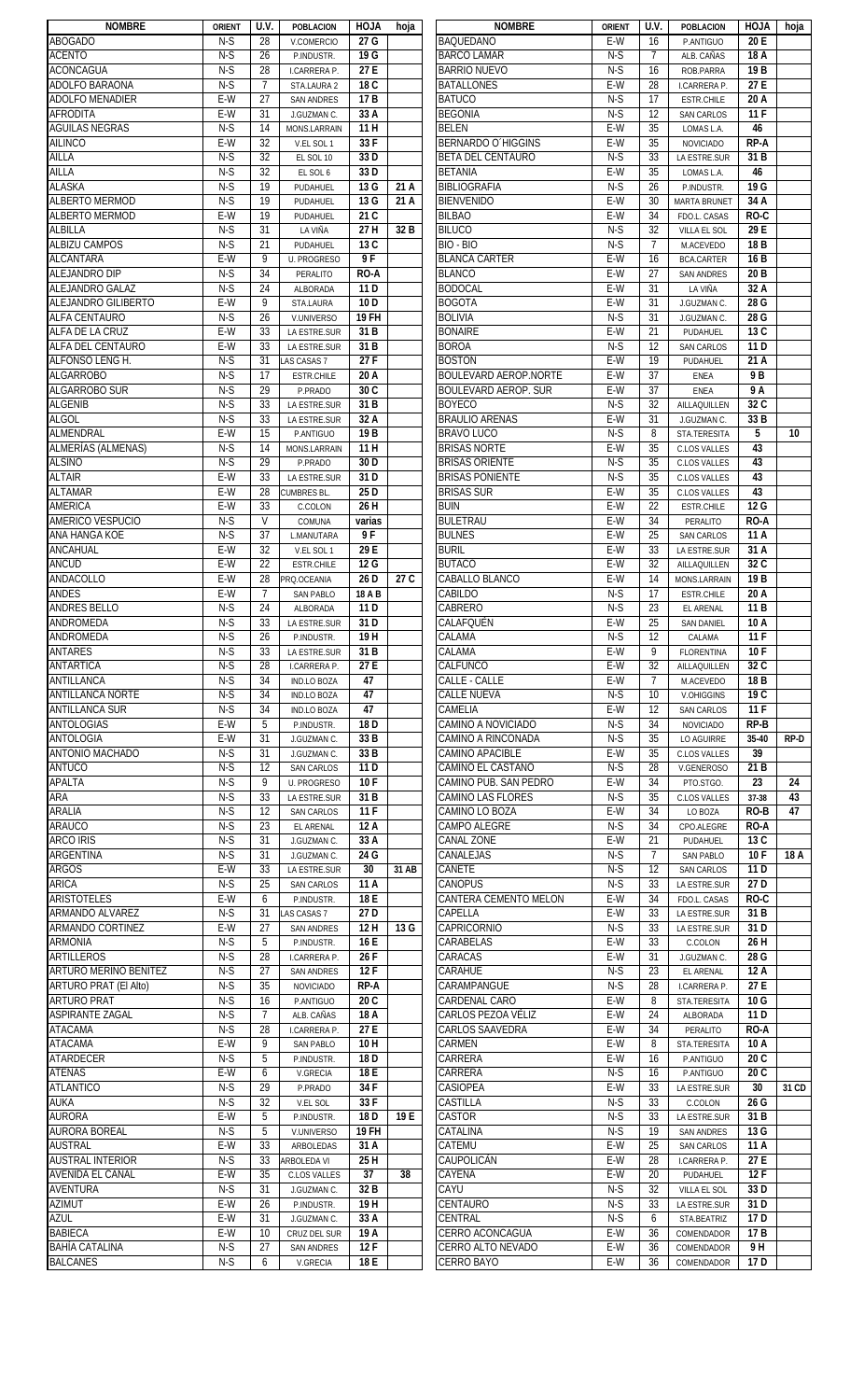| <b>NOMBRE</b>                         | <b>ORIENT</b> | U.V.           | <b>POBLACION</b>                 | <b>HOJA</b>      | hoja  | <b>NOMBRE</b>                    | <b>ORIENT</b> | U.V.           | <b>POBLACION</b>              | <b>HOJA</b>      | hoja  |
|---------------------------------------|---------------|----------------|----------------------------------|------------------|-------|----------------------------------|---------------|----------------|-------------------------------|------------------|-------|
| <b>ABOGADO</b>                        | N-S           | 28             | V.COMERCIO                       | 27 G             |       | <b>BAQUEDANO</b>                 | E-W           | 16             | P.ANTIGUO                     | 20 E             |       |
| <b>ACENTO</b>                         | $N-S$         | 26             | P.INDUSTR.                       | 19 G             |       | <b>BARCO LAMAR</b>               | $N-S$         | $\overline{7}$ | ALB. CAÑAS                    | 18 A             |       |
| <b>ACONCAGUA</b>                      | $N-S$         | 28             | I.CARRERA P.                     | 27 E             |       | <b>BARRIO NUEVO</b>              | $N-S$         | 16             | ROB.PARRA                     | 19 <sub>B</sub>  |       |
| ADOLFO BARAONA                        | $N-S$         | 7              | STA.LAURA 2                      | 18 C             |       | <b>BATALLONES</b>                | $E-W$         | 28             | I.CARRERA P.                  | 27E              |       |
| <b>ADOLFO MENADIER</b>                | E-W           | 27             | <b>SAN ANDRES</b>                | 17B              |       | <b>BATUCO</b>                    | $N-S$         | 17             | <b>ESTR.CHILE</b>             | 20 A             |       |
| <b>AFRODITA</b>                       | E-W           | 31             | J.GUZMAN C.                      | 33 A             |       | <b>BEGONIA</b>                   | $N-S$         | 12             | <b>SAN CARLOS</b>             | 11F              |       |
| <b>AGUILAS NEGRAS</b>                 | $N-S$         | 14             | MONS.LARRAIN                     | 11 H             |       | <b>BELEN</b>                     | E-W           | 35             | LOMAS L.A.                    | 46               |       |
| <b>AILINCO</b>                        | E-W           | 32             | V.EL SOL 1                       | 33F              |       | <b>BERNARDO O'HIGGINS</b>        | E-W           | 35             | <b>NOVICIADO</b>              | <b>RP-A</b>      |       |
| AILLA                                 | $N-S$         | 32             | EL SOL 10                        | 33D              |       | <b>BETA DEL CENTAURO</b>         | $N-S$         | 33             | LA ESTRE.SUR                  | 31 B             |       |
| AILLA                                 | $N-S$         | 32             | EL SOL 6                         | 33D              |       | <b>BETANIA</b>                   | E-W           | 35             | LOMAS L.A.                    | 46               |       |
| <b>ALASKA</b>                         | $N-S$         | 19             | PUDAHUEL                         | 13 G             | 21 A  | <b>BIBLIOGRAFIA</b>              | $N-S$         | 26             | P.INDUSTR.                    | 19 G             |       |
| <b>ALBERTO MERMOD</b>                 | $N-S$         | 19             | PUDAHUEL                         | 13 G             | 21 A  | <b>BIENVENIDO</b>                | $E-W$         | 30             | <b>MARTA BRUNET</b>           | 34 A             |       |
| <b>ALBERTO MERMOD</b>                 | E-W           | 19             | PUDAHUEL                         | 21 C             |       | <b>BILBAO</b>                    | E-W           | 34             | FDO.L. CASAS                  | RO-C             |       |
| ALBILLA                               | $N-S$         | 31             | LA VIÑA                          | 27 H             | 32 B  | <b>BILUCO</b>                    | $N-S$         | 32             | VILLA EL SOL                  | 29 E             |       |
| <b>ALBIZU CAMPOS</b>                  | $N-S$         | 21             | PUDAHUEL                         | $\overline{13C}$ |       | BIO - BIO                        | $N-S$         | $\overline{7}$ | M.ACEVEDO                     | 18 <sub>B</sub>  |       |
| <b>ALCANTARA</b>                      | E-W           | 9              | <b>U. PROGRESO</b>               | 9F               |       | <b>BLANCA CARTER</b>             | E-W           | 16             | <b>BCA.CARTER</b>             | 16 <sub>B</sub>  |       |
| <b>ALEJANDRO DIP</b>                  | $N-S$         | 34             | PERALITO                         | <b>RO-A</b>      |       | <b>BLANCO</b>                    | E-W           | 27             | <b>SAN ANDRES</b>             | 20 <sub>B</sub>  |       |
| ALEJANDRO GALAZ                       | $N-S$         | 24             | ALBORADA                         | 11 D             |       | <b>BODOCAL</b>                   | E-W           | 31             | LA VIÑA                       | 32 A             |       |
| <b>ALEJANDRO GILIBERTO</b>            | E-W           | 9              | STA.LAURA                        | 10 <sub>D</sub>  |       | <b>BOGOTA</b>                    | E-W           | 31             | J.GUZMAN C.                   | 28 G             |       |
| <b>ALFA CENTAURO</b>                  | $N-S$         | 26             | V.UNIVERSO                       | <b>19 FH</b>     |       | BOLIVIA                          | $N-S$         | 31             | J.GUZMAN C.                   | 28 G             |       |
| ALFA DE LA CRUZ                       | E-W           | 33             | LA ESTRE.SUR                     | 31 B             |       | <b>BONAIRE</b>                   | E-W           | 21             | PUDAHUEL                      | 13 C             |       |
| <b>ALFA DEL CENTAURO</b>              | E-W           | 33             | LA ESTRE.SUR                     | 31B              |       | <b>BOROA</b>                     | $N-S$         | 12             | <b>SAN CARLOS</b>             | 11 <sub>D</sub>  |       |
| <b>ALFONSO LENG H.</b>                | $N-S$         | 31             | LAS CASAS 7                      | 27F              |       | <b>BOSTON</b>                    | $E-W$         | 19             | PUDAHUEL                      | 21 A             |       |
| <b>ALGARROBO</b>                      | $N-S$         | 17             | <b>ESTR.CHILE</b>                | 20 A             |       | <b>BOULEVARD AEROP.NORTE</b>     | E-W           | 37             | ENEA                          | 9 B              |       |
| <b>ALGARROBO SUR</b>                  | $N-S$         | 29             | P.PRADO                          | 30C              |       | <b>BOULEVARD AEROP. SUR</b>      | E-W           | 37             | ENEA                          | 9 A              |       |
| <b>ALGENIB</b>                        | $N-S$         | 33             | LA ESTRE.SUR                     | 31 B             |       | <b>BOYECO</b>                    | $N-S$         | 32             | AILLAQUILLEN                  | $\overline{32C}$ |       |
| <b>ALGOL</b>                          | $N-S$         | 33             | LA ESTRE.SUR                     | 32 A             |       | <b>BRAULIO ARENAS</b>            | E-W           | 31             | J.GUZMAN C.                   | 33B              |       |
| <b>ALMENDRAL</b>                      | E-W           | 15             | P.ANTIGUO                        | 19 <sub>B</sub>  |       | <b>BRAVO LUCO</b>                | $N-S$         | 8              | STA.TERESITA                  | 5                | 10    |
| <b>ALMERÍAS (ALMENAS)</b>             | $N-S$         | 14             | MONS.LARRAIN                     | 11 H             |       | BRISAS NORTE                     | E-W           | 35             | <b>C.LOS VALLES</b>           | 43               |       |
| <b>ALSINO</b>                         | $N-S$         | 29             | P.PRADO                          | 30 <sub>D</sub>  |       | BRISAS ORIENTE                   | $N-S$         | 35             | <b>C.LOS VALLES</b>           | 43               |       |
| <b>ALTAIR</b>                         | E-W           | 33             | LA ESTRE.SUR                     | 31D              |       | <b>BRISAS PONIENTE</b>           | $N-S$         | 35             | <b>C.LOS VALLES</b>           | 43               |       |
| <b>ALTAMAR</b>                        | E-W<br>E-W    | 28<br>33       | <b>CUMBRES BL.</b>               | 25 D<br>26 H     |       | <b>BRISAS SUR</b>                | E-W<br>E-W    | 35<br>22       | <b>C.LOS VALLES</b>           | 43<br>12 G       |       |
| <b>AMERICA</b><br>AMERICO VESPUCIO    | $N-S$         | $\mathsf{V}$   | C.COLON                          |                  |       | buin<br><b>BULETRAU</b>          | E-W           | 34             | <b>ESTR.CHILE</b>             | RO-A             |       |
| ANA HANGA KOE                         | $N-S$         | 37             | COMUNA<br>L.MANUTARA             | varias<br>9 F    |       | <b>BULNES</b>                    | $E-W$         | 25             | PERALITO<br><b>SAN CARLOS</b> | 11 A             |       |
| ANCAHUAL                              | E-W           | 32             | V.EL SOL 1                       | 29 E             |       | <b>BURIL</b>                     | E-W           | 33             | LA ESTRE.SUR                  | 31 A             |       |
| <b>ANCUD</b>                          | E-W           | 22             | ESTR.CHILE                       | 12 G             |       | <b>BUTACO</b>                    | E-W           | 32             | AILLAQUILLEN                  | 32 C             |       |
| <b>ANDACOLLO</b>                      | E-W           | 28             | PRQ.OCEANIA                      | 26 D             | 27 C  | CABALLO BLANCO                   | E-W           | 14             | MONS.LARRAIN                  | 19 B             |       |
| <b>ANDES</b>                          | E-W           | $\overline{7}$ | <b>SAN PABLO</b>                 | 18 A B           |       | CABILDO                          | $N-S$         | 17             | <b>ESTR.CHILE</b>             | 20 A             |       |
| <b>ANDRES BELLO</b>                   | $N-S$         | 24             | <b>ALBORADA</b>                  | 11 D             |       | CABRERO                          | $N-S$         | 23             | EL ARENAL                     | 11 B             |       |
| ANDROMEDA                             | $N-S$         | 33             | LA ESTRE.SUR                     | 31 D             |       | CALAFQUÉN                        | E-W           | 25             | <b>SAN DANIEL</b>             | 10 A             |       |
| <b>ANDROMEDA</b>                      | $N-S$         | 26             | P.INDUSTR.                       | 19H              |       | CALAMA                           | $N-S$         | 12             | CALAMA                        | 11F              |       |
| <b>ANTARES</b>                        | N-S           | 33             | LA ESTRE.SUR                     | 31 B             |       | CALAMA                           | E-W           | 9              | <b>FLORENTINA</b>             | 10 F             |       |
| <b>ANTARTICA</b>                      | $N-S$         | 28             | <b>I.CARRERA P.</b>              | 27 E             |       | CALFUNCO                         | E-W           | 32             | AILLAQUILLEN                  | 32 C             |       |
| <b>ANTILLANCA</b>                     | $N-S$         | 34             | <b>IND.LO BOZA</b>               | 47               |       | CALLE - CALLE                    | E-W           | $\overline{7}$ | M.ACEVEDO                     | 18 B             |       |
| <b>ANTILLANCA NORTE</b>               | $N-S$         | 34             | <b>IND.LO BOZA</b>               | 47               |       | <b>CALLE NUEVA</b>               | $N-S$         | 10             | V.OHIGGINS                    | 19C              |       |
| <b>ANTILLANCA SUR</b>                 | $N-S$         | 34             | <b>IND.LO BOZA</b>               | 47               |       | CAMELIA                          | E-W           | 12             | <b>SAN CARLOS</b>             | 11F              |       |
| <b>ANTOLOGIAS</b>                     | E-W           | 5              | P.INDUSTR.                       | 18 <sub>D</sub>  |       | CAMINO A NOVICIADO               | $N-S$         | 34             | <b>NOVICIADO</b>              | RP-B             |       |
| ANTOLOGIA                             | E-W           | 31             | J.GUZMAN C.                      | 33 B             |       | CAMINO A RINCONADA               | $N-S$         | 35             | LO AGUIRRE                    | 35-40            | RP-D  |
| ANTONIO MACHADO                       | $N-S$         | 31             | J.GUZMAN C.                      | 33 B             |       | CAMINO APACIBLE                  | E-W           | 35             | <b>C.LOS VALLES</b>           | 39               |       |
| <b>ANTUCO</b>                         | $N-S$         | 12             | SAN CARLOS                       | 11 D             |       | CAMINO EL CASTAÑO                | $N-S$         | 28             | V.GENEROSO                    | 21 B             |       |
| <b>APALTA</b>                         | $N-S$         | 9              | <b>U. PROGRESO</b>               | 10F              |       | CAMINO PUB. SAN PEDRO            | E-W           | 34             | PTO.STGO.                     | 23               | 24    |
| ARA                                   | $N-S$         | 33             | LA ESTRE.SUR                     | 31 B             |       | CAMINO LAS FLORES                | $N-S$         | 35             | <b>C.LOS VALLES</b>           | 37-38            | 43    |
| ARALIA                                | $N-S$         | 12             | <b>SAN CARLOS</b>                | 11F              |       | CAMINO LO BOZA                   | $E-W$         | 34             | LO BOZA                       | RO-B             | 47    |
| <b>ARAUCO</b>                         | $N-S$         | 23             | <b>EL ARENAL</b>                 | 12A              |       | <b>CAMPO ALEGRE</b>              | $N-S$         | 34             | CPO.ALEGRE                    | RO-A             |       |
| <b>ARCO IRIS</b>                      | $N-S$         | 31             | J.GUZMAN C.                      | 33 A             |       | CANAL ZONE                       | E-W           | 21             | PUDAHUEL                      | 13 C             |       |
| <b>ARGENTINA</b>                      | $N-S$         | 31             | J.GUZMAN C.                      | 24 G             |       | CANALEJAS                        | $N-S$         | $\overline{7}$ | <b>SAN PABLO</b>              | 10F              | 18 A  |
| <b>ARGOS</b>                          | E-W           | 33             | LA ESTRE.SUR                     | 30               | 31 AB | CAÑETE                           | $N-S$         | 12             | <b>SAN CARLOS</b>             | 11 <sub>D</sub>  |       |
| <b>ARICA</b>                          | $N-S$         | 25             | <b>SAN CARLOS</b>                | 11 A             |       | <b>CANOPUS</b>                   | $N-S$         | 33             | LA ESTRE.SUR                  | 27 D             |       |
| <b>ARISTOTELES</b><br>ARMANDO ALVAREZ | E-W<br>$N-S$  | 6<br>31        | P.INDUSTR.                       | 18 E<br>27 D     |       | CANTERA CEMENTO MELON<br>CAPELLA | E-W<br>E-W    | 34<br>33       | FDO.L. CASAS                  | RO-C<br>31 B     |       |
| ARMANDO CORTINEZ                      | E-W           | 27             | LAS CASAS 7<br><b>SAN ANDRES</b> | 12H              | 13 G  | CAPRICORNIO                      | $N-S$         | 33             | LA ESTRE.SUR<br>LA ESTRE.SUR  | 31 D             |       |
| <b>ARMONIA</b>                        | $N-S$         | 5              | P.INDUSTR.                       | 16 E             |       | CARABELAS                        | E-W           | 33             | C.COLON                       | 26 H             |       |
| <b>ARTILLEROS</b>                     | $N-S$         | 28             | I.CARRERA P.                     | 26F              |       | CARACAS                          | E-W           | 31             | J.GUZMAN C.                   | 28 G             |       |
| <b>ARTURO MERINO BENITEZ</b>          | $N-S$         | 27             | <b>SAN ANDRES</b>                | 12F              |       | CARAHUE                          | $N-S$         | 23             | EL ARENAL                     | 12 A             |       |
| ARTURO PRAT (El Alto)                 | $N-S$         | 35             | <b>NOVICIADO</b>                 | <b>RP-A</b>      |       | CARAMPANGUE                      | $N-S$         | 28             | I.CARRERA P.                  | 27 E             |       |
| <b>ARTURO PRAT</b>                    | $N-S$         | 16             | P.ANTIGUO                        | 20 C             |       | CARDENAL CARO                    | E-W           | 8              | STA.TERESITA                  | 10 G             |       |
| <b>ASPIRANTE ZAGAL</b>                | $N-S$         | 7              | ALB. CAÑAS                       | 18 A             |       | CARLOS PEZOA VÉLIZ               | E-W           | 24             | ALBORADA                      | 11 <sub>D</sub>  |       |
| <b>ATACAMA</b>                        | $N-S$         | 28             | I.CARRERA P.                     | 27 E             |       | CARLOS SAAVEDRA                  | E-W           | 34             | PERALITO                      | RO-A             |       |
| <b>ATACAMA</b>                        | E-W           | 9              | <b>SAN PABLO</b>                 | 10H              |       | CARMEN                           | E-W           | 8              | STA.TERESITA                  | 10 A             |       |
| <b>ATARDECER</b>                      | $N-S$         | 5              | P.INDUSTR.                       | 18 D             |       | CARRERA                          | E-W           | 16             | P.ANTIGUO                     | 20C              |       |
| <b>ATENAS</b>                         | E-W           | 6              | V.GRECIA                         | 18 E             |       | CARRERA                          | $N-S$         | 16             | P.ANTIGUO                     | 20 C             |       |
| <b>ATLANTICO</b>                      | $N-S$         | 29             | P.PRADO                          | 34 F             |       | CASIOPEA                         | E-W           | 33             | LA ESTRE.SUR                  | 30               | 31 CD |
| <b>AUKA</b>                           | $N-S$         | 32             | V.EL SOL                         | 33F              |       | CASTILLA                         | $N-S$         | 33             | C.COLON                       | 26 G             |       |
| <b>AURORA</b>                         | E-W           | 5              | P.INDUSTR.                       | 18 <sub>D</sub>  | 19 E  | <b>CASTOR</b>                    | $N-S$         | 33             | LA ESTRE.SUR                  | 31 B             |       |
| <b>AURORA BOREAL</b>                  | $N-S$         | 5              | V.UNIVERSO                       | <b>19 FH</b>     |       | CATALINA                         | $N-S$         | 19             | <b>SAN ANDRES</b>             | 13 G             |       |
| <b>AUSTRAL</b>                        | $E-W$         | 33             | ARBOLEDAS                        | 31 A             |       | CATEMU                           | $E-W$         | 25             | <b>SAN CARLOS</b>             | 11 A             |       |
| <b>AUSTRAL INTERIOR</b>               | $N-S$         | 33             | ARBOLEDA VI                      | 25 H             |       | CAUPOLICÁN                       | $E-W$         | 28             | I.CARRERA P.                  | 27 E             |       |
| <b>AVENIDA EL CANAL</b>               | E-W           | 35             | <b>C.LOS VALLES</b>              | 37               | 38    | CAYENA                           | E-W           | 20             | PUDAHUEL                      | 12F              |       |
| <b>AVENTURA</b>                       | $N-S$         | 31             | J.GUZMAN C.                      | 32 B             |       | CAYU                             | $N-S$         | 32             | VILLA EL SOL                  | 33 D             |       |
| <b>AZIMUT</b>                         | E-W           | 26             | P.INDUSTR.                       | 19H              |       | CENTAURO                         | $N-S$         | 33             | LA ESTRE.SUR                  | 31 D             |       |
| <b>AZUL</b>                           | E-W           | 31             | J.GUZMAN C.                      | 33 A             |       | CENTRAL                          | $N-S$         | 6              | STA.BEATRIZ                   | 17 D             |       |
| <b>BABIECA</b>                        | E-W           | 10             | CRUZ DEL SUR                     | 19 A             |       | CERRO ACONCAGUA                  | E-W           | 36             | COMENDADOR                    | 17 <sub>B</sub>  |       |
| <b>BAHÍA CATALINA</b>                 | $N-S$         | 27             | <b>SAN ANDRES</b>                | 12F              |       | CERRO ALTO NEVADO                | E-W           | 36             | COMENDADOR                    | 9H               |       |
| <b>BALCANES</b>                       | $N-S$         | 6              | V.GRECIA                         | 18 E             |       | CERRO BAYO                       | E-W           | 36             | COMENDADOR                    | 17 D             |       |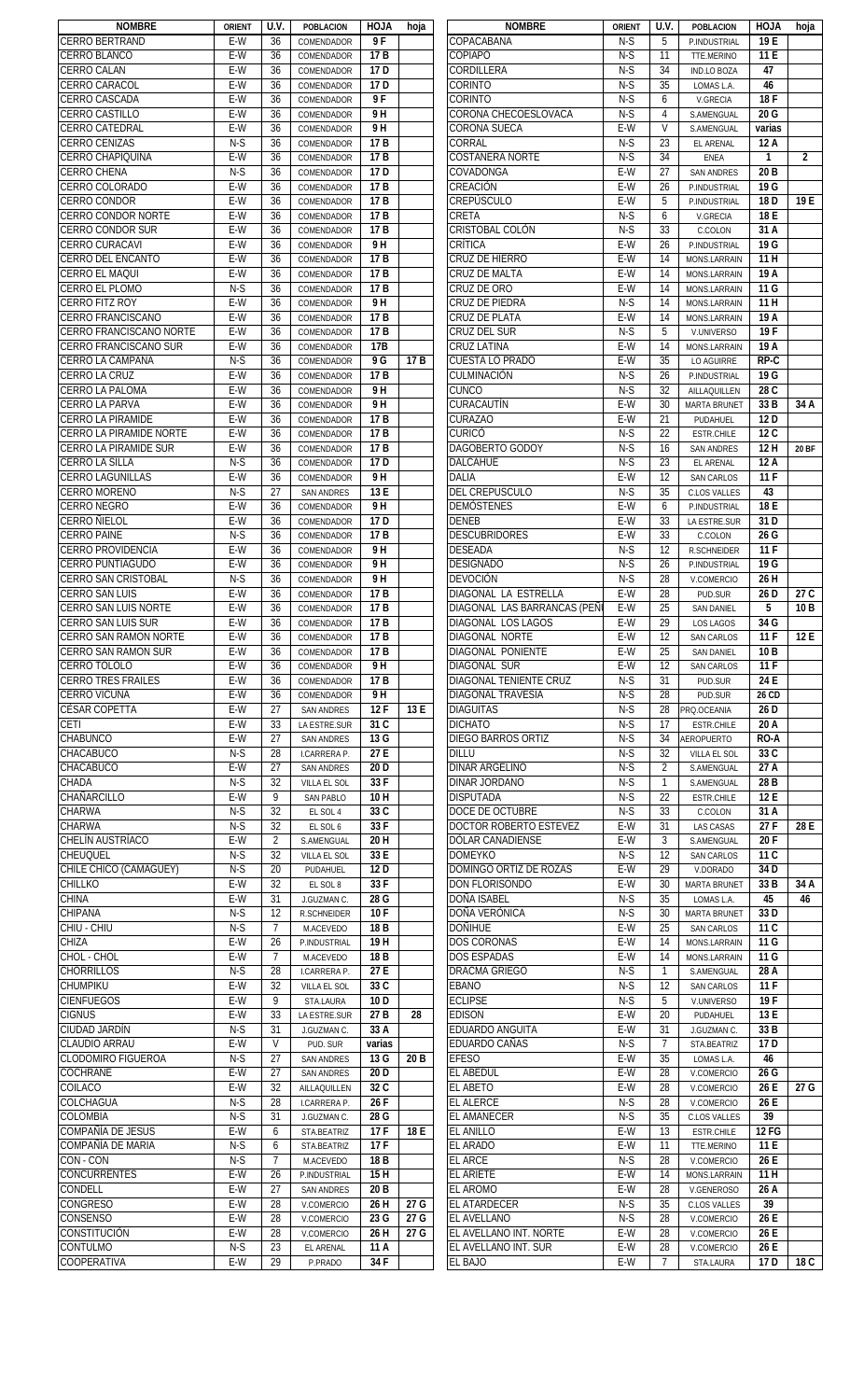| <b>NOMBRE</b>                  | <b>ORIENT</b> | U.V.           | <b>POBLACION</b>  | <b>HOJA</b>     | hoja            | <b>NOMBRE</b>                | <b>ORIENT</b> | U.V.            | <b>POBLACION</b>    | <b>HOJA</b>     | hoja         |
|--------------------------------|---------------|----------------|-------------------|-----------------|-----------------|------------------------------|---------------|-----------------|---------------------|-----------------|--------------|
| <b>CERRO BERTRAND</b>          | E-W           | 36             | COMENDADOR        | 9 F             |                 | COPACABANA                   | N-S           | 5               | P.INDUSTRIAL        | 19 E            |              |
| <b>CERRO BLANCO</b>            | E-W           | 36             | COMENDADOR        | 17 B            |                 | COPIAPÓ                      | $N-S$         | 11              | TTE.MERINO          | 11 E            |              |
| <b>CERRO CALAN</b>             | $E-W$         | 36             | COMENDADOR        | 17 <sub>D</sub> |                 | CORDILLERA                   | $N-S$         | 34              | <b>IND.LO BOZA</b>  | 47              |              |
| <b>CERRO CARACOL</b>           | E-W           | 36             | COMENDADOR        | 17 <sub>D</sub> |                 | CORINTO                      | $N-S$         | 35              | LOMAS L.A.          | 46              |              |
|                                |               |                |                   |                 |                 |                              |               |                 |                     |                 |              |
| <b>CERRO CASCADA</b>           | $E-W$         | 36             | COMENDADOR        | 9 F             |                 | CORINTO                      | $N-S$         | 6               | V.GRECIA            | 18F             |              |
| <b>CERRO CASTILLO</b>          | E-W           | 36             | COMENDADOR        | 9H              |                 | CORONA CHECOESLOVACA         | $N-S$         | 4               | S.AMENGUAL          | 20 G            |              |
| <b>CERRO CATEDRAL</b>          | E-W           | 36             | COMENDADOR        | 9H              |                 | <b>CORONA SUECA</b>          | E-W           | $\mathsf{V}$    | S.AMENGUAL          | varias          |              |
| <b>CERRO CENIZAS</b>           | $N-S$         | 36             | COMENDADOR        | 17B             |                 | CORRAL                       | $N-S$         | 23              | <b>EL ARENAL</b>    | 12A             |              |
| CERRO CHAPIQUIÑA               | E-W           | 36             | COMENDADOR        | 17B             |                 | <b>COSTANERA NORTE</b>       | $N-S$         | 34              | <b>ENEA</b>         | $\mathbf{1}$    | $\mathbf{2}$ |
| <b>CERRO CHENA</b>             | $N-S$         | 36             | COMENDADOR        | 17 <sub>D</sub> |                 | COVADONGA                    | E-W           | 27              | <b>SAN ANDRES</b>   | 20 <sub>B</sub> |              |
| CERRO COLORADO                 | E-W           |                |                   | 17B             |                 |                              |               |                 |                     |                 |              |
|                                |               | 36             | COMENDADOR        |                 |                 | CREACIÓN                     | E-W           | 26              | P.INDUSTRIAL        | 19 G            |              |
| <b>CERRO CONDOR</b>            | E-W           | 36             | COMENDADOR        | 17B             |                 | CREPÚSCULO                   | E-W           | 5               | P.INDUSTRIAL        | 18 <sub>D</sub> | 19 E         |
| <b>CERRO CONDOR NORTE</b>      | E-W           | 36             | COMENDADOR        | 17B             |                 | CRETA                        | $N-S$         | 6               | V.GRECIA            | 18 E            |              |
| <b>CERRO CONDOR SUR</b>        | E-W           | 36             | COMENDADOR        | 17B             |                 | CRISTOBAL COLÓN              | $N-S$         | 33              | C.COLON             | 31 A            |              |
| <b>CERRO CURACAVI</b>          | E-W           | 36             | COMENDADOR        | 9H              |                 | CRÍTICA                      | $E-W$         | 26              | P.INDUSTRIAL        | 19 G            |              |
|                                | E-W           |                |                   | 17B             |                 | CRUZ DE HIERRO               | E-W           | 14              |                     | 11H             |              |
| <b>CERRO DEL ENCANTO</b>       |               | 36             | COMENDADOR        |                 |                 |                              |               |                 | MONS.LARRAIN        |                 |              |
| CERRO EL MAQUI                 | E-W           | 36             | COMENDADOR        | 17 <sub>B</sub> |                 | CRUZ DE MALTA                | E-W           | 14              | MONS.LARRAIN        | 19 A            |              |
| <b>CERRO EL PLOMO</b>          | $N-S$         | 36             | COMENDADOR        | 17 <sub>B</sub> |                 | Cruz de oro                  | E-W           | 14              | MONS.LARRAIN        | 11 G            |              |
| <b>CERRO FITZ ROY</b>          | E-W           | 36             | COMENDADOR        | 9 H             |                 | CRUZ DE PIEDRA               | $N-S$         | 14              | MONS.LARRAIN        | 11H             |              |
| <b>CERRO FRANCISCANO</b>       | E-W           | 36             | COMENDADOR        | 17B             |                 | <b>CRUZ DE PLATA</b>         | E-W           | 14              | MONS.LARRAIN        | 19 A            |              |
| CERRO FRANCISCANO NORTE        | E-W           | 36             | COMENDADOR        | 17 <sub>B</sub> |                 | CRUZ DEL SUR                 | $N-S$         | 5               | V.UNIVERSO          | 19 F            |              |
|                                |               |                |                   |                 |                 |                              |               |                 |                     |                 |              |
| <b>CERRO FRANCISCANO SUR</b>   | E-W           | 36             | COMENDADOR        | 17B             |                 | CRUZ LATINA                  | E-W           | 14              | MONS.LARRAIN        | 19 A            |              |
| <b>CERRO LA CAMPANA</b>        | $N-S$         | 36             | COMENDADOR        | 9 G             | 17 B            | <b>CUESTA LO PRADO</b>       | $E-W$         | 35              | <b>LO AGUIRRE</b>   | $RP-C$          |              |
| <b>CERRO LA CRUZ</b>           | E-W           | 36             | COMENDADOR        | 17B             |                 | CULMINACIÓN                  | $N-S$         | 26              | P.INDUSTRIAL        | 19 G            |              |
| <b>CERRO LA PALOMA</b>         | E-W           | 36             | COMENDADOR        | 9 H             |                 | <b>CUNCO</b>                 | $N-S$         | 32              | AILLAQUILLEN        | 28 C            |              |
| <b>CERRO LA PARVA</b>          | E-W           | 36             | COMENDADOR        | 9H              |                 | CURACAUTÍN                   | $E-W$         | 30              | <b>MARTA BRUNET</b> | 33 B            | 34 A         |
|                                | E-W           | 36             |                   | 17B             |                 | <b>CURAZAO</b>               | E-W           | 21              |                     | 12D             |              |
| <b>CERRO LA PIRAMIDE</b>       |               |                | COMENDADOR        |                 |                 |                              |               |                 | PUDAHUEL            |                 |              |
| <b>CERRO LA PIRAMIDE NORTE</b> | E-W           | 36             | COMENDADOR        | 17B             |                 | curicó                       | $N-S$         | 22              | <b>ESTR.CHILE</b>   | 12C             |              |
| <b>CERRO LA PIRAMIDE SUR</b>   | E-W           | 36             | COMENDADOR        | 17 B            |                 | DAGOBERTO GODOY              | $N-S$         | 16              | <b>SAN ANDRES</b>   | 12H             | <b>20 BF</b> |
| <b>CERRO LA SILLA</b>          | $N-S$         | 36             | COMENDADOR        | 17 <sub>D</sub> |                 | <b>DALCAHUE</b>              | $N-S$         | 23              | <b>EL ARENAL</b>    | 12A             |              |
| <b>CERRO LAGUNILLAS</b>        | E-W           | 36             | COMENDADOR        | 9 H             |                 | <b>DALIA</b>                 | E-W           | 12              | <b>SAN CARLOS</b>   | 11F             |              |
| <b>CERRO MORENO</b>            | $N-S$         | 27             | <b>SAN ANDRES</b> | 13 E            |                 | <b>DEL CREPUSCULO</b>        | $N-S$         | 35              | <b>C.LOS VALLES</b> | 43              |              |
|                                |               |                |                   |                 |                 |                              |               |                 |                     |                 |              |
| <b>CERRO NEGRO</b>             | $E-W$         | 36             | COMENDADOR        | 9H              |                 | <b>DEMÓSTENES</b>            | E-W           | 6               | P.INDUSTRIAL        | 18 E            |              |
| <b>CERRO ÑIELOL</b>            | $E-W$         | 36             | COMENDADOR        | 17 <sub>D</sub> |                 | <b>DENEB</b>                 | E-W           | 33              | LA ESTRE.SUR        | 31D             |              |
| <b>CERRO PAINE</b>             | $N-S$         | 36             | COMENDADOR        | 17 <sub>B</sub> |                 | <b>DESCUBRIDORES</b>         | E-W           | 33              | C.COLON             | 26 G            |              |
| <b>CERRO PROVIDENCIA</b>       | E-W           | 36             | COMENDADOR        | 9 H             |                 | <b>DESEADA</b>               | $N-S$         | 12              | R.SCHNEIDER         | 11F             |              |
| <b>CERRO PUNTIAGUDO</b>        | E-W           | 36             | COMENDADOR        | 9 H             |                 | <b>DESIGNADO</b>             | $N-S$         | 26              | P.INDUSTRIAL        | 19 G            |              |
|                                | $N-S$         |                |                   | 9 H             |                 | <b>DEVOCIÓN</b>              | $N-S$         |                 |                     |                 |              |
| <b>CERRO SAN CRISTOBAL</b>     |               | 36             | COMENDADOR        |                 |                 |                              |               | 28              | V.COMERCIO          | 26 H            |              |
| <b>CERRO SAN LUIS</b>          | E-W           | 36             | COMENDADOR        | 17 <sub>B</sub> |                 | DIAGONAL LA ESTRELLA         | E-W           | 28              | PUD.SUR             | 26 D            | 27 C         |
| <b>CERRO SAN LUIS NORTE</b>    | E-W           | 36             | COMENDADOR        | 17 <sub>B</sub> |                 | DIAGONAL LAS BARRANCAS (PEÑI | E-W           | 25              | <b>SAN DANIEL</b>   | 5               | 10 B         |
| <b>CERRO SAN LUIS SUR</b>      | E-W           | 36             | COMENDADOR        | 17 B            |                 | DIAGONAL LOS LAGOS           | E-W           | 29              | LOS LAGOS           | 34 G            |              |
| <b>CERRO SAN RAMON NORTE</b>   | E-W           | 36             | COMENDADOR        | 17B             |                 | DIAGONAL NORTE               | E-W           | 12              | <b>SAN CARLOS</b>   | 11 F            | 12E          |
| <b>CERRO SAN RAMON SUR</b>     | E-W           | 36             | COMENDADOR        | 17 B            |                 | DIAGONAL PONIENTE            | E-W           | 25              | <b>SAN DANIEL</b>   | 10 B            |              |
| CERRO TOLOLO                   | E-W           |                |                   | 9 H             |                 | DIAGONAL SUR                 | E-W           | 12              |                     | 11F             |              |
|                                |               | 36             | COMENDADOR        |                 |                 |                              |               |                 | <b>SAN CARLOS</b>   |                 |              |
| <b>CERRO TRES FRAILES</b>      | E-W           | 36             | COMENDADOR        | 17 B            |                 | DIAGONAL TENIENTE CRUZ       | $N-S$         | 31              | PUD.SUR             | 24 E            |              |
| <b>CERRO VICUÑA</b>            | $E-W$         | 36             | COMENDADOR        | 9 H             |                 | DIAGONAL TRAVESÍA            | $N-S$         | 28              | PUD.SUR             | 26 CD           |              |
| <b>CÉSAR COPETTA</b>           | E-W           | 27             | <b>SAN ANDRES</b> | 12F             | 13 E            | <b>DIAGUITAS</b>             | $N-S$         | 28              | PRQ.OCEANIA         | 26 D            |              |
| CETI                           | E-W           | 33             | LA ESTRE.SUR      | 31 C            |                 | <b>DICHATO</b>               | $N-S$         | 17              | <b>ESTR.CHILE</b>   | 20 A            |              |
| <b>CHABUNCO</b>                | E-W           | 27             | <b>SAN ANDRES</b> | 13 G            |                 | <b>DIEGO BARROS ORTIZ</b>    | $N-S$         | 34              | <b>AEROPUERTO</b>   | RO-A            |              |
|                                |               |                |                   | 27 E            |                 |                              |               |                 |                     |                 |              |
| CHACABUCO                      | $N-S$         | 28             | I.CARRERA P.      |                 |                 | <b>DILLU</b>                 | $N-S$         | 32              | VILLA EL SOL        | 33 C            |              |
| CHACABUCO                      | E-W           | 27             | <b>SAN ANDRES</b> | 20 <sub>D</sub> |                 | <b>DINAR ARGELINO</b>        | $N-S$         | $\overline{2}$  | S.AMENGUAL          | 27 A            |              |
| <b>CHADA</b>                   | $N-S$         | 32             | VILLA EL SOL      | 33F             |                 | <b>DINAR JORDANO</b>         | $N-S$         | $\mathbf{1}$    | S.AMENGUAL          | 28 B            |              |
| CHAÑARCILLO                    | E-W           | 9              | <b>SAN PABLO</b>  | 10H             |                 | <b>DISPUTADA</b>             | $N-S$         | 22              | <b>ESTR.CHILE</b>   | 12 E            |              |
| <b>CHARWA</b>                  | $N-S$         | 32             | EL SOL 4          | 33 C            |                 | DOCE DE OCTUBRE              | $N-S$         | 33              | C.COLON             | 31 A            |              |
| <b>CHARWA</b>                  | $N-S$         | 32             | EL SOL 6          | 33F             |                 | DOCTOR ROBERTO ESTEVEZ       | E-W           | 31              | <b>LAS CASAS</b>    | 27F             | 28 E         |
|                                |               |                |                   |                 |                 |                              |               |                 |                     |                 |              |
| CHELÍN AUSTRÍACO               | $E-W$         | 2              | S.AMENGUAL        | 20 H            |                 | DÓLAR CANADIENSE             | $E-W$         | 3               | S.AMENGUAL          | 20 F            |              |
| CHEUQUEL                       | $N-S$         | 32             | VILLA EL SOL      | 33E             |                 | <b>DOMEYKO</b>               | $N-S$         | 12              | <b>SAN CARLOS</b>   | 11C             |              |
| CHILE CHICO (CAMAGÜEY)         | $N-S$         | 20             | PUDAHUEL          | 12 <sub>D</sub> |                 | DOMINGO ORTIZ DE ROZAS       | E-W           | 29              | V.DORADO            | 34 D            |              |
| <b>CHILLKO</b>                 | E-W           | 32             | EL SOL 8          | 33F             |                 | <b>DON FLORISONDO</b>        | E-W           | 30              | <b>MARTA BRUNET</b> | 33 B            | 34 A         |
| <b>CHINA</b>                   | E-W           | 31             | J.GUZMAN C.       | 28 G            |                 | DOÑA ISABEL                  | $N-S$         | 35              | LOMAS L.A.          | 45              | 46           |
| <b>CHIPANA</b>                 | $N-S$         | 12             | R.SCHNEIDER       | 10F             |                 | DOÑA VERÓNICA                | $N-S$         | 30              | <b>MARTA BRUNET</b> | 33D             |              |
|                                |               |                |                   |                 |                 |                              |               |                 |                     |                 |              |
| CHIU - CHIU                    | $N-S$         | $\overline{7}$ | M.ACEVEDO         | 18 <sub>B</sub> |                 | <b>DOÑIHUE</b>               | E-W           | 25              | SAN CARLOS          | 11C             |              |
| CHIZA                          | E-W           | 26             | P.INDUSTRIAL      | 19H             |                 | <b>DOS CORONAS</b>           | E-W           | 14              | MONS.LARRAIN        | 11 G            |              |
| CHOL - CHOL                    | E-W           | $\overline{7}$ | M.ACEVEDO         | 18 B            |                 | <b>DOS ESPADAS</b>           | E-W           | 14              | MONS.LARRAIN        | 11 G            |              |
| <b>CHORRILLOS</b>              | $N-S$         | 28             | I.CARRERA P.      | 27 E            |                 | DRACMA GRIEGO                | $N-S$         | $\mathbf{1}$    | S.AMENGUAL          | 28 A            |              |
| <b>CHUMPIKU</b>                | $E-W$         | 32             | VILLA EL SOL      | 33 C            |                 | <b>EBANO</b>                 | $N-S$         | 12              | <b>SAN CARLOS</b>   | 11F             |              |
| <b>CIENFUEGOS</b>              | E-W           | 9              | STA.LAURA         | 10 D            |                 | <b>ECLIPSE</b>               | $N-S$         | 5               | V.UNIVERSO          | 19F             |              |
|                                |               |                |                   |                 |                 |                              | E-W           |                 |                     |                 |              |
| <b>CIGNUS</b>                  | E-W           | 33             | LA ESTRE.SUR      | 27 B            | 28              | <b>EDISON</b>                |               | 20              | PUDAHUEL            | 13 E            |              |
| CIUDAD JARDÍN                  | $N-S$         | 31             | J.GUZMAN C.       | 33 A            |                 | EDUARDO ANGUITA              | E-W           | 31              | J.GUZMAN C.         | 33 B            |              |
| <b>CLAUDIO ARRAU</b>           | E-W           | V              | PUD. SUR          | varias          |                 | EDUARDO CAÑAS                | $N-S$         | $7\overline{ }$ | STA.BEATRIZ         | 17 <sub>D</sub> |              |
| <b>CLODOMIRO FIGUEROA</b>      | $N-S$         | 27             | <b>SAN ANDRES</b> | 13 G            | 20 <sub>B</sub> | <b>EFESO</b>                 | E-W           | 35              | LOMAS L.A.          | 46              |              |
| <b>COCHRANE</b>                | E-W           | 27             | <b>SAN ANDRES</b> | 20 D            |                 | <b>EL ABEDUL</b>             | E-W           | 28              | V.COMERCIO          | 26 G            |              |
| COILACO                        | E-W           | 32             | AILLAQUILLEN      | 32 C            |                 | <b>EL ABETO</b>              | E-W           | 28              | V.COMERCIO          | 26 E            | 27 G         |
|                                |               |                |                   |                 |                 |                              |               |                 |                     |                 |              |
| COLCHAGUA                      | $N-S$         | 28             | I.CARRERA P.      | 26F             |                 | <b>EL ALERCE</b>             | $N-S$         | 28              | V.COMERCIO          | 26 E            |              |
| <b>COLOMBIA</b>                | $N-S$         | 31             | J.GUZMAN C.       | 28 G            |                 | <b>EL AMANECER</b>           | $N-S$         | 35              | <b>C.LOS VALLES</b> | 39              |              |
| <b>COMPAÑÍA DE JESUS</b>       | E-W           | 6              | STA.BEATRIZ       | 17F             | 18 E            | <b>EL ANILLO</b>             | $E-W$         | 13              | ESTR.CHILE          | 12 FG           |              |
| COMPAÑÍA DE MARIA              | $N-S$         | 6              | STA.BEATRIZ       | 17F             |                 | <b>EL ARADO</b>              | E-W           | 11              | TTE.MERINO          | 11 E            |              |
| CON - CON                      | $N-S$         | $\overline{7}$ | M.ACEVEDO         | 18 <sub>B</sub> |                 | <b>EL ARCE</b>               | $N-S$         | 28              | V.COMERCIO          | 26 E            |              |
|                                | E-W           |                |                   | 15H             |                 |                              | E-W           |                 |                     |                 |              |
| <b>CONCURRENTES</b>            |               | 26             | P.INDUSTRIAL      |                 |                 | <b>EL ARIETE</b>             |               | 14              | MONS.LARRAIN        | 11 H            |              |
| CONDELL                        | E-W           | 27             | <b>SAN ANDRES</b> | 20 <sub>B</sub> |                 | <b>EL AROMO</b>              | E-W           | 28              | V.GENEROSO          | 26 A            |              |
| <b>CONGRESO</b>                | E-W           | 28             | V.COMERCIO        | 26 H            | 27 G            | <b>EL ATARDECER</b>          | $N-S$         | 35              | <b>C.LOS VALLES</b> | 39              |              |
| <b>CONSENSO</b>                | E-W           | 28             | V.COMERCIO        | 23 G            | 27 G            | <b>EL AVELLANO</b>           | $N-S$         | 28              | V.COMERCIO          | 26 E            |              |
| CONSTITUCIÓN                   | E-W           | 28             | V.COMERCIO        | 26 H            | 27 G            | EL AVELLANO INT. NORTE       | E-W           | 28              | V.COMERCIO          | 26 E            |              |
| <b>CONTULMO</b>                | $N-S$         | 23             |                   | 11 A            |                 | EL AVELLANO INT. SUR         | E-W           | 28              |                     | 26 E            |              |
| <b>COOPERATIVA</b>             |               |                | EL ARENAL         |                 |                 |                              |               |                 | V.COMERCIO          |                 |              |
|                                | E-W           | 29             | P.PRADO           | 34 F            |                 | EL BAJO                      | E-W           | 7               | STA.LAURA           | 17 <sub>D</sub> | 18 C         |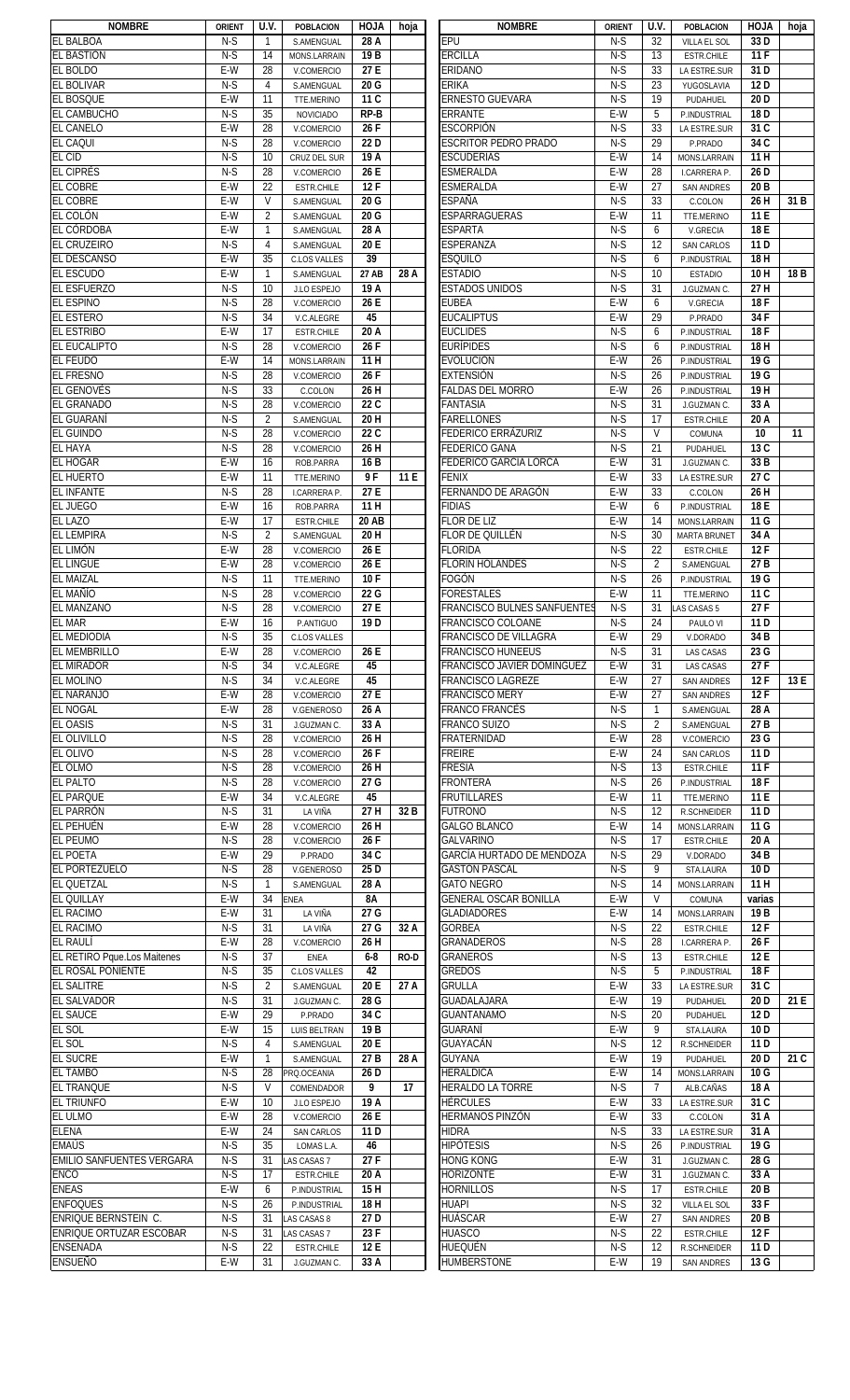| <b>NOMBRE</b>                                                    | <b>ORIENT</b> | U.V.           | <b>POBLACION</b>          | <b>HOJA</b>       | hoja        | <b>NOMBRE</b>                     | <b>ORIENT</b>  | U.V.           | <b>POBLACION</b>                 | <b>HOJA</b>       | hoja |
|------------------------------------------------------------------|---------------|----------------|---------------------------|-------------------|-------------|-----------------------------------|----------------|----------------|----------------------------------|-------------------|------|
| <b>EL BALBOA</b>                                                 | $N-S$         | $\mathbf{1}$   | S.AMENGUAL                | 28 A              |             | <b>EPU</b>                        | $N-S$          | 32             | VILLA EL SOL                     | 33D               |      |
| EL BASTIÓN                                                       | $N-S$         | 14             | MONS.LARRAIN              | 19 B              |             | <b>ERCILLA</b>                    | $N-S$          | 13             | ESTR.CHILE                       | 11F               |      |
| <b>EL BOLDO</b>                                                  | $E-W$         | 28             | V.COMERCIO                | 27E               |             | ERIDANO                           | $N-S$          | 33             | LA ESTRE.SUR                     | 31D               |      |
| <b>EL BOLIVAR</b>                                                | $N-S$         | $\overline{4}$ | S.AMENGUAL                | 20 G              |             | <b>ERIKA</b>                      | $N-S$          | 23             | YUGOSLAVIA                       | 12D               |      |
| <b>EL BOSQUE</b>                                                 | E-W           | 11             | TTE.MERINO                | 11C               |             | <b>ERNESTO GUEVARA</b>            | $N-S$          | 19             | PUDAHUEL                         | 20 <sub>D</sub>   |      |
| <b>EL CAMBUCHO</b>                                               | $N-S$         | 35             | <b>NOVICIADO</b>          | RP-B              |             | <b>ERRANTE</b>                    | E-W            | 5              | P.INDUSTRIAL                     | 18 <sub>D</sub>   |      |
| <b>EL CANELO</b>                                                 | E-W           | 28             | V.COMERCIO                | 26F               |             | <b>ESCORPIÓN</b>                  | $N-S$          | 33             | LA ESTRE.SUR                     | 31 C              |      |
| <b>EL CAQUI</b>                                                  | $N-S$         | 28             | V.COMERCIO                | 22 D              |             | <b>ESCRITOR PEDRO PRADO</b>       | $N-S$          | 29             | P.PRADO                          | 34 C              |      |
| <b>EL CID</b>                                                    | $N-S$         | 10             | CRUZ DEL SUR              | 19 A              |             | <b>ESCUDERÍAS</b>                 | E-W            | 14             | MONS.LARRAIN                     | 11H               |      |
| <b>EL CIPRÉS</b>                                                 | $N-S$         | 28             | V.COMERCIO                | 26 E              |             | <b>ESMERALDA</b>                  | E-W            | 28             | I.CARRERA P.                     | 26 D              |      |
| <b>EL COBRE</b>                                                  | E-W           | 22             | <b>ESTR.CHILE</b>         | 12F               |             | <b>ESMERALDA</b>                  | E-W            | 27             | <b>SAN ANDRES</b>                | 20 <sub>B</sub>   |      |
| <b>EL COBRE</b>                                                  | E-W           | V              | S.AMENGUAL                | 20 G              |             | <b>ESPAÑA</b>                     | $N-S$          | 33             | C.COLON                          | 26 H              | 31 B |
| EL COLÓN                                                         | $E-W$         | $\overline{2}$ |                           | 20G               |             | ESPARRAGUERAS                     | $E-W$          |                |                                  | 11 E              |      |
|                                                                  |               |                | S.AMENGUAL                |                   |             |                                   |                | 11             | TTE.MERINO                       |                   |      |
| EL CÓRDOBA                                                       | E-W           | $\mathbf{1}$   | S.AMENGUAL                | 28 A              |             | <b>ESPARTA</b>                    | $N-S$          | 6              | V.GRECIA                         | 18 E              |      |
| <b>EL CRUZEIRO</b>                                               | $N-S$         | 4              | S.AMENGUAL                | 20 E              |             | <b>ESPERANZA</b>                  | $N-S$          | 12             | <b>SAN CARLOS</b>                | 11 <sub>D</sub>   |      |
| <b>EL DESCANSO</b>                                               | E-W           | 35             | <b>C.LOS VALLES</b>       | 39                |             | <b>ESQUILO</b>                    | $N-S$          | 6              | P.INDUSTRIAL                     | 18H               |      |
| EL ESCUDO                                                        | E-W           | $\mathbf{1}$   | S.AMENGUAL                | 27 AB             | 28 A        | <b>ESTADIO</b>                    | $N-S$          | 10             | <b>ESTADIO</b>                   | 10H               | 18 B |
| <b>EL ESFUERZO</b>                                               | $N-S$         | 10             | J.LO ESPEJO               | 19 A              |             | <b>ESTADOS UNIDOS</b>             | $N-S$          | 31             | J.GUZMAN C.                      | 27 H              |      |
| <b>EL ESPINO</b>                                                 | $N-S$         | 28             | V.COMERCIO                | 26 E              |             | <b>EUBEA</b>                      | E-W            | 6              | <b>V.GRECIA</b>                  | 18F               |      |
| <b>EL ESTERO</b>                                                 | $N-S$         | 34             | V.C.ALEGRE                | 45                |             | <b>EUCALIPTUS</b>                 | E-W            | 29             | P.PRADO                          | 34F               |      |
| <b>EL ESTRIBO</b>                                                | E-W           | 17             | <b>ESTR.CHILE</b>         | 20 A              |             | <b>EUCLIDES</b>                   | $N-S$          | 6              | P.INDUSTRIAL                     | 18F               |      |
| EL EUCALIPTO                                                     | $N-S$         | 28             | V.COMERCIO                | 26F               |             | <b>EURÍPIDES</b>                  | $N-S$          | 6              | P.INDUSTRIAL                     | 18H               |      |
| <b>EL FEUDO</b>                                                  | E-W           | 14             | MONS.LARRAIN              | 11 H              |             | <b>EVOLUCIÓN</b>                  | $E-W$          | 26             | P.INDUSTRIAL                     | $\overline{19}$ G |      |
| <b>EL FRESNO</b>                                                 | $N-S$         | 28             | V.COMERCIO                | 26F               |             | <b>EXTENSIÓN</b>                  | $N-S$          | 26             | P.INDUSTRIAL                     | 19G               |      |
| <b>EL GENOVÉS</b>                                                | $N-S$         | 33             | C.COLON                   | 26H               |             | <b>FALDAS DEL MORRO</b>           | $E-W$          | 26             | P.INDUSTRIAL                     | 19H               |      |
| <b>EL GRANADO</b>                                                | $N-S$         | 28             | V.COMERCIO                | $\overline{22}$ C |             | <b>FANTASIA</b>                   | $N-S$          | 31             |                                  | 33 A              |      |
| <b>EL GUARANÍ</b>                                                | $N-S$         |                |                           | 20H               |             | <b>FARELLONES</b>                 | $N-S$          | 17             | J.GUZMAN C.                      | 20 A              |      |
|                                                                  |               | 2              | S.AMENGUAL                |                   |             |                                   |                |                | <b>ESTR.CHILE</b>                |                   |      |
| <b>EL GUINDO</b>                                                 | $N-S$         | 28             | V.COMERCIO                | 22 C              |             | FEDERICO ERRÁZURIZ                | $N-S$          | $\mathsf{V}$   | COMUNA                           | 10                | 11   |
| <b>EL HAYA</b>                                                   | $N-S$         | 28             | V.COMERCIO                | 26 H              |             | <b>FEDERICO GANA</b>              | $N-S$          | 21             | PUDAHUEL                         | 13 C              |      |
| <b>EL HOGAR</b>                                                  | E-W           | 16             | ROB.PARRA                 | 16 <sub>B</sub>   |             | FEDERICO GARCÍA LORCA             | E-W            | 31             | J.GUZMAN C.                      | 33 B              |      |
| <b>EL HUERTO</b>                                                 | E-W           | 11             | TTE.MERINO                | 9F                | 11 E        | <b>FENIX</b>                      | E-W            | 33             | LA ESTRE.SUR                     | 27 C              |      |
| <b>EL INFANTE</b>                                                | $N-S$         | 28             | I.CARRERA P.              | 27 E              |             | FERNANDO DE ARAGÓN                | E-W            | 33             | C.COLON                          | 26 H              |      |
| <b>EL JUEGO</b>                                                  | E-W           | 16             | ROB.PARRA                 | 11H               |             | <b>FIDIAS</b>                     | $E-W$          | 6              | P.INDUSTRIAL                     | 18 E              |      |
| <b>EL LAZO</b>                                                   | E-W           | 17             | <b>ESTR.CHILE</b>         | <b>20 AB</b>      |             | <b>FLOR DE LIZ</b>                | $E-W$          | 14             | MONS.LARRAIN                     | 11G               |      |
| <b>EL LEMPIRA</b>                                                | $N-S$         | $\overline{2}$ | S.AMENGUAL                | 20H               |             | FLOR DE QUILLÉN                   | $N-S$          | 30             | <b>MARTA BRUNET</b>              | 34 A              |      |
| EL LIMÓN                                                         | E-W           | 28             | V.COMERCIO                | 26 E              |             | <b>FLORIDA</b>                    | $N-S$          | 22             | <b>ESTR.CHILE</b>                | 12F               |      |
| <b>EL LINGUE</b>                                                 | E-W           | 28             | V.COMERCIO                | 26 E              |             | <b>FLORÍN HOLANDÉS</b>            | $N-S$          | 2              | S.AMENGUAL                       | 27 B              |      |
| <b>EL MAIZAL</b>                                                 | $N-S$         | 11             | TTE.MERINO                | 10F               |             | FOGÓN                             | $N-S$          | 26             | P.INDUSTRIAL                     | 19 G              |      |
| <b>EL MAÑÍO</b>                                                  | $N-S$         | 28             | V.COMERCIO                | 22 G              |             | FORESTALES                        | E-W            | 11             | TTE.MERINO                       | 11 C              |      |
| <b>EL MANZANO</b>                                                | $N-S$         | 28             |                           | 27 E              |             | FRANCISCO BULNES SANFUENTES       | $N-S$          |                |                                  | 27F               |      |
|                                                                  |               |                | V.COMERCIO                |                   |             |                                   |                | 31             | LAS CASAS 5                      |                   |      |
| <b>EL MAR</b>                                                    | E-W           | 16             | P.ANTIGUO                 | 19 <sub>D</sub>   |             | FRANCISCO COLOANE                 | $N-S$          | 24             | PAULO VI                         | 11D               |      |
| <b>EL MEDIODIA</b>                                               | $N-S$         | 35             | <b>C.LOS VALLES</b>       |                   |             | FRANCISCO DE VILLAGRA             | E-W            | 29             | V.DORADO                         | 34 B              |      |
| <b>EL MEMBRILLO</b>                                              | E-W           | 28             | V.COMERCIO                | 26 E              |             |                                   |                | 31             | <b>LAS CASAS</b>                 | 23 G              |      |
|                                                                  |               |                |                           |                   |             | <b>FRANCISCO HUNEEUS</b>          | N-S            |                |                                  |                   |      |
| <b>EL MIRADOR</b>                                                | $N-S$         | 34             | V.C.ALEGRE                | 45                |             | <b>FRANCISCO JAVIER DOMINGUEZ</b> | $E-W$          | 31             | <b>LAS CASAS</b>                 | 27F               |      |
| <b>EL MOLINO</b>                                                 | $N-S$         | 34             | V.C.ALEGRE                | 45                |             | <b>FRANCISCO LAGREZE</b>          | $E-W$          | 27             | <b>SAN ANDRES</b>                | 12F               | 13 E |
| <b>EL NARANJO</b>                                                | $E-W$         | 28             | V.COMERCIO                | 27E               |             | <b>FRANCISCO MERY</b>             | $E-W$          | 27             | <b>SAN ANDRES</b>                | 12F               |      |
| <b>EL NOGAL</b>                                                  | E-W           | 28             | V.GENEROSO                | 26 A              |             | <b>FRANCO FRANCÉS</b>             | $N-S$          | $\mathbf{1}$   | S.AMENGUAL                       | 28 A              |      |
|                                                                  | $N-S$         | 31             | J.GUZMAN C.               | 33 A              |             | FRANCO SUIZO                      | $N-S$          | 2              | S.AMENGUAL                       | 27 B              |      |
| <b>EL OASIS</b>                                                  |               |                |                           |                   |             |                                   |                |                |                                  |                   |      |
| <b>EL OLIVILLO</b>                                               | $N-S$         | 28             | V.COMERCIO                | 26 H              |             | FRATERNIDAD                       | E-W            | 28             | V.COMERCIO                       | 23 G              |      |
| <b>EL OLIVO</b>                                                  | $N-S$         | 28             | V.COMERCIO                | 26F               |             | FREIRE                            | E-W            | 24             | SAN CARLOS                       | 11 D              |      |
| EL OLMO                                                          | $N-S$         | 28             | V.COMERCIO                | 26H               |             | <b>FRESIA</b>                     | $N-S$          | 13             | ESTR.CHILE                       | 11F               |      |
| <b>EL PALTO</b>                                                  | $N-S$         | 28             | V.COMERCIO                | 27 G              |             | <b>FRONTERA</b>                   | $N-S$          | 26             | P.INDUSTRIAL                     | 18F               |      |
| <b>EL PARQUE</b>                                                 | E-W           | 34             | V.C.ALEGRE                | 45                |             | <b>FRUTILLARES</b>                | E-W            | 11             | TTE.MERINO                       | 11 E              |      |
| EL PARRÓN                                                        | $N-S$         | 31             | LA VIÑA                   | 27H               | 32 B        | <b>FUTRONO</b>                    | $N-S$          | 12             | R.SCHNEIDER                      | 11 <sub>D</sub>   |      |
| EL PEHUÉN                                                        | E-W           | 28             | V.COMERCIO                | 26H               |             | <b>GALGO BLANCO</b>               | $E-W$          | 14             | MONS.LARRAIN                     | 11 G              |      |
| <b>EL PEUMO</b>                                                  | $N-S$         | 28             | V.COMERCIO                | 26F               |             | <b>GALVARINO</b>                  | $N-S$          | 17             | ESTR.CHILE                       | 20 A              |      |
| <b>EL POETA</b>                                                  | E-W           | 29             | P.PRADO                   | 34C               |             | GARCÍA HURTADO DE MENDOZA         | $N-S$          | 29             | V.DORADO                         | 34 B              |      |
| <b>EL PORTEZUELO</b>                                             | $N-S$         | 28             | V.GENEROSO                | 25 D              |             | <b>GASTÓN PASCAL</b>              | $N-S$          | 9              | STA.LAURA                        | 10 <sub>D</sub>   |      |
|                                                                  | $N-S$         | $\mathbf{1}$   | S.AMENGUAL                | 28 A              |             | <b>GATO NEGRO</b>                 | $N-S$          | 14             | <b>MONS.LARRAIN</b>              | 11 H              |      |
| EL QUETZAL<br><b>EL QUILLAY</b>                                  | E-W           | 34             | <b>ENEA</b>               | <b>8A</b>         |             | <b>GENERAL OSCAR BONILLA</b>      | E-W            | V              | COMUNA                           | varias            |      |
|                                                                  | E-W           | 31             | LA VIÑA                   | 27 G              |             | <b>GLADIADORES</b>                | E-W            | 14             | MONS.LARRAIN                     | 19 B              |      |
| <b>EL RACIMO</b><br><b>EL RACIMO</b>                             | $N-S$         | 31             | LA VIÑA                   | 27 G              | 32 A        | <b>GORBEA</b>                     | $N-S$          | 22             | ESTR.CHILE                       | 12F               |      |
| <b>EL RAULÍ</b>                                                  | E-W           | 28             | V.COMERCIO                | 26 H              |             | <b>GRANADEROS</b>                 | $N-S$          | 28             | I.CARRERA P.                     | 26F               |      |
| EL RETIRO Pque.Los Maitenes                                      | $N-S$         | 37             | <b>ENEA</b>               | $6-8$             | <b>RO-D</b> | <b>GRANEROS</b>                   | $N-S$          | 13             | ESTR.CHILE                       | 12 E              |      |
| EL ROSAL PONIENTE                                                | $N-S$         | 35             | <b>C.LOS VALLES</b>       | 42                |             | <b>GREDOS</b>                     | $N-S$          | 5              | P.INDUSTRIAL                     | 18F               |      |
|                                                                  |               |                |                           |                   |             |                                   |                |                |                                  |                   |      |
| <b>EL SALITRE</b>                                                | $N-S$         | 2              | S.AMENGUAL                | 20 E              | 27 A        | <b>GRULLA</b>                     | $E-W$          | 33             | LA ESTRE.SUR                     | $\overline{31}$ C |      |
| <b>EL SALVADOR</b>                                               | $N-S$         | 31             | J.GUZMAN C.               | 28 G              |             | GUADALAJARA                       | E-W            | 19             | PUDAHUEL                         | 20 <sub>D</sub>   | 21 E |
| <b>EL SAUCE</b>                                                  | E-W           | 29             | P.PRADO                   | 34 C              |             | <b>GUANTANAMO</b>                 | $N-S$          | 20             | PUDAHUEL                         | 12D               |      |
| EL SOL                                                           | E-W           | 15             | <b>LUIS BELTRAN</b>       | 19 <sub>B</sub>   |             | <b>GUARANÍ</b>                    | E-W            | 9              | STA.LAURA                        | 10 <sub>D</sub>   |      |
| EL SOL                                                           | $N-S$         | $\overline{4}$ | S.AMENGUAL                | 20 E              |             | <b>GUAYACÁN</b>                   | $N-S$          | 12             | R.SCHNEIDER                      | 11D               |      |
| <b>EL SUCRE</b>                                                  | E-W           | 1              | S.AMENGUAL                | 27 B              | 28 A        | <b>GUYANA</b>                     | E-W            | 19             | PUDAHUEL                         | 20 <sub>D</sub>   | 21 C |
| <b>EL TAMBO</b>                                                  | $N-S$         | 28             | PRQ.OCEANIA               | 26 D              |             | <b>HERÁLDICA</b>                  | E-W            | 14             | MONS.LARRAIN                     | 10 G              |      |
| <b>EL TRANQUE</b>                                                | $N-S$         | $\mathsf{V}$   | COMENDADOR                | 9                 | 17          | <b>HERALDO LA TORRE</b>           | $N-S$          | $\overline{7}$ | ALB.CAÑAS                        | 18 A              |      |
| <b>EL TRIUNFO</b>                                                | E-W           | 10             | J.LO ESPEJO               | 19 A              |             | <b>HÉRCULES</b>                   | E-W            | 33             | LA ESTRE.SUR                     | 31 C              |      |
| EL ULMO                                                          | E-W           | 28             | V.COMERCIO                | 26 E              |             | <b>HERMANOS PINZÓN</b>            | E-W            | 33             | C.COLON                          | 31 A              |      |
|                                                                  | E-W           | 24             | SAN CARLOS                | 11 D              |             | HIDRA                             | $N-S$          | 33             | LA ESTRE.SUR                     | 31 A              |      |
|                                                                  | $N-S$         | 35             | LOMAS L.A.                | 46                |             | HIPÓTESIS                         | $N-S$          | 26             | P.INDUSTRIAL                     | 19G               |      |
|                                                                  | $N-S$         | 31             | LAS CASAS 7               | 27F               |             | <b>HONG KONG</b>                  | $E-W$          | 31             | J.GUZMAN C.                      | 28 G              |      |
| <b>ELENA</b><br><b>EMAÚS</b><br><b>EMILIO SANFUENTES VERGARA</b> | $N-S$         | 17             | <b>ESTR.CHILE</b>         | 20 A              |             | <b>HORIZONTE</b>                  | E-W            | 31             | J.GUZMAN C.                      | 33 A              |      |
| <b>ENCO</b>                                                      | E-W           | 6              |                           |                   |             |                                   |                | 17             |                                  |                   |      |
| <b>ENEAS</b>                                                     |               |                | P.INDUSTRIAL              | 15H               |             | Hornillos                         | $N-S$          |                | ESTR.CHILE                       | 20 B              |      |
| <b>ENFOQUES</b>                                                  | $N-S$         | 26             | P.INDUSTRIAL              | 18 H              |             | <b>HUAPI</b>                      | $N-S$          | 32             | VILLA EL SOL                     | 33F               |      |
| <b>ENRIQUE BERNSTEIN C.</b>                                      | $N-S$         | 31             | LAS CASAS 8               | 27 D              |             | HUÁSCAR                           | E-W            | 27             | <b>SAN ANDRES</b>                | 20 <sub>B</sub>   |      |
| <b>ENRIQUE ORTUZAR ESCOBAR</b>                                   | $N-S$         | 31             | LAS CASAS 7               | 23F               |             | <b>HUASCO</b>                     | $N-S$          | 22             | <b>ESTR.CHILE</b>                | 12F               |      |
| <b>ENSENADA</b><br><b>ENSUEÑO</b>                                | $N-S$<br>E-W  | 22<br>31       | ESTR.CHILE<br>J.GUZMAN C. | 12 E<br>33 A      |             | HUEQUÉN<br><b>HUMBERSTONE</b>     | $N-S$<br>$E-W$ | 12<br>19       | R.SCHNEIDER<br><b>SAN ANDRES</b> | 11 D<br>13 G      |      |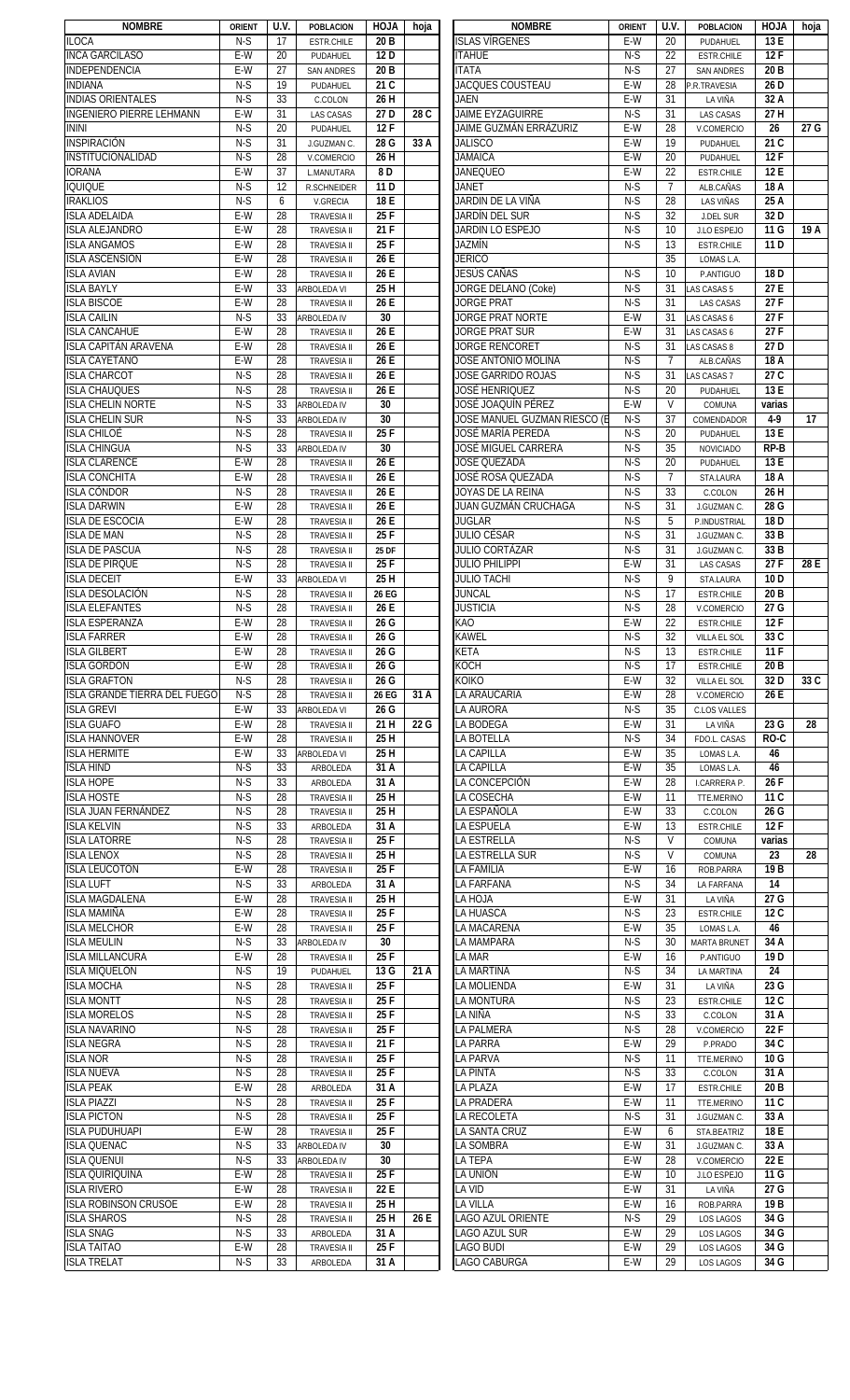| <b>NOMBRE</b>                       | <b>ORIENT</b> | U.V. | <b>POBLACION</b>   | <b>ALOH</b>      | hoja | <b>NOMBRE</b>                | <b>ORIENT</b> | U.V.           | <b>POBLACION</b>    | <b>HOJA</b>     | hoja |
|-------------------------------------|---------------|------|--------------------|------------------|------|------------------------------|---------------|----------------|---------------------|-----------------|------|
| <b>ILOCA</b>                        | $N-S$         | 17   | <b>ESTR.CHILE</b>  | 20 B             |      | <b>ISLAS VÍRGENES</b>        | E-W           | 20             | PUDAHUEL            | 13 E            |      |
| <b>INCA GARCILASO</b>               | $E-W$         | 20   | PUDAHUEL           | 12 D             |      | <b>ITAHUE</b>                | $N-S$         | 22             | <b>ESTR.CHILE</b>   | 12F             |      |
| <b>INDEPENDENCIA</b>                | $E-W$         | 27   | <b>SAN ANDRES</b>  | 20 <sub>B</sub>  |      | <b>ITATA</b>                 | $N-S$         | 27             | <b>SAN ANDRES</b>   | 20 B            |      |
| <b>INDIANA</b>                      | $N-S$         | 19   | PUDAHUEL           | 21 C             |      | <b>JACQUES COUSTEAU</b>      | E-W           | 28             | P.R.TRAVESIA        | 26 D            |      |
| <b>INDIAS ORIENTALES</b>            | $N-S$         | 33   |                    | 26H              |      | JAEN                         | $E-W$         | 31             |                     | 32 A            |      |
|                                     |               |      | C.COLON            |                  |      |                              |               |                | LA VIÑA             |                 |      |
| <b>INGENIERO PIERRE LEHMANN</b>     | E-W           | 31   | <b>LAS CASAS</b>   | 27 D             | 28 C | <b>JAIME EYZAGUIRRE</b>      | $N-S$         | 31             | <b>LAS CASAS</b>    | 27 H            |      |
| <b>ININI</b>                        | $N-S$         | 20   | PUDAHUEL           | 12F              |      | JAIME GUZMÁN ERRÁZURIZ       | E-W           | 28             | V.COMERCIO          | 26              | 27 G |
| INSPIRACIÓN                         | $N-S$         | 31   | J.GUZMAN C.        | 28 G             | 33 A | <b>JALISCO</b>               | E-W           | 19             | PUDAHUEL            | 21 C            |      |
| INSTITUCIONALIDAD                   | $N-S$         | 28   | V.COMERCIO         | 26 H             |      | <b>JAMAICA</b>               | E-W           | 20             | PUDAHUEL            | 12F             |      |
| <b>IORANA</b>                       | E-W           | 37   | <b>L.MANUTARA</b>  | 8 D              |      | <b>JANEQUEO</b>              | E-W           | 22             | <b>ESTR.CHILE</b>   | 12 E            |      |
| <b>IQUIQUE</b>                      | $N-S$         | 12   | <b>R.SCHNEIDER</b> | 11 <sub>D</sub>  |      | JANET                        | $N-S$         | $\overline{7}$ | ALB.CAÑAS           | 18 A            |      |
| <b>IRAKLIOS</b>                     | $N-S$         | 6    | V.GRECIA           | 18 E             |      | JARDIN DE LA VIÑA            | $N-S$         | 28             | <b>LAS VIÑAS</b>    | 25 A            |      |
| <b>ISLA ADELAIDA</b>                | $E-W$         | 28   | <b>TRAVESIA II</b> | 25F              |      | JARDÍN DEL SUR               | $N-S$         | 32             | <b>J.DEL SUR</b>    | 32 D            |      |
|                                     |               |      |                    |                  |      |                              |               |                |                     |                 |      |
| <b>ISLA ALEJANDRO</b>               | E-W           | 28   | <b>TRAVESIA II</b> | 21F              |      | JARDIN LO ESPEJO             | $N-S$         | 10             | J.LO ESPEJO         | 11 G            | 19 A |
| <b>ISLA ANGAMOS</b>                 | $E-W$         | 28   | <b>TRAVESIA II</b> | 25 F             |      | <b>JAZMÍN</b>                | $N-S$         | 13             | <b>ESTR.CHILE</b>   | 11 <sub>D</sub> |      |
| <b>ISLA ASCENSIÓN</b>               | E-W           | 28   | <b>TRAVESIA II</b> | 26 E             |      | jericó                       |               | 35             | LOMAS L.A.          |                 |      |
| <b>ISLA AVIAN</b>                   | E-W           | 28   | <b>TRAVESIA II</b> | 26 E             |      | JESÚS CAÑAS                  | $N-S$         | 10             | P.ANTIGUO           | 18 D            |      |
| <b>ISLA BAYLY</b>                   | E-W           | 33   | <b>ARBOLEDA VI</b> | 25 H             |      | <b>JORGE DELANO (Coke)</b>   | $N-S$         | 31             | LAS CASAS 5         | 27 E            |      |
| <b>ISLA BISCOE</b>                  | E-W           | 28   | <b>TRAVESIA II</b> | 26 E             |      | <b>JORGE PRAT</b>            | $N-S$         | 31             | <b>LAS CASAS</b>    | 27F             |      |
| <b>ISLA CAILIN</b>                  | $N-S$         | 33   | ARBOLEDA IV        | 30               |      | JORGE PRAT NORTE             | E-W           | 31             | LAS CASAS 6         | 27F             |      |
| <b>ISLA CANCAHUE</b>                | E-W           | 28   |                    | 26 E             |      | JORGE PRAT SUR               | E-W           | 31             |                     | 27F             |      |
|                                     |               |      | <b>TRAVESIA II</b> |                  |      |                              |               |                | LAS CASAS 6         |                 |      |
| <b>ISLA CAPITÁN ARAVENA</b>         | E-W           | 28   | <b>TRAVESIA II</b> | 26 E             |      | <b>JORGE RENCORET</b>        | $N-S$         | 31             | LAS CASAS 8         | 27 D            |      |
| <b>ISLA CAYETANO</b>                | $E-W$         | 28   | <b>TRAVESIA II</b> | 26E              |      | <b>JOSÉ ANTONIO MOLINA</b>   | $N-S$         | $\overline{7}$ | ALB.CAÑAS           | 18 A            |      |
| <b>ISLA CHARCOT</b>                 | $N-S$         | 28   | <b>TRAVESIA II</b> | 26 E             |      | JOSE GARRIDO ROJAS           | $N-S$         | 31             | LAS CASAS 7         | 27 C            |      |
| <b>ISLA CHAUQUES</b>                | $N-S$         | 28   | <b>TRAVESIA II</b> | 26 E             |      | JOSÉ HENRIQUEZ               | $N-S$         | 20             | PUDAHUEL            | 13 E            |      |
| <b>ISLA CHELIN NORTE</b>            | $N-S$         | 33   | <b>ARBOLEDA IV</b> | 30               |      | JOSÉ JOAQUÍN PÉREZ           | $E-W$         | $\mathsf{V}$   | COMUNA              | varias          |      |
| <b>ISLA CHELIN SUR</b>              | $N-S$         | 33   | <b>ARBOLEDA IV</b> | 30               |      | JOSE MANUEL GUZMAN RIESCO (E | $N-S$         | 37             | COMENDADOR          | $4-9$           | 17   |
| <b>ISLA CHILOÉ</b>                  | $N-S$         | 28   | <b>TRAVESIA II</b> | 25F              |      | JOSÉ MARÍA PEREDA            | $N-S$         | 20             | PUDAHUEL            | 13 E            |      |
| <b>ISLA CHINGUA</b>                 | $N-S$         | 33   | <b>ARBOLEDA IV</b> | 30               |      | JOSÉ MIGUEL CARRERA          | $N-S$         | 35             | <b>NOVICIADO</b>    | RP-B            |      |
|                                     |               |      |                    |                  |      |                              |               |                |                     |                 |      |
| <b>ISLA CLARENCE</b>                | E-W           | 28   | <b>TRAVESIA II</b> | 26 E             |      | JOSÉ QUEZADA                 | $N-S$         | 20             | PUDAHUEL            | 13 E            |      |
| <b>ISLA CONCHITA</b>                | E-W           | 28   | <b>TRAVESIA II</b> | 26 E             |      | JOSÉ ROSA QUEZADA            | $N-S$         | $\overline{7}$ | STA.LAURA           | 18 A            |      |
| <b>ISLA CÓNDOR</b>                  | $N-S$         | 28   | <b>TRAVESIA II</b> | 26 E             |      | JOYAS DE LA REINA            | $N-S$         | 33             | C.COLON             | 26 H            |      |
| <b>ISLA DARWIN</b>                  | $E-W$         | 28   | <b>TRAVESIA II</b> | 26 E             |      | JUAN GUZMÁN CRUCHAGA         | $N-S$         | 31             | J.GUZMAN C.         | 28 G            |      |
| <b>ISLA DE ESCOCIA</b>              | $E-W$         | 28   | <b>TRAVESIA II</b> | 26E              |      | <b>JUGLAR</b>                | $N-S$         | 5              | P.INDUSTRIAL        | 18 <sub>D</sub> |      |
| <b>ISLA DE MAN</b>                  | $N-S$         | 28   | <b>TRAVESIA II</b> | 25F              |      | <b>JULIO CÉSAR</b>           | $N-S$         | 31             | J.GUZMAN C.         | 33 B            |      |
| <b>ISLA DE PASCUA</b>               | $N-S$         | 28   | <b>TRAVESIA II</b> | <b>25 DF</b>     |      | JULIO CORTÁZAR               | $N-S$         | 31             | J.GUZMAN C.         | 33 B            |      |
|                                     | $N-S$         | 28   |                    | 25F              |      | <b>JULIO PHILIPPI</b>        | E-W           | 31             |                     | 27F             |      |
| <b>ISLA DE PIRQUE</b>               |               |      | <b>TRAVESIA II</b> |                  |      |                              |               |                | <b>LAS CASAS</b>    |                 | 28 E |
| <b>ISLA DECEIT</b>                  | E-W           | 33   | <b>ARBOLEDA VI</b> | 25 H             |      | <b>JULIO TACHI</b>           | $N-S$         | 9              | STA.LAURA           | 10 <sub>D</sub> |      |
| <b>ISLA DESOLACIÓN</b>              | $N-S$         | 28   | <b>TRAVESIA II</b> | <b>26 EG</b>     |      | <b>JUNCAL</b>                | $N-S$         | 17             | <b>ESTR.CHILE</b>   | 20 B            |      |
| <b>ISLA ELEFANTES</b>               | $N-S$         | 28   | <b>TRAVESIA II</b> | 26 E             |      | <b>JUSTICIA</b>              | $N-S$         | 28             | V.COMERCIO          | 27 G            |      |
| <b>ISLA ESPERANZA</b>               | E-W           | 28   | <b>TRAVESIA II</b> | 26 G             |      | KAO                          | E-W           | 22             | <b>ESTR.CHILE</b>   | 12F             |      |
| <b>ISLA FARRER</b>                  | E-W           | 28   | <b>TRAVESIA II</b> | 26 G             |      | <b>KAWEL</b>                 | $N-S$         | 32             | <b>VILLA EL SOL</b> | 33 C            |      |
| <b>ISLA GILBERT</b>                 | E-W           | 28   | <b>TRAVESIA II</b> | $26\overline{G}$ |      | <b>KETA</b>                  | $N-S$         | 13             | <b>ESTR.CHILE</b>   | 11 F            |      |
| <b>ISLA GORDON</b>                  | E-W           | 28   | <b>TRAVESIA II</b> | 26 G             |      | <b>KOCH</b>                  | $N-S$         | 17             | <b>ESTR.CHILE</b>   | 20 B            |      |
| <b>ISLA GRAFTON</b>                 | $N-S$         | 28   |                    | 26 G             |      | KOIKO                        | $E-W$         | 32             |                     | 32 D            | 33 C |
|                                     |               |      | <b>TRAVESIA II</b> |                  |      |                              |               |                | <b>VILLA EL SOL</b> |                 |      |
| <b>ISLA GRANDE TIERRA DEL FUEGO</b> | $N-S$         | 28   | <b>TRAVESIA II</b> | <b>26 EG</b>     | 31 A | <b>LA ARAUCARIA</b>          | $E-W$         | 28             | V.COMERCIO          | 26 E            |      |
| <b>ISLA GREVI</b>                   | E-W           | 33   | ARBOLEDA VI        | 26 G             |      | <b>LA AURORA</b>             | $N-S$         | 35             | <b>C.LOS VALLES</b> |                 |      |
| <b>ISLA GUAFO</b>                   | E-W           | 28   | <b>TRAVESIA II</b> | 21 H             | 22 G | LA BODEGA                    | E-W           | 31             | LA VIÑA             | 23 G            | 28   |
| <b>ISLA HANNOVER</b>                | E-W           | 28   | <b>TRAVESIA II</b> | 25 H             |      | <b>LA BOTELLA</b>            | $N-S$         | 34             | FDO.L. CASAS        | RO-C            |      |
| <b>ISLA HERMITE</b>                 | E-W           | 33   | <b>ARBOLEDA VI</b> | 25 H             |      | <b>LA CAPILLA</b>            | E-W           | 35             | LOMAS L.A.          | 46              |      |
| <b>ISLA HIND</b>                    | $N-S$         | 33   | ARBOLEDA           | 31 A             |      | <b>LA CAPILLA</b>            | E-W           | 35             | LOMAS L.A.          | 46              |      |
| <b>ISLA HOPE</b>                    | $N-S$         | 33   | ARBOLEDA           | 31 A             |      | LA CONCEPCIÓN                | E-W           | 28             | I.CARRERA P.        | 26F             |      |
| <b>ISLA HOSTE</b>                   | $N-S$         | 28   |                    | 25 H             |      | LA COSECHA                   | E-W           |                |                     | 11 C            |      |
|                                     |               |      | <b>TRAVESIA II</b> |                  |      |                              |               | 11             | TTE.MERINO          |                 |      |
| <b>ISLA JUAN FERNÁNDEZ</b>          | $N-S$         | 28   | <b>TRAVESIA II</b> | 25 H             |      | LA ESPAÑOLA                  | E-W           | 33             | C.COLON             | 26 G            |      |
| <b>ISLA KELVIN</b>                  | $N-S$         | 33   | ARBOLEDA           | 31 A             |      | <b>LA ESPUELA</b>            | E-W           | 13             | <b>ESTR.CHILE</b>   | 12F             |      |
| <b>ISLA LATORRE</b>                 | $N-S$         | 28   | <b>TRAVESIA II</b> | 25 F             |      | <b>LA ESTRELLA</b>           | $N-S$         | V              | COMUNA              | varias          |      |
| <b>ISLA LENOX</b>                   | $N-S$         | 28   | <b>TRAVESIA II</b> | 25 H             |      | LA ESTRELLA SUR              | $N-S$         | V              | COMUNA              | 23              | 28   |
| <b>ISLA LEUCOTÓN</b>                | E-W           | 28   | <b>TRAVESIA II</b> | 25F              |      | <b>LA FAMILIA</b>            | E-W           | 16             | ROB.PARRA           | 19 B            |      |
| <b>ISLA LUFT</b>                    | $N-S$         | 33   | ARBOLEDA           | 31 A             |      | LA FARFANA                   | $N-S$         | 34             | LA FARFANA          | 14              |      |
| <b>ISLA MAGDALENA</b>               | E-W           | 28   | <b>TRAVESIA II</b> | 25 H             |      | LA HOJA                      | E-W           | 31             | LA VIÑA             | 27 G            |      |
| <b>ISLA MAMIÑA</b>                  | E-W           | 28   | <b>TRAVESIA II</b> | 25F              |      | LA HUASCA                    | $N-S$         | 23             | <b>ESTR.CHILE</b>   | 12 C            |      |
| <b>ISLA MELCHOR</b>                 | E-W           | 28   |                    | 25F              |      | LA MACARENA                  | E-W           | 35             |                     | 46              |      |
|                                     |               |      | <b>TRAVESIA II</b> |                  |      |                              |               |                | LOMAS L.A.          |                 |      |
| <b>ISLA MEULIN</b>                  | $N-S$         | 33   | ARBOLEDA IV        | 30               |      | LA MAMPARA                   | $N-S$         | 30             | <b>MARTA BRUNET</b> | 34 A            |      |
| <b>ISLA MILLANCURA</b>              | $E-W$         | 28   | <b>TRAVESIA II</b> | 25F              |      | LA MAR                       | E-W           | 16             | P.ANTIGUO           | 19 D            |      |
| <b>ISLA MIQUELÓN</b>                | $N-S$         | 19   | PUDAHUEL           | 13 G             | 21 A | <b>LA MARTINA</b>            | $N-S$         | 34             | LA MARTINA          | 24              |      |
| <b>ISLA MOCHA</b>                   | $N-S$         | 28   | <b>TRAVESIA II</b> | 25F              |      | <b>LA MOLIENDA</b>           | E-W           | 31             | LA VIÑA             | 23 G            |      |
| <b>ISLA MONTT</b>                   | $N-S$         | 28   | <b>TRAVESIA II</b> | 25 F             |      | LA MONTURA                   | $N-S$         | 23             | <b>ESTR.CHILE</b>   | 12 C            |      |
| <b>ISLA MORELOS</b>                 | $N-S$         | 28   | <b>TRAVESIA II</b> | 25 F             |      | LA NIÑA                      | $N-S$         | 33             | C.COLON             | 31 A            |      |
| <b>ISLA NAVARINO</b>                | $N-S$         | 28   | <b>TRAVESIA II</b> | 25 F             |      | <b>LA PALMERA</b>            | $N-S$         | 28             | V.COMERCIO          | 22 F            |      |
| <b>ISLA NEGRA</b>                   | $N-S$         | 28   | <b>TRAVESIA II</b> | 21F              |      | <b>LA PARRA</b>              | E-W           | 29             | P.PRADO             | 34 C            |      |
| <b>ISLA NOR</b>                     | $N-S$         | 28   | <b>TRAVESIA II</b> | 25 F             |      | <b>LA PARVA</b>              | $N-S$         | 11             | TTE.MERINO          | 10G             |      |
|                                     |               |      |                    |                  |      |                              | $N-S$         |                |                     |                 |      |
| <b>ISLA NUEVA</b>                   | $N-S$         | 28   | <b>TRAVESIA II</b> | 25 F             |      | <b>LA PINTA</b>              |               | 33             | C.COLON             | 31 A            |      |
| <b>ISLA PEAK</b>                    | E-W           | 28   | ARBOLEDA           | 31 A             |      | <b>LA PLAZA</b>              | E-W           | 17             | <b>ESTR.CHILE</b>   | 20 B            |      |
| <b>ISLA PIAZZI</b>                  | $N-S$         | 28   | <b>TRAVESIA II</b> | 25F              |      | <b>LA PRADERA</b>            | E-W           | 11             | TTE.MERINO          | 11 C            |      |
| <b>ISLA PICTON</b>                  | $N-S$         | 28   | <b>TRAVESIA II</b> | 25F              |      | LA RECOLETA                  | $N-S$         | 31             | J.GUZMAN C.         | 33 A            |      |
| <b>ISLA PUDUHUAPI</b>               | E-W           | 28   | <b>TRAVESIA II</b> | 25F              |      | LA SANTA CRUZ                | E-W           | 6              | STA.BEATRIZ         | 18 E            |      |
| <b>ISLA QUENAC</b>                  | $N-S$         | 33   | <b>ARBOLEDA IV</b> | 30               |      | <b>LA SOMBRA</b>             | E-W           | 31             | J.GUZMAN C.         | 33 A            |      |
| <b>ISLA QUENUI</b>                  | $N-S$         | 33   | <b>ARBOLEDA IV</b> | 30               |      | LA TEPA                      | E-W           | 28             | V.COMERCIO          | 22 E            |      |
|                                     | E-W           | 28   |                    | 25F              |      |                              | E-W           |                | J.LO ESPEJO         |                 |      |
| <b>ISLA QUIRIQUINA</b>              |               |      | <b>TRAVESIA II</b> |                  |      | la unión                     |               | 10             |                     | 11 G            |      |
| <b>ISLA RIVERO</b>                  | E-W           | 28   | <b>TRAVESIA II</b> | 22 E             |      | <b>LA VID</b>                | E-W           | 31             | LA VIÑA             | 27 G            |      |
| <b>ISLA ROBINSON CRUSOE</b>         | E-W           | 28   | <b>TRAVESIA II</b> | 25 H             |      | <b>LA VILLA</b>              | E-W           | 16             | ROB.PARRA           | 19 B            |      |
| <b>ISLA SHAROS</b>                  | $N-S$         | 28   | <b>TRAVESIA II</b> | 25 H             | 26 E | <b>LAGO AZUL ORIENTE</b>     | $N-S$         | 29             | LOS LAGOS           | 34 G            |      |
| <b>ISLA SNAG</b>                    | $N-S$         | 33   | ARBOLEDA           | 31 A             |      | LAGO AZUL SUR                | E-W           | 29             | LOS LAGOS           | 34 G            |      |
| <b>ISLA TAITAO</b>                  | E-W           | 28   | <b>TRAVESIA II</b> | 25F              |      | <b>LAGO BUDI</b>             | E-W           | 29             | LOS LAGOS           | 34 G            |      |
| <b>ISLA TRELAT</b>                  | $N-S$         | 33   | ARBOLEDA           | 31 A             |      | <b>LAGO CABURGA</b>          | E-W           | 29             | LOS LAGOS           | 34 G            |      |
|                                     |               |      |                    |                  |      |                              |               |                |                     |                 |      |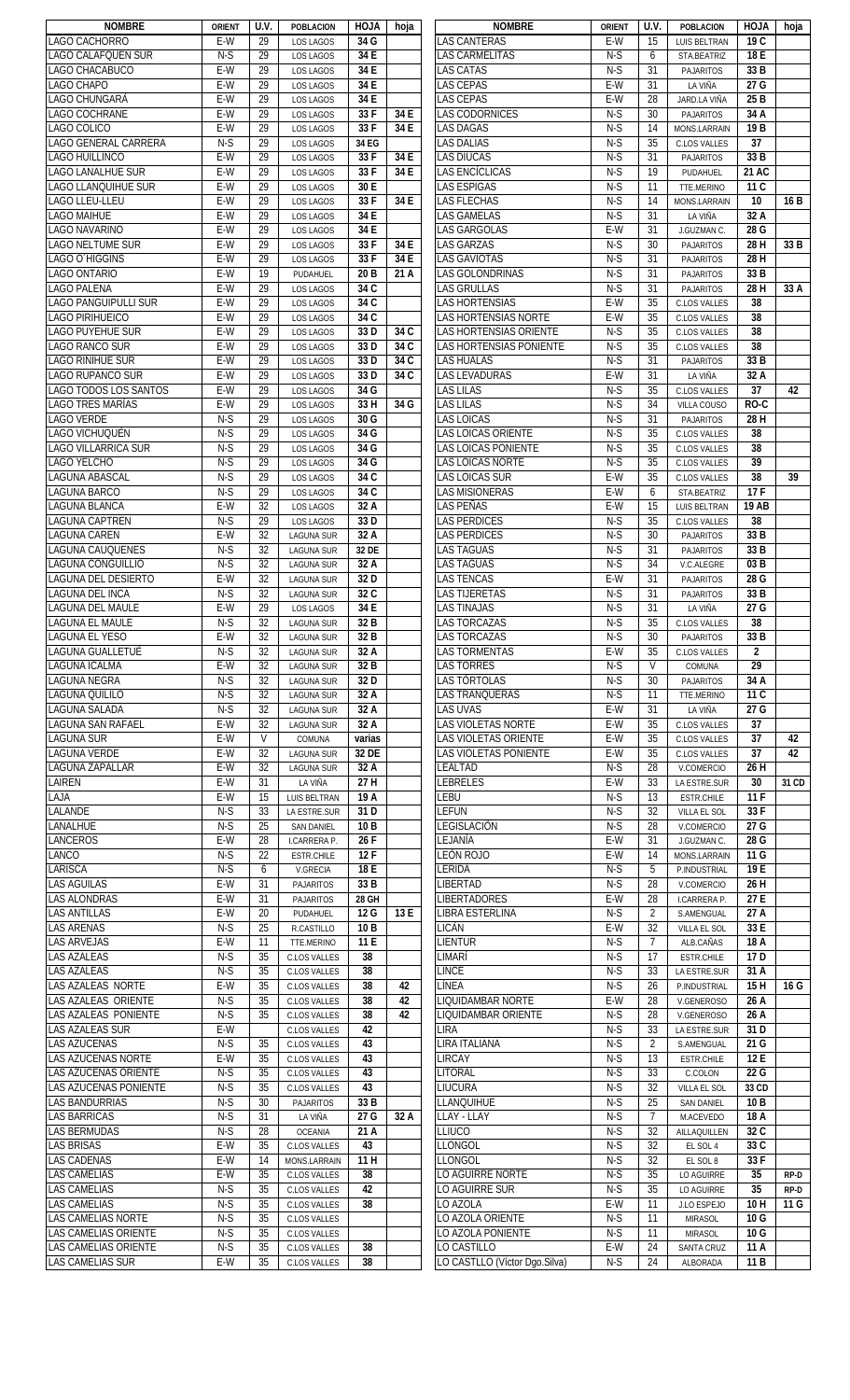| <b>NOMBRE</b>                                   | <b>ORIENT</b> | U.V.            | <b>POBLACION</b>             | <b>HOJA</b>       | hoja | <b>NOMBRE</b>                                | <b>ORIENT</b> | U.V.     | <b>POBLACION</b>       | HOJA                    | hoja  |
|-------------------------------------------------|---------------|-----------------|------------------------------|-------------------|------|----------------------------------------------|---------------|----------|------------------------|-------------------------|-------|
| LAGO CACHORRO                                   | E-W           | 29              | LOS LAGOS                    | 34 G              |      | LAS CANTERAS                                 | E-W           | 15       | LUIS BELTRAN           | 19 C                    |       |
| LAGO CALAFQUEN SUR                              | $N-S$         | 29              | LOS LAGOS                    | 34 E              |      | LAS CARMELITAS                               | $N-S$         | 6        | STA.BEATRIZ            | 18 E                    |       |
| LAGO CHACABUCO                                  | $E-W$         | 29              | LOS LAGOS                    | 34 E              |      | <b>LAS CATAS</b>                             | $N-S$         | 31       | <b>PAJARITOS</b>       | 33 B                    |       |
| LAGO CHAPO                                      | E-W           | 29              |                              | 34 E              |      | <b>LAS CEPAS</b>                             | $E-W$         | 31       |                        | 27G                     |       |
|                                                 |               |                 | LOS LAGOS                    |                   |      |                                              |               |          | LA VIÑA                |                         |       |
| LAGO CHUNGARÁ                                   | E-W           | 29              | LOS LAGOS                    | 34 E              |      | LAS CEPAS                                    | $E-W$         | 28       | JARD.LA VIÑA           | 25 <sub>B</sub>         |       |
| LAGO COCHRANE                                   | E-W           | 29              | LOS LAGOS                    | 33F               | 34 E | LAS CODORNICES                               | $N-S$         | 30       | PAJARITOS              | 34 A                    |       |
| LAGO COLICO                                     | E-W           | 29              | LOS LAGOS                    | 33F               | 34 E | <b>LAS DAGAS</b>                             | $N-S$         | 14       | MONS.LARRAIN           | 19 <sub>B</sub>         |       |
| LAGO GENERAL CARRERA                            | $N-S$         | 29              | LOS LAGOS                    | 34 EG             |      | <b>LAS DALIAS</b>                            | $N-S$         | 35       | <b>C.LOS VALLES</b>    | 37                      |       |
| LAGO HUILLINCO                                  | E-W           | 29              | LOS LAGOS                    | 33F               | 34 E | <b>LAS DIUCAS</b>                            | $N-S$         | 31       | PAJARITOS              | 33 B                    |       |
| <b>LAGO LANALHUE SUR</b>                        | E-W           | 29              |                              | 33F               | 34 E | <b>LAS ENCÍCLICAS</b>                        | $N-S$         | 19       |                        | 21 AC                   |       |
|                                                 |               |                 | LOS LAGOS                    |                   |      |                                              |               |          | PUDAHUEL               |                         |       |
| LAGO LLANQUIHUE SUR                             | E-W           | 29              | LOS LAGOS                    | 30 E              |      | <b>LAS ESPIGAS</b>                           | $N-S$         | 11       | TTE.MERINO             | 11 C                    |       |
| LAGO LLEU-LLEU                                  | E-W           | 29              | LOS LAGOS                    | 33 F              | 34 E | <b>LAS FLECHAS</b>                           | $N-S$         | 14       | MONS.LARRAIN           | 10                      | 16 B  |
| <b>LAGO MAIHUE</b>                              | E-W           | 29              | LOS LAGOS                    | 34 E              |      | LAS GAMELAS                                  | $N-S$         | 31       | LA VIÑA                | 32 A                    |       |
| LAGO NAVARINO                                   | E-W           | 29              | LOS LAGOS                    | 34 E              |      | <b>LAS GARGOLAS</b>                          | $E-W$         | 31       | J.GUZMAN C.            | 28 G                    |       |
| <b>LAGO NELTUME SUR</b>                         | E-W           | 29              | LOS LAGOS                    | 33F               | 34 E | <b>LAS GARZAS</b>                            | $N-S$         | 30       | <b>PAJARITOS</b>       | 28H                     | 33 B  |
|                                                 |               |                 |                              |                   |      |                                              |               |          |                        |                         |       |
| LAGO O HIGGINS                                  | E-W           | 29              | LOS LAGOS                    | 33F               | 34 E | <b>LAS GAVIOTAS</b>                          | $N-S$         | 31       | <b>PAJARITOS</b>       | 28H                     |       |
| LAGO ONTARIO                                    | E-W           | 19              | PUDAHUEL                     | 20 B              | 21 A | LAS GOLONDRINAS                              | $N-S$         | 31       | PAJARITOS              | 33 B                    |       |
| LAGO PALENA                                     | E-W           | 29              | LOS LAGOS                    | 34 C              |      | LAS GRULLAS                                  | $N-S$         | 31       | <b>PAJARITOS</b>       | 28H                     | 33 A  |
| <b>LAGO PANGUIPULLI SUR</b>                     | E-W           | 29              | LOS LAGOS                    | 34 C              |      | <b>LAS HORTENSIAS</b>                        | E-W           | 35       | <b>C.LOS VALLES</b>    | 38                      |       |
| LAGO PIRIHUEICO                                 | E-W           | 29              | LOS LAGOS                    | 34 C              |      | LAS HORTENSIAS NORTE                         | E-W           | 35       | <b>C.LOS VALLES</b>    | 38                      |       |
|                                                 |               |                 |                              |                   |      |                                              |               |          |                        |                         |       |
| LAGO PUYEHUE SUR                                | E-W           | 29              | LOS LAGOS                    | 33 D              | 34 C | LAS HORTENSIAS ORIENTE                       | $N-S$         | 35       | C.LOS VALLES           | 38                      |       |
| LAGO RANCO SUR                                  | E-W           | 29              | LOS LAGOS                    | 33 D              | 34 C | LAS HORTENSIAS PONIENTE                      | $N-S$         | 35       | C.LOS VALLES           | 38                      |       |
| LAGO RIÑIHUE SUR                                | E-W           | 29              | LOS LAGOS                    | 33 D              | 34 C | <b>LAS HUALAS</b>                            | $N-S$         | 31       | <b>PAJARITOS</b>       | 33 B                    |       |
| LAGO RUPANCO SUR                                | E-W           | 29              | <b>LOS LAGOS</b>             | 33 D              | 34 C | <b>LAS LEVADURAS</b>                         | E-W           | 31       | LA VIÑA                | 32 A                    |       |
| LAGO TODOS LOS SANTOS                           | $E-W$         | 29              | LOS LAGOS                    | 34 G              |      | <b>LAS LILAS</b>                             | $N-S$         | 35       | C.LOS VALLES           | $\overline{37}$         | 42    |
| <b>LAGO TRES MARÍAS</b>                         | E-W           | 29              |                              | 33 H              |      | <b>LAS LILAS</b>                             | $N-S$         | 34       | VILLA COUSO            | $RO-C$                  |       |
|                                                 |               |                 | LOS LAGOS                    |                   | 34 G |                                              |               |          |                        |                         |       |
| <b>LAGO VERDE</b>                               | $N-S$         | 29              | LOS LAGOS                    | 30 G              |      | LAS LOICAS                                   | $N-S$         | 31       | <b>PAJARITOS</b>       | 28 H                    |       |
| LAGO VICHUQUÉN                                  | $N-S$         | 29              | LOS LAGOS                    | 34 G              |      | LAS LOICAS ORIENTE                           | $N-S$         | 35       | <b>C.LOS VALLES</b>    | 38                      |       |
| <b>LAGO VILLARRICA SUR</b>                      | $N-S$         | 29              | LOS LAGOS                    | 34 G              |      | LAS LOICAS PONIENTE                          | $N-S$         | 35       | <b>C.LOS VALLES</b>    | 38                      |       |
| LAGO YELCHO                                     | $N-S$         | 29              | LOS LAGOS                    | 34 G              |      | LAS LOICAS NORTE                             | $N-S$         | 35       | <b>C.LOS VALLES</b>    | 39                      |       |
|                                                 |               |                 |                              | 34 C              |      |                                              |               |          |                        |                         |       |
| <b>LAGUNA ABASCAL</b>                           | $N-S$         | 29              | LOS LAGOS                    |                   |      | LAS LOICAS SUR                               | E-W           | 35       | <b>C.LOS VALLES</b>    | 38                      | 39    |
| LAGUNA BARCO                                    | $N-S$         | 29              | LOS LAGOS                    | 34 C              |      | LAS MISIONERAS                               | E-W           | 6        | STA.BEATRIZ            | 17F                     |       |
| LAGUNA BLANCA                                   | $E-W$         | 32              | LOS LAGOS                    | 32 A              |      | LAS PEÑAS                                    | E-W           | 15       | LUIS BELTRAN           | <b>19 AB</b>            |       |
| <b>LAGUNA CAPTREN</b>                           | $N-S$         | 29              | LOS LAGOS                    | 33 D              |      | LAS PERDICES                                 | $N-S$         | 35       | <b>C.LOS VALLES</b>    | 38                      |       |
| <b>LAGUNA CAREN</b>                             | E-W           | 32              | <b>LAGUNA SUR</b>            | 32 A              |      | LAS PERDICES                                 | $N-S$         | 30       | <b>PAJARITOS</b>       | 33 B                    |       |
| LAGUNA CAUQUENES                                | $N-S$         | 32              | <b>LAGUNA SUR</b>            | 32 DE             |      | AS TAGUAS                                    | $N-S$         | 31       | <b>PAJARITOS</b>       | 33 B                    |       |
|                                                 |               |                 |                              |                   |      |                                              |               |          |                        |                         |       |
| LAGUNA CONGUILLIO                               | $N-S$         | 32              | <b>LAGUNA SUR</b>            | 32 A              |      | LAS TAGUAS                                   | $N-S$         | 34       | V.C.ALEGRE             | 03B                     |       |
| <b>LAGUNA DEL DESIERTO</b>                      | E-W           | 32              | <b>LAGUNA SUR</b>            | 32 D              |      | LAS TENCAS                                   | E-W           | 31       | <b>PAJARITOS</b>       | 28 G                    |       |
| <b>LAGUNA DEL INCA</b>                          | $N-S$         | 32              | <b>LAGUNA SUR</b>            | 32 C              |      | <b>LAS TIJERETAS</b>                         | $N-S$         | 31       | <b>PAJARITOS</b>       | 33 B                    |       |
| LAGUNA DEL MAULE                                | E-W           | 29              | LOS LAGOS                    | 34 E              |      | LAS TINAJAS                                  | $N-S$         | 31       | LA VIÑA                | 27 G                    |       |
| LAGUNA EL MAULE                                 | $N-S$         | 32              | <b>LAGUNA SUR</b>            | 32 B              |      | AS TORCAZAS                                  | $N-S$         | 35       | C.LOS VALLES           | 38                      |       |
|                                                 |               |                 |                              |                   |      |                                              |               |          |                        |                         |       |
| <b>LAGUNA EL YESO</b>                           | E-W           | 32              | <b>LAGUNA SUR</b>            | 32 B              |      | LAS TORCAZAS                                 | $N-S$         | 30       | <b>PAJARITOS</b>       | 33 B                    |       |
| <b>LAGUNA GUALLETUÉ</b>                         | $N-S$         | 32              | <b>LAGUNA SUR</b>            | 32 A              |      | <b>LAS TORMENTAS</b>                         | E-W           | 35       | <b>C.LOS VALLES</b>    | $\overline{2}$          |       |
| LAGUNA ICALMA                                   | $E-W$         | 32              | <b>LAGUNA SUR</b>            | 32 B              |      | <b>LAS TORRES</b>                            | $N-S$         | V        | <b>COMUNA</b>          | 29                      |       |
| <b>LAGUNA NEGRA</b>                             | $N-S$         | $\overline{32}$ | <b>LAGUNA SUR</b>            | 32 D              |      | <b>LAS TÓRTOLAS</b>                          | $N-S$         | 30       | <b>PAJARITOS</b>       | 34 A                    |       |
| <b>LAGUNA QUILILO</b>                           | $N-S$         | 32              | <b>LAGUNA SUR</b>            | 32 A              |      | LAS TRANQUERAS                               | $N-S$         | 11       | TTE.MERINO             | 11C                     |       |
| <b>LAGUNA SALADA</b>                            | $N-S$         | 32              | <b>LAGUNA SUR</b>            | 32 A              |      | <b>LAS UVAS</b>                              | $E-W$         | 31       | LA VIÑA                | 27 G                    |       |
|                                                 |               |                 |                              |                   |      |                                              |               |          |                        |                         |       |
| LAGUNA SAN RAFAEL                               | E-W           | 32              | <b>LAGUNA SUR</b>            | 32 A              |      | LAS VIOLETAS NORTE                           | E-W           | 35       | C.LOS VALLES           | 37                      |       |
| <b>LAGUNA SUR</b>                               | E-W           | V               | COMUNA                       | varias            |      | LAS VIOLETAS ORIENTE                         | E-W           | 35       | C.LOS VALLES           | 37                      | 42    |
| <b>LAGUNA VERDE</b>                             | E-W           | 32              | <b>LAGUNA SUR</b>            | 32 DE             |      | LAS VIOLETAS PONIENTE                        | E-W           | 35       | C.LOS VALLES           | 37                      | 42    |
| LAGUNA ZAPALLAR                                 | E-W           | 32              | <b>LAGUNA SUR</b>            | 32 A              |      | LEALTAD                                      | $N-S$         | 28       | V.COMERCIO             | 26 H                    |       |
|                                                 |               |                 |                              | 27 H              |      |                                              |               |          |                        |                         |       |
|                                                 |               |                 |                              |                   |      |                                              |               |          |                        |                         |       |
| LAIREN                                          | E-W           | 31              | LA VIÑA                      |                   |      | LEBRELES                                     | E-W           | 33       | LA ESTRE.SUR           | 30                      | 31 CD |
| LAJA                                            | E-W           | 15              | <b>LUIS BELTRAN</b>          | 19 A              |      | LEBU                                         | $N-S$         | 13       | ESTR.CHILE             | 11F                     |       |
| LALANDE                                         | $N-S$         | 33              | LA ESTRE.SUR                 | 31 D              |      | LEFUN                                        | $N-S$         | 32       | VILLA EL SOL           | 33F                     |       |
| LANALHUE                                        | $N-S$         | 25              | <b>SAN DANIEL</b>            | 10 <sub>B</sub>   |      | LEGISLACIÓN                                  | $N-S$         | 28       | V.COMERCIO             | 27 G                    |       |
| LANCEROS                                        | $E-W$         | 28              | I.CARRERA P.                 | 26F               |      | LEJANÍA                                      | $E-W$         | 31       | J.GUZMAN C.            | 28 G                    |       |
|                                                 |               |                 |                              |                   |      |                                              |               |          |                        |                         |       |
| LANCO                                           | $N-S$         | 22              | ESTR.CHILE                   | 12F               |      | LEÓN ROJO                                    | $E-W$         | 14       | MONS.LARRAIN           | 11G                     |       |
| LARISCA                                         | $N-S$         | 6               | V.GRECIA                     | 18 E              |      | lérida                                       | $N-S$         | 5        | P.INDUSTRIAL           | 19 E                    |       |
| <b>LAS AGUILAS</b>                              | E-W           | 31              | <b>PAJARITOS</b>             | 33 B              |      | LIBERTAD                                     | $N-S$         | 28       | V.COMERCIO             | 26H                     |       |
| LAS ALONDRAS                                    | E-W           | 31              | <b>PAJARITOS</b>             | 28 GH             |      | <b>LIBERTADORES</b>                          | E-W           | 28       | I.CARRERA P.           | 27 E                    |       |
| <b>LAS ANTILLAS</b>                             | E-W           | 20              | PUDAHUEL                     | 12 G              | 13 E | LIBRA ESTERLINA                              | $N-S$         | 2        | S.AMENGUAL             | 27 A                    |       |
| <b>LAS ARENAS</b>                               | $N-S$         | 25              | R.CASTILLO                   | 10 <sub>B</sub>   |      | LICÁN                                        | E-W           | 32       |                        | 33 E                    |       |
|                                                 |               |                 |                              |                   |      |                                              |               |          | VILLA EL SOL           |                         |       |
| <b>LAS ARVEJAS</b>                              | E-W           | 11              | TTE.MERINO                   | 11 E              |      | LIENTUR                                      | $N-S$         | 7        | ALB.CAÑAS              | 18 A                    |       |
| <b>LAS AZALEAS</b>                              | $N-S$         | 35              | C.LOS VALLES                 | 38                |      | limarí                                       | $N-S$         | 17       | ESTR.CHILE             | 17 <sub>D</sub>         |       |
| <b>LAS AZALEAS</b>                              | $N-S$         | 35              | <b>C.LOS VALLES</b>          | 38                |      | LINCE                                        | $N-S$         | 33       | LA ESTRE.SUR           | 31 A                    |       |
|                                                 | $E-W$         | 35              | <b>C.LOS VALLES</b>          | 38                | 42   | LÍNEA                                        | $N-S$         | 26       | P.INDUSTRIAL           | 15H                     | 16 G  |
| LAS AZALEAS ORIENTE                             | $N-S$         | 35              | <b>C.LOS VALLES</b>          | 38                | 42   | LIQUIDAMBAR NORTE                            | $E-W$         | 28       | V.GENEROSO             | 26 A                    |       |
|                                                 |               |                 |                              |                   |      |                                              |               |          |                        |                         |       |
| LAS AZALEAS PONIENTE                            | $N-S$         | 35              | C.LOS VALLES                 | 38                | 42   | LIQUIDAMBAR ORIENTE                          | $N-S$         | 28       | V.GENEROSO             | 26 A                    |       |
| <b>LAS AZALEAS SUR</b>                          | E-W           |                 | <b>C.LOS VALLES</b>          | 42                |      | lira                                         | $N-S$         | 33       | LA ESTRE.SUR           | 31D                     |       |
| <b>LAS AZUCENAS</b>                             | $N-S$         | 35              | <b>C.LOS VALLES</b>          | 43                |      | LIRA ITALIANA                                | $N-S$         | 2        | S.AMENGUAL             | 21 G                    |       |
| <b>LAS AZUCENAS NORTE</b>                       | E-W           | 35              | <b>C.LOS VALLES</b>          | 43                |      | LIRCAY                                       | $N-S$         | 13       | <b>ESTR.CHILE</b>      | 12 E                    |       |
| LAS AZUCENAS ORIENTE                            | $N-S$         | 35              | C.LOS VALLES                 | 43                |      | LITORAL                                      | $N-S$         | 33       | C.COLON                | 22 G                    |       |
|                                                 |               |                 |                              |                   |      |                                              |               |          |                        |                         |       |
| <b>LAS AZUCENAS PONIENTE</b>                    | $N-S$         | 35              | <b>C.LOS VALLES</b>          | 43                |      | LIUCURA                                      | $N-S$         | 32       | VILLA EL SOL           | 33 CD                   |       |
| <b>LAS BANDURRIAS</b>                           | $N-S$         | 30              | <b>PAJARITOS</b>             | 33 B              |      | <b>LLANQUIHUE</b>                            | $N-S$         | 25       | <b>SAN DANIEL</b>      | 10 <sub>B</sub>         |       |
| LAS BARRICAS                                    | $N-S$         | 31              | LA VIÑA                      | $\overline{27}$ G | 32 A | <b>LAY - LLAY</b>                            | $N-S$         | 7        | M.ACEVEDO              | 18 A                    |       |
| <b>LAS BERMUDAS</b>                             | $N-S$         | 28              | <b>OCEANIA</b>               | 21 A              |      | LLIUCO                                       | $N-S$         | 32       | AILLAQUILLEN           | 32 C                    |       |
| <b>LAS BRISAS</b>                               | $E-W$         | 35              | <b>C.LOS VALLES</b>          | 43                |      | LLONGOL                                      | $N-S$         | 32       | EL SOL 4               | 33 C                    |       |
|                                                 |               |                 |                              |                   |      |                                              |               |          |                        |                         |       |
|                                                 | E-W           | 14              | MONS.LARRAIN                 | 11 H              |      | LLONGOL                                      | $N-S$         | 32       | EL SOL 8               | 33F                     |       |
| <b>LAS CAMELIAS</b>                             | E-W           | 35              | C.LOS VALLES                 | 38                |      | O AGUIRRE NORTE                              | $N-S$         | 35       | LO AGUIRRE             | 35                      | RP-D  |
| <b>LAS CAMELIAS</b>                             | $N-S$         | 35              | C.LOS VALLES                 | 42                |      | o aguirre sur.                               | $N-S$         | 35       | LO AGUIRRE             | 35                      | RP-D  |
| <b>LAS CADENAS</b><br><b>LAS CAMELIAS</b>       | $N-S$         | 35              | C.LOS VALLES                 | 38                |      | O AZOLA                                      | E-W           | 11       | J.LO ESPEJO            | 10H                     | 11 G  |
| <b>LAS CAMELIAS NORTE</b>                       | $N-S$         | 35              | C.LOS VALLES                 |                   |      | LO AZOLA ORIENTE                             | $N-S$         | 11       | <b>MIRASOL</b>         | 10G                     |       |
|                                                 |               |                 |                              |                   |      |                                              |               | 11       |                        |                         |       |
| LAS AZALEAS NORTE<br>LAS CAMELIAS ORIENTE       | $N-S$         | 35              | C.LOS VALLES                 |                   |      | O AZOLA PONIENTE                             | $N-S$         |          | <b>MIRASOL</b>         | 10 G                    |       |
| LAS CAMELIAS ORIENTE<br><b>LAS CAMELIAS SUR</b> | $N-S$<br>E-W  | 35<br>35        | C.LOS VALLES<br>C.LOS VALLES | 38<br>38          |      | LO CASTILLO<br>LO CASTLLO (Víctor Dgo.Silva) | E-W<br>$N-S$  | 24<br>24 | SANTA CRUZ<br>ALBORADA | 11 A<br>11 <sub>B</sub> |       |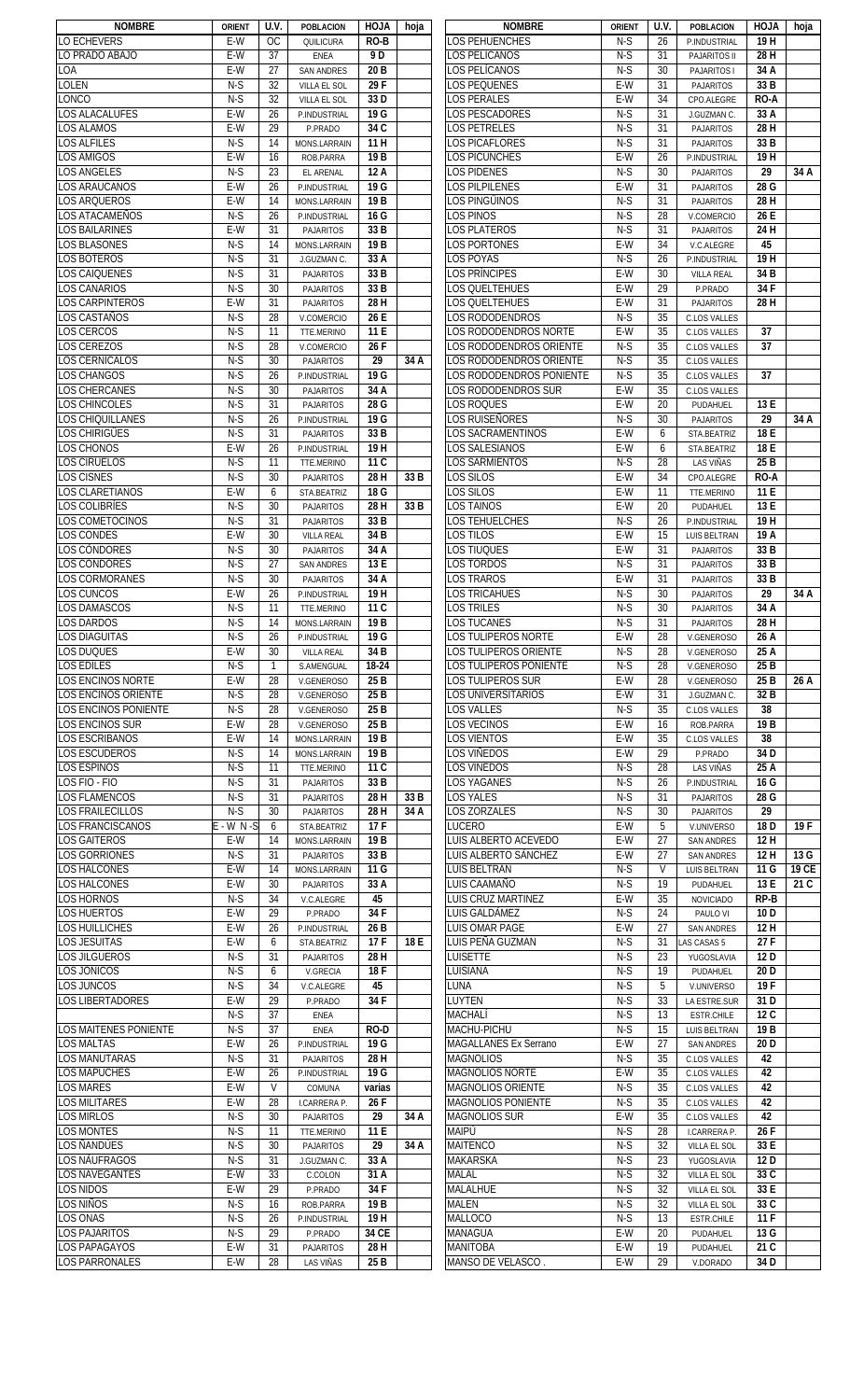| <b>NOMBRE</b>                | <b>ORIENT</b> | U.V.          | <b>POBLACION</b>    | <b>HOJA</b>       | hoja | <b>NOMBRE</b>                | <b>ORIENT</b> | U.V.         | <b>POBLACION</b>    | <b>HOJA</b>     | hoja  |
|------------------------------|---------------|---------------|---------------------|-------------------|------|------------------------------|---------------|--------------|---------------------|-----------------|-------|
| <b>LO ECHEVERS</b>           | E-W           | <sub>OC</sub> | QUILICURA           | RO-B              |      | <b>LOS PEHUENCHES</b>        | N-S           | 26           | P.INDUSTRIAL        | 19H             |       |
| LO PRADO ABAJO               | E-W           | 37            | ENEA                | 9 D               |      | LOS PELÍCANOS                | $N-S$         | 31           | PAJARITOS II        | 28 H            |       |
| LOA                          | $E-W$         | 27            | <b>SAN ANDRES</b>   | 20 <sub>B</sub>   |      | LOS PELÍCANOS                | $N-S$         | 30           | PAJARITOS I         | 34 A            |       |
| <b>LOLEN</b>                 | $N-S$         | 32            | VILLA EL SOL        | 29F               |      | LOS PEQUENES                 | $E-W$         | 31           | <b>PAJARITOS</b>    | 33 B            |       |
|                              |               |               |                     |                   |      |                              |               |              |                     |                 |       |
| <b>LONCO</b>                 | $N-S$         | 32            | VILLA EL SOL        | 33 D              |      | LOS PERALES                  | $E-W$         | 34           | CPO.ALEGRE          | RO-A            |       |
| <b>LOS ALACALUFES</b>        | E-W           | 26            | P.INDUSTRIAL        | 19 G              |      | LOS PESCADORES               | $N-S$         | 31           | J.GUZMAN C.         | 33 A            |       |
| <b>LOS ALAMOS</b>            | E-W           | 29            | P.PRADO             | 34 C              |      | <b>LOS PETRELES</b>          | $N-S$         | 31           | PAJARITOS           | 28 H            |       |
| <b>LOS ALFILES</b>           | $N-S$         | 14            | MONS.LARRAIN        | 11 H              |      | LOS PICAFLORES               | $N-S$         | 31           | PAJARITOS           | 33 B            |       |
| <b>LOS AMIGOS</b>            | E-W           | 16            | ROB.PARRA           | 19 B              |      | LOS PICUNCHES                | E-W           | 26           | P.INDUSTRIAL        | 19H             |       |
| <b>LOS ANGELES</b>           | $N-S$         | 23            |                     | 12 A              |      | <b>LOS PIDENES</b>           | $N-S$         | 30           |                     | 29              | 34 A  |
|                              |               |               | EL ARENAL           |                   |      |                              |               |              | PAJARITOS           |                 |       |
| <b>LOS ARAUCANOS</b>         | E-W           | 26            | P.INDUSTRIAL        | 19 G              |      | <b>LOS PILPILENES</b>        | E-W           | 31           | PAJARITOS           | 28 G            |       |
| <b>LOS ARQUEROS</b>          | E-W           | 14            | MONS.LARRAIN        | 19 B              |      | LOS PINGÜINOS                | $N-S$         | 31           | PAJARITOS           | 28 H            |       |
| LOS ATACAMEÑOS               | $N-S$         | 26            | P.INDUSTRIAL        | 16 G              |      | LOS PINOS                    | $N-S$         | 28           | V.COMERCIO          | 26 E            |       |
| <b>LOS BAILARINES</b>        | $E-W$         | 31            | PAJARITOS           | 33 B              |      | <b>LOS PLATEROS</b>          | $N-S$         | 31           | PAJARITOS           | 24 H            |       |
| <b>LOS BLASONES</b>          | $N-S$         | 14            | MONS.LARRAIN        | 19 <sub>B</sub>   |      | <b>LOS PORTONES</b>          | $E-W$         | 34           | V.C.ALEGRE          | 45              |       |
|                              |               |               |                     |                   |      |                              |               |              |                     |                 |       |
| <b>LOS BOTEROS</b>           | $N-S$         | 31            | J.GUZMAN C.         | 33 A              |      | LOS POYAS                    | $N-S$         | 26           | P.INDUSTRIAL        | 19H             |       |
| <b>LOS CAIQUENES</b>         | $N-S$         | 31            | PAJARITOS           | 33 B              |      | LOS PRÍNCIPES                | E-W           | 30           | <b>VILLA REAL</b>   | 34 B            |       |
| <b>LOS CANARIOS</b>          | $N-S$         | 30            | PAJARITOS           | 33 B              |      | LOS QUELTEHUES               | E-W           | 29           | P.PRADO             | 34F             |       |
| <b>LOS CARPINTEROS</b>       | E-W           | 31            | PAJARITOS           | 28 H              |      | LOS QUELTEHUES               | E-W           | 31           | PAJARITOS           | 28 H            |       |
| LOS CASTAÑOS                 | $N-S$         | 28            | V.COMERCIO          | 26 E              |      | <b>LOS RODODENDROS</b>       | $N-S$         | 35           | <b>C.LOS VALLES</b> |                 |       |
|                              |               |               |                     |                   |      | LOS RODODENDROS NORTE        |               |              |                     |                 |       |
| <b>LOS CERCOS</b>            | $N-S$         | 11            | TTE.MERINO          | 11 E              |      |                              | E-W           | 35           | <b>C.LOS VALLES</b> | 37              |       |
| <b>LOS CEREZOS</b>           | $N-S$         | 28            | V.COMERCIO          | 26F               |      | LOS RODODENDROS ORIENTE      | $N-S$         | 35           | <b>C.LOS VALLES</b> | 37              |       |
| <b>LOS CERNÍCALOS</b>        | $N-S$         | 30            | <b>PAJARITOS</b>    | $\overline{29}$   | 34 A | LOS RODODENDROS ORIENTE      | $N-S$         | 35           | <b>C.LOS VALLES</b> |                 |       |
| <b>LOS CHANGOS</b>           | $N-S$         | 26            | P.INDUSTRIAL        | 19G               |      | LOS RODODENDROS PONIENTE     | $N-S$         | 35           | <b>C.LOS VALLES</b> | 37              |       |
| <b>LOS CHERCANES</b>         | $N-S$         | 30            | <b>PAJARITOS</b>    | 34A               |      | LOS RODODENDROS SUR          | $E-W$         | 35           | C.LOS VALLES        |                 |       |
| LOS CHINCOLES                | $N-S$         |               | <b>PAJARITOS</b>    | $\overline{28}$ G |      | <b>LOS ROQUES</b>            | $E-W$         | 20           |                     | 13 E            |       |
|                              |               | 31            |                     |                   |      |                              |               |              | PUDAHUEL            |                 |       |
| <b>LOS CHIQUILLANES</b>      | $N-S$         | 26            | P.INDUSTRIAL        | 19 G              |      | LOS RUISEÑORES               | $N-S$         | 30           | PAJARITOS           | 29              | 34 A  |
| <b>LOS CHIRIGÜES</b>         | $N-S$         | 31            | <b>PAJARITOS</b>    | 33 B              |      | LOS SACRAMENTINOS            | E-W           | 6            | STA.BEATRIZ         | 18 E            |       |
| <b>LOS CHONOS</b>            | E-W           | 26            | P.INDUSTRIAL        | 19H               |      | LOS SALESIANOS               | E-W           | 6            | STA.BEATRIZ         | 18 E            |       |
| <b>LOS CIRUELOS</b>          | $N-S$         | 11            | TTE.MERINO          | 11C               |      | LOS SARMIENTOS               | $N-S$         | 28           | <b>LAS VIÑAS</b>    | 25 B            |       |
| <b>LOS CISNES</b>            | $N-S$         | 30            |                     | 28 H              | 33 B | LOS SILOS                    | E-W           | 34           |                     | RO-A            |       |
|                              |               |               | <b>PAJARITOS</b>    |                   |      |                              |               |              | CPO.ALEGRE          |                 |       |
| <b>LOS CLARETIANOS</b>       | E-W           | 6             | STA.BEATRIZ         | 18 G              |      | LOS SILOS                    | E-W           | 11           | TTE.MERINO          | 11 E            |       |
| <b>LOS COLIBRÍES</b>         | $N-S$         | 30            | PAJARITOS           | 28 H              | 33 B | <b>LOS TAINOS</b>            | $E-W$         | 20           | PUDAHUEL            | 13 E            |       |
| LOS COMETOCINOS              | $N-S$         | 31            | <b>PAJARITOS</b>    | 33 B              |      | <b>LOS TEHUELCHES</b>        | $N-S$         | 26           | P.INDUSTRIAL        | 19H             |       |
| <b>LOS CONDES</b>            | E-W           | 30            | <b>VILLA REAL</b>   | 34 B              |      | <b>LOS TILOS</b>             | $E-W$         | 15           | <b>LUIS BELTRAN</b> | 19 A            |       |
| <b>LOS CÓNDORES</b>          | $N-S$         | 30            | <b>PAJARITOS</b>    | 34 A              |      | <b>LOS TIUQUES</b>           | $E-W$         | 31           | PAJARITOS           | 33 B            |       |
|                              |               |               |                     |                   |      |                              |               |              |                     |                 |       |
| <b>LOS CÓNDORES</b>          | $N-S$         | 27            | <b>SAN ANDRES</b>   | 13 E              |      | LOS TORDOS                   | $N-S$         | 31           | PAJARITOS           | 33 B            |       |
| <b>LOS CORMORANES</b>        | $N-S$         | 30            | PAJARITOS           | 34 A              |      | <b>LOS TRAROS</b>            | E-W           | 31           | PAJARITOS           | 33 B            |       |
| <b>LOS CUNCOS</b>            | E-W           | 26            | P.INDUSTRIAL        | 19H               |      | LOS TRICAHUES                | $N-S$         | 30           | PAJARITOS           | 29              | 34 A  |
| <b>LOS DAMASCOS</b>          | $N-S$         | 11            | TTE.MERINO          | 11 C              |      | LOS TRILES                   | $N-S$         | 30           | PAJARITOS           | 34 A            |       |
| <b>LOS DARDOS</b>            | $N-S$         | 14            | MONS.LARRAIN        | 19 B              |      | <b>LOS TUCANES</b>           | $N-S$         | 31           | PAJARITOS           | 28 H            |       |
| <b>LOS DIAGUITAS</b>         | $N-S$         | 26            |                     | 19 G              |      | LOS TULIPEROS NORTE          | E-W           | 28           |                     | 26 A            |       |
|                              |               |               | P.INDUSTRIAL        |                   |      |                              |               |              | V.GENEROSO          |                 |       |
| <b>LOS DUQUES</b>            | E-W           | 30            | <b>VILLA REAL</b>   | 34 B              |      | LOS TULIPEROS ORIENTE        | $N-S$         | 28           | V.GENEROSO          | 25 A            |       |
| <b>LOS EDILES</b>            | $N-S$         | 1             | S.AMENGUAL          | 18-24             |      | LOS TULIPEROS PONIENTE       | $N-S$         | 28           | V.GENEROSO          | 25 B            |       |
| <b>LOS ENCINOS NORTE</b>     | $E-W$         | 28            | V.GENEROSO          | 25 B              |      | <b>LOS TULIPEROS SUR</b>     | $E-W$         | 28           | V.GENEROSO          | 25 B            | 26 A  |
| <b>LOS ENCINOS ORIENTE</b>   | $N-S$         | 28            | V.GENEROSO          | 25 <sub>B</sub>   |      | LOS UNIVERSITARIOS           | $E-W$         | 31           | J.GUZMAN C.         | 32 B            |       |
| <b>LOS ENCINOS PONIENTE</b>  | $N-S$         | 28            | V.GENEROSO          | 25 B              |      | <b>LOS VALLES</b>            | $N-S$         | 35           | <b>C.LOS VALLES</b> | 38              |       |
|                              |               |               |                     |                   |      |                              |               |              |                     |                 |       |
| <b>LOS ENCINOS SUR</b>       | E-W           | 28            | V.GENEROSO          | 25 B              |      | LOS VECINOS                  | E-W           | 16           | ROB.PARRA           | 19 B            |       |
| <b>LOS ESCRIBANOS</b>        | E-W           | 14            | MONS.LARRAIN        | 19 B              |      | <b>LOS VIENTOS</b>           | E-W           | 35           | <b>C.LOS VALLES</b> | 38              |       |
| <b>LOS ESCUDEROS</b>         | $N-S$         | 14            | MONS.LARRAIN        | 19 B              |      | los viñedos                  | E-W           | 29           | P.PRADO             | 34 D            |       |
| <b>LOS ESPINOS</b>           | $N-S$         | 11            | TTE.MERINO          | 11 C              |      | los viñedos                  | $N-S$         | 28           | <b>LAS VIÑAS</b>    | 25 A            |       |
| LOS FIO - FIO                | $N-S$         | 31            | PAJARITOS           | 33 B              |      | LOS YAGANES                  | $N-S$         | 26           | P.INDUSTRIAL        | 16 G            |       |
| <b>LOS FLAMENCOS</b>         | $N-S$         | 31            | PAJARITOS           | 28 H              | 33 B | <b>LOS YALES</b>             | $N-S$         | 31           | PAJARITOS           | 28 G            |       |
|                              | $N-S$         |               |                     |                   |      | <b>LOS ZORZALES</b>          |               |              |                     |                 |       |
| <b>LOS FRAILECILLOS</b>      |               | 30            | <b>PAJARITOS</b>    | 28 H              | 34 A |                              | $N-S$         | 30           | <b>PAJARITOS</b>    | 29              |       |
| <b>LOS FRANCISCANOS</b>      | $E - W N - S$ | 6             | STA.BEATRIZ         | 17F               |      | LUCERO                       | E-W           | 5            | V.UNIVERSO          | 18 <sub>D</sub> | 19F   |
| <b>LOS GAITEROS</b>          | E-W           | 14            | MONS.LARRAIN        | 19 B              |      | LUIS ALBERTO ACEVEDO         | $E-W$         | 27           | <b>SAN ANDRES</b>   | 12H             |       |
| <b>LOS GORRIONES</b>         | $N-S$         | 31            | PAJARITOS           | 33 B              |      | LUIS ALBERTO SÁNCHEZ         | E-W           | 27           | <b>SAN ANDRES</b>   | 12H             | 13 G  |
| <b>LOS HALCONES</b>          | E-W           | 14            | MONS.LARRAIN        | 11 G              |      | LUIS BELTRÁN                 | $N-S$         | $\mathsf{V}$ | <b>LUIS BELTRAN</b> | 11 G            | 19 CE |
| <b>LOS HALCONES</b>          | E-W           |               |                     | 33 A              |      | LUIS CAAMAÑO                 | $N-S$         | 19           |                     | 13 E            | 21 C  |
|                              |               | 30            | PAJARITOS           |                   |      |                              |               |              | PUDAHUEL            |                 |       |
| <b>LOS HORNOS</b>            | $N-S$         | 34            | V.C.ALEGRE          | 45                |      | <b>LUIS CRUZ MARTINEZ</b>    | E-W           | 35           | <b>NOVICIADO</b>    | RP-B            |       |
| <b>LOS HUERTOS</b>           | E-W           | 29            | P.PRADO             | 34 F              |      | LUIS GALDÁMEZ                | $N-S$         | 24           | PAULO VI            | 10 <sub>D</sub> |       |
| <b>LOS HUILLICHES</b>        | E-W           | 26            | P.INDUSTRIAL        | 26 B              |      | LUIS OMAR PAGE               | E-W           | 27           | <b>SAN ANDRES</b>   | 12H             |       |
| <b>LOS JESUITAS</b>          | E-W           | 6             | STA.BEATRIZ         | 17F               | 18 E | LUIS PEÑA GUZMAN             | $N-S$         | 31           | LAS CASAS 5         | 27F             |       |
| <b>LOS JILGUEROS</b>         | $N-S$         | 31            | PAJARITOS           | 28 H              |      | <b>LUISETTE</b>              | $N-S$         | 23           | YUGOSLAVIA          | 12 <sub>D</sub> |       |
| LOS JÓNICOS                  | $N-S$         | 6             | V.GRECIA            | 18 F              |      | LUISIANA                     | $N-S$         | 19           | PUDAHUEL            | 20 D            |       |
|                              |               |               |                     |                   |      |                              |               |              |                     |                 |       |
| <b>LOS JUNCOS</b>            | $N-S$         | 34            | V.C.ALEGRE          | 45                |      | <b>LUNA</b>                  | $N-S$         | 5            | V.UNIVERSO          | 19F             |       |
| <b>LOS LIBERTADORES</b>      | E-W           | 29            | P.PRADO             | 34 F              |      | LUYTEN                       | $N-S$         | 33           | LA ESTRE.SUR        | 31 D            |       |
|                              | $N-S$         | 37            | <b>ENEA</b>         |                   |      | MACHALÍ                      | $N-S$         | 13           | <b>ESTR.CHILE</b>   | 12 C            |       |
| <b>LOS MAITENES PONIENTE</b> | $N-S$         | 37            | <b>ENEA</b>         | <b>RO-D</b>       |      | MACHU-PICHU                  | $N-S$         | 15           | <b>LUIS BELTRAN</b> | 19 <sub>B</sub> |       |
| <b>LOS MALTAS</b>            | E-W           | 26            | P.INDUSTRIAL        | 19 G              |      | <b>MAGALLANES Ex Serrano</b> | E-W           | 27           | <b>SAN ANDRES</b>   | 20 D            |       |
|                              |               |               |                     |                   |      |                              |               |              |                     |                 |       |
| <b>LOS MANUTARAS</b>         | $N-S$         | 31            | <b>PAJARITOS</b>    | 28 H              |      | MAGNOLIOS                    | $N-S$         | 35           | <b>C.LOS VALLES</b> | 42              |       |
| <b>LOS MAPUCHES</b>          | E-W           | 26            | P.INDUSTRIAL        | 19 G              |      | <b>MAGNOLIOS NORTE</b>       | E-W           | 35           | C.LOS VALLES        | 42              |       |
| <b>LOS MARES</b>             | E-W           | V             | COMUNA              | varias            |      | <b>MAGNOLIOS ORIENTE</b>     | $N-S$         | 35           | <b>C.LOS VALLES</b> | 42              |       |
| <b>LOS MILITARES</b>         | E-W           | 28            | <b>I.CARRERA P.</b> | 26 F              |      | <b>MAGNOLIOS PONIENTE</b>    | $N-S$         | 35           | <b>C.LOS VALLES</b> | 42              |       |
| <b>LOS MIRLOS</b>            | $N-S$         | 30            | PAJARITOS           | 29                | 34 A | <b>MAGNOLIOS SUR</b>         | $E-W$         | 35           | <b>C.LOS VALLES</b> | 42              |       |
|                              |               |               |                     |                   |      |                              |               |              |                     |                 |       |
| <b>LOS MONTES</b>            | $N-S$         | 11            | TTE.MERINO          | 11 E              |      | MAIPÚ                        | $N-S$         | 28           | <b>I.CARRERA P.</b> | 26F             |       |
| <b>LOS ÑANDÚES</b>           | $N-S$         | 30            | PAJARITOS           | 29                | 34 A | <b>MAITENCO</b>              | $N-S$         | 32           | VILLA EL SOL        | 33 E            |       |
| <b>LOS NÁUFRAGOS</b>         | $N-S$         | 31            | J.GUZMAN C.         | 33 A              |      | <b>MAKARSKA</b>              | $N-S$         | 23           | YUGOSLAVIA          | 12 <sub>D</sub> |       |
| <b>LOS NAVEGANTES</b>        | E-W           | 33            | C.COLON             | 31 A              |      | Malal                        | $N-S$         | 32           | <b>VILLA EL SOL</b> | 33 C            |       |
| <b>LOS NIDOS</b>             | E-W           | 29            | P.PRADO             | 34 F              |      | MALALHUE                     | $N-S$         | 32           | VILLA EL SOL        | 33 E            |       |
| <b>LOS NIÑOS</b>             | $N-S$         |               |                     | 19 <sub>B</sub>   |      | <b>MALEN</b>                 | $N-S$         |              |                     | 33 C            |       |
|                              |               | 16            | ROB.PARRA           |                   |      |                              |               | 32           | VILLA EL SOL        |                 |       |
| <b>LOS ONAS</b>              | $N-S$         | 26            | P.INDUSTRIAL        | 19H               |      | MALLOCO                      | $N-S$         | 13           | ESTR.CHILE          | 11F             |       |
| <b>LOS PAJARITOS</b>         | $N-S$         | 29            | P.PRADO             | 34 CE             |      | MANAGUA                      | E-W           | 20           | PUDAHUEL            | 13 G            |       |
| <b>LOS PAPAGAYOS</b>         | E-W           | 31            | PAJARITOS           | 28 H              |      | MANITOBA                     | E-W           | 19           | PUDAHUEL            | 21 C            |       |
| <b>LOS PARRONALES</b>        | E-W           | 28            | <b>LAS VIÑAS</b>    | 25 B              |      | MANSO DE VELASCO.            | E-W           | 29           | V.DORADO            | 34 D            |       |
|                              |               |               |                     |                   |      |                              |               |              |                     |                 |       |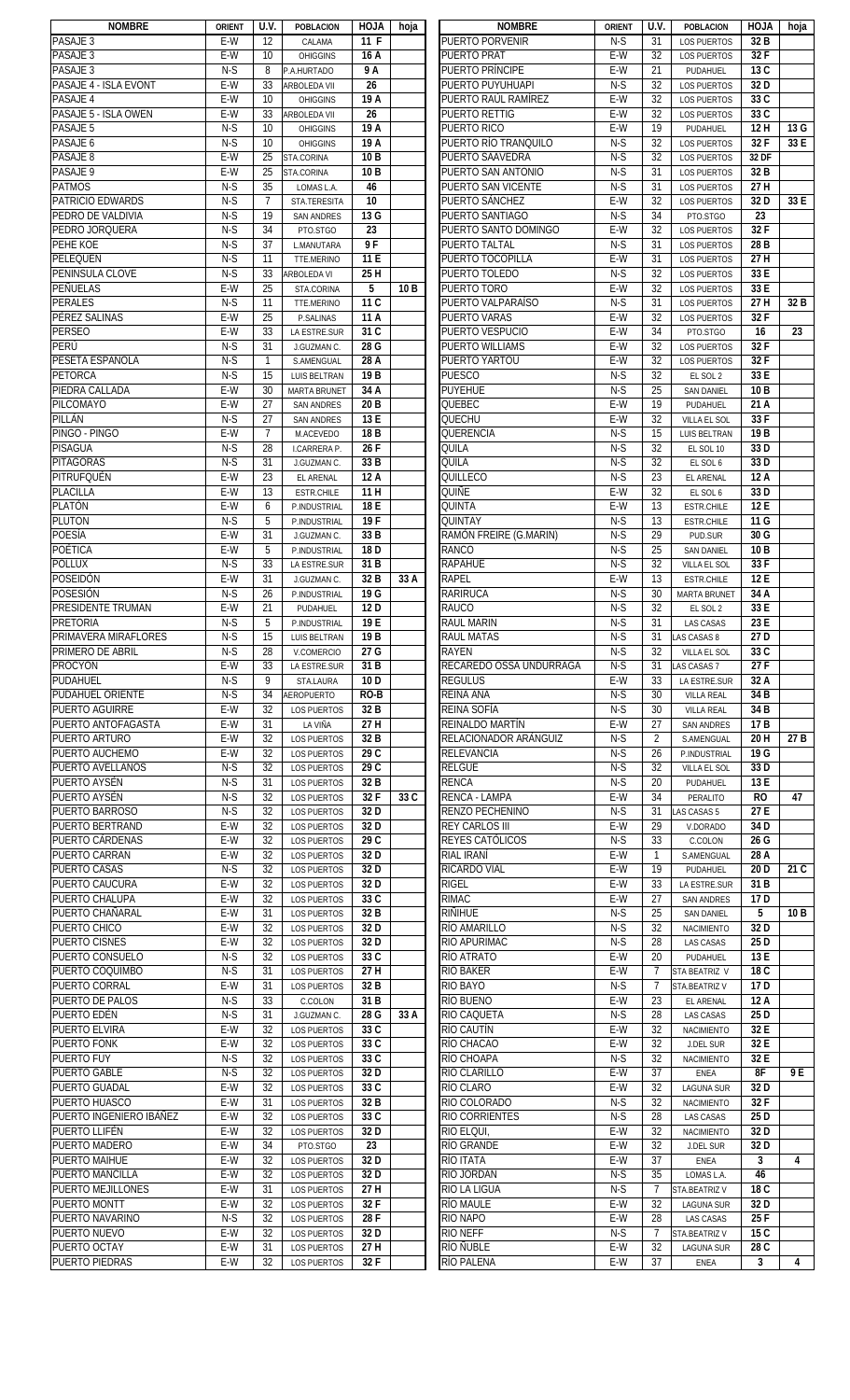| <b>NOMBRE</b>                            | <b>ORIENT</b> | U.V.            | <b>POBLACION</b>          | <b>HOJA</b>     | hoja            | <b>NOMBRE</b>                    | <b>ORIENT</b> | U.V.           | <b>POBLACION</b>                   | <b>HOJA</b>     | hoja |
|------------------------------------------|---------------|-----------------|---------------------------|-----------------|-----------------|----------------------------------|---------------|----------------|------------------------------------|-----------------|------|
| PASAJE <sub>3</sub>                      | E-W           | 12              | CALAMA                    | 11 F            |                 | PUERTO PORVENIR                  | N-S           | 31             | <b>LOS PUERTOS</b>                 | 32 B            |      |
| PASAJE <sub>3</sub>                      | $E-W$         | 10              | <b>OHIGGINS</b>           | 16 A            |                 | <b>PUERTO PRAT</b>               | $E-W$         | 32             | <b>LOS PUERTOS</b>                 | 32 F            |      |
| PASAJE <sub>3</sub>                      | $N-S$         | 8               | P.A.HURTADO               | 9A              |                 | <b>PUERTO PRÍNCIPE</b>           | $E-W$         | 21             | PUDAHUEL                           | 13 C            |      |
| PASAJE 4 - ISLA EVONT                    | $E-W$         | 33              | ARBOLEDA VII              | 26              |                 | PUERTO PUYUHUAPI                 | $N-S$         | 32             | <b>LOS PUERTOS</b>                 | 32D             |      |
| PASAJE 4                                 | $E-W$         | 10              | <b>OHIGGINS</b>           | 19 A            |                 | PUERTO RAÚL RAMÍREZ              | $E-W$         | 32             | <b>LOS PUERTOS</b>                 | 33 C            |      |
| PASAJE 5 - ISLA OWEN                     | E-W           | 33              | ARBOLEDA VII              | 26              |                 | PUERTO RETTIG                    | E-W           | 32             | <b>LOS PUERTOS</b>                 | 33 C            |      |
| PASAJE 5                                 | $N-S$         | 10              | <b>OHIGGINS</b>           | 19A             |                 | PUERTO RICO                      | E-W           | 19             | PUDAHUEL                           | 12H             | 13 G |
| PASAJE 6                                 | $N-S$         | 10              | <b>OHIGGINS</b>           | 19A             |                 | PUERTO RÍO TRANQUILO             | $N-S$         | 32             | <b>LOS PUERTOS</b>                 | 32F             | 33 E |
| PASAJE 8                                 | E-W           | 25              | STA.CORINA                | 10 <sub>B</sub> |                 | PUERTO SAAVEDRA                  | $N-S$         | 32             | <b>LOS PUERTOS</b>                 | 32 DF           |      |
| PASAJE 9                                 | E-W           | 25              | STA.CORINA                | 10 <sub>B</sub> |                 | PUERTO SAN ANTONIO               | $N-S$         | 31             | <b>LOS PUERTOS</b>                 | 32 B            |      |
| <b>PATMOS</b>                            | $N-S$         | 35              | LOMAS L.A.                | 46              |                 | PUERTO SAN VICENTE               | $N-S$         | 31             | <b>LOS PUERTOS</b>                 | 27 H            |      |
| <b>PATRICIO EDWARDS</b>                  | $N-S$         | $\overline{7}$  | <b>STA.TERESITA</b>       | 10              |                 | PUERTO SÁNCHEZ                   | $E-W$         | 32             | <b>LOS PUERTOS</b>                 | 32 <sub>D</sub> | 33 E |
| PEDRO DE VALDIVIA                        | $N-S$         | 19              | <b>SAN ANDRES</b>         | 13 G            |                 | PUERTO SANTIAGO                  | $N-S$         | 34             | PTO.STGO                           | 23              |      |
| PEDRO JORQUERA                           | $N-S$         | $\overline{34}$ | PTO.STGO                  | 23              |                 | PUERTO SANTO DOMINGO             | E-W           | 32             | LOS PUERTOS                        | 32F             |      |
| PEHE KOE                                 | $N-S$         | 37              | L.MANUTARA                | 9F              |                 | <b>PUERTO TALTAL</b>             | $N-S$         | 31             | <b>LOS PUERTOS</b>                 | 28 <sub>B</sub> |      |
| PELEQUÉN                                 | $N-S$         | 11              | TTE.MERINO                | 11 E            |                 | PUERTO TOCOPILLA                 | E-W           | 31             | <b>LOS PUERTOS</b>                 | 27H             |      |
| PENINSULA CLOVE                          | $N-S$         | 33              | ARBOLEDA VI               | 25 H            |                 | PUERTO TOLEDO                    | $N-S$         | 32             | <b>LOS PUERTOS</b>                 | 33 E            |      |
| <b>PEÑUELAS</b>                          | E-W           | 25              | STA.CORINA                | 5               | 10 <sub>B</sub> | PUERTO TORO                      | E-W           | 32             | LOS PUERTOS                        | 33 E            |      |
| <b>PERALES</b>                           | $N-S$         | 11              | TTE.MERINO                | 11 C            |                 | PUERTO VALPARAÍSO                | $N-S$         | 31             | <b>LOS PUERTOS</b>                 | 27 H            | 32 B |
| PÉREZ SALINAS                            | E-W           | 25              | P.SALINAS                 | 11 A            |                 | <b>PUERTO VARAS</b>              | E-W           | 32             | <b>LOS PUERTOS</b>                 | 32 F            |      |
| <b>PERSEO</b>                            | E-W           | 33              | LA ESTRE.SUR              | 31 C            |                 | PUERTO VESPUCIO                  | E-W           | 34             | PTO.STGO                           | 16              | 23   |
| PERÚ                                     | $N-S$         | 31              | J.GUZMAN C.               | 28 G            |                 | PUERTO WILLIAMS                  | E-W           | 32             | LOS PUERTOS                        | 32 F            |      |
| PESETA ESPAÑOLA                          | $N-S$         | $\mathbf{1}$    | S.AMENGUAL                | 28 A            |                 | PUERTO YARTOU                    | $E-W$         | 32             | <b>LOS PUERTOS</b>                 | 32 F            |      |
| <b>PETORCA</b>                           | $N-S$         | 15              | LUIS BELTRAN              | 19 <sub>B</sub> |                 | <b>PUESCO</b>                    | $N-S$         | 32             | EL SOL 2                           | 33 E            |      |
| PIEDRA CALLADA                           | $E-W$         | 30              | <b>MARTA BRUNET</b>       | 34 A            |                 | <b>PUYEHUE</b>                   | $N-S$         | 25             | <b>SAN DANIEL</b>                  | 10 <sub>B</sub> |      |
| <b>PILCOMAYO</b>                         | $E-W$         | $\overline{27}$ | <b>SAN ANDRES</b>         | 20 <sub>B</sub> |                 | QUEBEC                           | $E-W$         | 19             | PUDAHUEL                           | 21 A            |      |
| PILLÁN                                   | $N-S$         | 27              | <b>SAN ANDRES</b>         | 13 E            |                 | QUECHU                           | E-W           | 32             | VILLA EL SOL                       | 33 F            |      |
| PINGO - PINGO                            | E-W           | $\overline{7}$  | M.ACEVEDO                 | 18 <sub>B</sub> |                 | QUERENCIA                        | $N-S$         | 15             | LUIS BELTRAN                       | 19 <sub>B</sub> |      |
| <b>PISAGUA</b>                           | $N-S$         | 28              | I.CARRERA P.              | 26F             |                 | Quila                            | $N-S$         | 32             | EL SOL 10                          | 33D             |      |
| <b>PITÁGORAS</b>                         | $N-S$         | 31              | J.GUZMAN C.               | 33 B            |                 | QUILA                            | $N-S$         | 32             | EL SOL 6                           | 33D             |      |
| PITRUFQUÉN                               | E-W           | 23              | EL ARENAL                 | 12A             |                 | QUILLECO                         | $N-S$         | 23             | EL ARENAL                          | 12A             |      |
| <b>PLACILLA</b>                          | E-W           | 13              | <b>ESTR.CHILE</b>         | 11H             |                 | quiñe                            | E-W           | 32             | EL SOL 6                           | 33D             |      |
| <b>PLATÓN</b>                            | E-W           | 6               | P.INDUSTRIAL              | 18 E            |                 | QUINTA                           | $E-W$         | 13             | <b>ESTR.CHILE</b>                  | 12 E            |      |
| <b>PLUTON</b>                            | $N-S$         | 5               | P.INDUSTRIAL              | 19F             |                 | <b>QUINTAY</b>                   | $N-S$         | 13             | <b>ESTR.CHILE</b>                  | 11 G            |      |
| <b>POESÍA</b>                            | $E-W$         | 31              | J.GUZMAN C.               | 33 B            |                 | RAMÓN FREIRE (G.MARIN)           | $N-S$         | 29             | PUD.SUR                            | 30G             |      |
| POÉTICA                                  | E-W           | 5               | P.INDUSTRIAL              | 18 <sub>D</sub> |                 | <b>RANCO</b>                     | $N-S$         | 25             | <b>SAN DANIEL</b>                  | 10 <sub>B</sub> |      |
| <b>POLLUX</b>                            | $N-S$         | 33              | LA ESTRE.SUR              | 31 B            |                 | <b>RAPAHUE</b>                   | $N-S$         | 32             | VILLA EL SOL                       | 33F             |      |
| POSEIDÓN                                 | E-W           | 31              | J.GUZMAN C.               | 32 B            | 33 A            | <b>RAPEL</b>                     | E-W           | 13             | <b>ESTR.CHILE</b>                  | 12 E            |      |
| POSESIÓN                                 | $N-S$         | 26              | P.INDUSTRIAL              | 19 G            |                 | <b>RARIRUCA</b>                  | $N-S$         | 30             | <b>MARTA BRUNET</b>                | 34 A            |      |
| PRESIDENTE TRUMAN                        | E-W           | 21              | PUDAHUEL                  | 12 <sub>D</sub> |                 | <b>RAUCO</b>                     | $N-S$         | 32             | EL SOL 2                           | 33 E            |      |
| <b>PRETORIA</b>                          | $N-S$         | 5               | P.INDUSTRIAL              | 19 E            |                 | <b>RAUL MARIN</b>                | $N-S$         | 31             | <b>LAS CASAS</b>                   | 23 E            |      |
| PRIMAVERA MIRAFLORES<br>PRIMERO DE ABRIL | $N-S$         | 15              | LUIS BELTRAN              | 19 <sub>B</sub> |                 | <b>RAUL MATAS</b>                | $N-S$         | 31             | LAS CASAS 8                        | 27 D            |      |
| <b>PROCYON</b>                           | N-S<br>$E-W$  | 28<br>33        | V.COMERCIO                | 27 G<br>31 B    |                 | RAYEN<br>RECAREDO OSSA UNDURRAGA | N-S<br>$N-S$  | 32<br>31       | VILLA EL SOL<br><b>LAS CASAS 7</b> | 33 C<br>27 F    |      |
| PUDAHUEL                                 | $N-S$         | 9               | LA ESTRE.SUR<br>STA.LAURA | 10 <sub>D</sub> |                 | <b>REGULUS</b>                   | $E-W$         | 33             | LA ESTRE.SUR                       | 32 A            |      |
| PUDAHUEL ORIENTE                         | $N-S$         | 34              | <b>AEROPUERTO</b>         | RO-B            |                 | <b>REINA ANA</b>                 | $N-S$         | 30             | <b>VILLA REAL</b>                  | 34 B            |      |
| <b>PUERTO AGUIRRE</b>                    | $E-W$         | 32              | <b>LOS PUERTOS</b>        | 32 B            |                 | REINA SOFÍA                      | $N-S$         | 30             | <b>VILLA REAL</b>                  | 34 B            |      |
| PUERTO ANTOFAGASTA                       | E-W           | 31              | LA VIÑA                   | 27 H            |                 | REINALDO MARTÍN                  | E-W           | 27             | <b>SAN ANDRES</b>                  | 17 B            |      |
| PUERTO ARTURO                            | E-W           | 32              | <b>LOS PUERTOS</b>        | 32 B            |                 | RELACIONADOR ARÁNGUIZ            | $N-S$         | 2              | S.AMENGUAL                         | 20 H            | 27 B |
| PUERTO AUCHEMO                           | E-W           | 32              | <b>LOS PUERTOS</b>        | 29 C            |                 | <b>RELEVANCIA</b>                | $N-S$         | 26             | P.INDUSTRIAL                       | 19 G            |      |
| PUERTO AVELLANOS                         | $N-S$         | 32              | <b>LOS PUERTOS</b>        | 29 C            |                 | RELGÜE                           | $N-S$         | 32             | VILLA EL SOL                       | 33 D            |      |
| PUERTO AYSÉN                             | $N-S$         | 31              | <b>LOS PUERTOS</b>        | 32 B            |                 | <b>RENCA</b>                     | $N-S$         | 20             | PUDAHUEL                           | 13 E            |      |
| PUERTO AYSÉN                             | $N-S$         | 32              | <b>LOS PUERTOS</b>        | 32F             | 33 C            | <b>RENCA - LAMPA</b>             | E-W           | 34             | PERALITO                           | <b>RO</b>       | 47   |
| PUERTO BARROSO                           | $N-S$         | 32              | <b>LOS PUERTOS</b>        | 32D             |                 | RENZO PECHENINO                  | $N-S$         | 31             | LAS CASAS 5                        | 27E             |      |
| PUERTO BERTRAND                          | E-W           | 32              | <b>LOS PUERTOS</b>        | 32 D            |                 | <b>REY CARLOS III</b>            | E-W           | 29             | V.DORADO                           | 34 D            |      |
| PUERTO CÁRDENAS                          | E-W           | 32              | <b>LOS PUERTOS</b>        | 29 C            |                 | REYES CATÓLICOS                  | $N-S$         | 33             | C.COLON                            | 26 G            |      |
| PUERTO CARRAN                            | E-W           | 32              | <b>LOS PUERTOS</b>        | 32 D            |                 | RIAL IRANÍ                       | E-W           | $\mathbf{1}$   | S.AMENGUAL                         | 28 A            |      |
| <b>PUERTO CASAS</b>                      | $N-S$         | 32              | <b>LOS PUERTOS</b>        | 32 <sub>D</sub> |                 | RICARDO VIAL                     | E-W           | 19             | PUDAHUEL                           | 20 <sub>D</sub> | 21C  |
| PUERTO CAUCURA                           | E-W           | 32              | <b>LOS PUERTOS</b>        | 32D             |                 | <b>RIGEL</b>                     | E-W           | 33             | LA ESTRE.SUR                       | 31 <sub>B</sub> |      |
| PUERTO CHALUPA                           | E-W           | 32              | <b>LOS PUERTOS</b>        | 33 C            |                 | <b>RIMAC</b>                     | E-W           | 27             | <b>SAN ANDRES</b>                  | 17 D            |      |
| PUERTO CHAÑARAL                          | E-W           | 31              | <b>LOS PUERTOS</b>        | 32 B            |                 | RIÑIHUE                          | $N-S$         | 25             | <b>SAN DANIEL</b>                  | 5               | 10 B |
| PUERTO CHICO                             | E-W           | 32              | <b>LOS PUERTOS</b>        | 32D             |                 | RÍO AMARILLO                     | $N-S$         | 32             | <b>NACIMIENTO</b>                  | 32 <sub>D</sub> |      |
| <b>PUERTO CISNES</b>                     | E-W           | 32              | <b>LOS PUERTOS</b>        | 32D             |                 | RIO APURIMAC                     | $N-S$         | 28             | <b>LAS CASAS</b>                   | 25 D            |      |
| PUERTO CONSUELO                          | $N-S$         | 32              | <b>LOS PUERTOS</b>        | 33 C            |                 | RÍO ATRATO                       | $E-W$         | 20             | PUDAHUEL                           | 13 E            |      |
| PUERTO COQUIMBO                          | $N-S$         | 31              | <b>LOS PUERTOS</b>        | 27 H            |                 | <b>RIO BAKER</b>                 | E-W           | $\overline{7}$ | STA BEATRIZ V                      | 18 C            |      |
| PUERTO CORRAL                            | $E-W$         | 31              | <b>LOS PUERTOS</b>        | 32 B            |                 | RIO BAYO                         | $N-S$         | $\overline{7}$ | STA.BEATRIZ V                      | 17 <sub>D</sub> |      |
| PUERTO DE PALOS                          | $N-S$         | 33              | C.COLON                   | 31 B            |                 | RÍO BUENO                        | E-W           | 23             | EL ARENAL                          | 12A             |      |
| PUERTO EDÉN                              | $N-S$         | 31              | J.GUZMAN C.               | 28 G            | 33 A            | RIO CAQUETA                      | $N-S$         | 28             | <b>LAS CASAS</b>                   | 25 D            |      |
| <b>PUERTO ELVIRA</b>                     | E-W           | 32              | <b>LOS PUERTOS</b>        | 33 C            |                 | RÍO CAUTÍN                       | E-W           | 32             | <b>NACIMIENTO</b>                  | 32 E            |      |
| <b>PUERTO FONK</b>                       | E-W           | 32              | <b>LOS PUERTOS</b>        | 33 C            |                 | RÍO CHACAO                       | E-W           | 32             | <b>J.DEL SUR</b>                   | 32 E            |      |
| <b>PUERTO FUY</b>                        | $N-S$         | 32              | <b>LOS PUERTOS</b>        | 33 C            |                 | RÍO CHOAPA                       | $N-S$         | 32             | <b>NACIMIENTO</b>                  | 32 E            |      |
| <b>PUERTO GABLE</b>                      | $N-S$         | 32              | <b>LOS PUERTOS</b>        | 32 D            |                 | RÍO CLARILLO                     | E-W           | 37             | <b>ENEA</b>                        | 8F              | 9 E  |
| PUERTO GUADAL                            | E-W           | 32              | <b>LOS PUERTOS</b>        | 33 C            |                 | RÍO CLARO                        | E-W           | 32             | <b>LAGUNA SUR</b>                  | 32 <sub>D</sub> |      |
| PUERTO HUASCO                            | E-W           | 31              | <b>LOS PUERTOS</b>        | 32 B            |                 | RIO COLORADO                     | $N-S$         | 32             | <b>NACIMIENTO</b>                  | 32 F            |      |
| PUERTO INGENIERO IBÁÑEZ                  | E-W           | 32              | <b>LOS PUERTOS</b>        | 33 C            |                 | <b>RIO CORRIENTES</b>            | $N-S$         | 28             | <b>LAS CASAS</b>                   | 25 D            |      |
| PUERTO LLIFÉN                            | E-W           | 32              | <b>LOS PUERTOS</b>        | 32 D            |                 | RIO ELQUI,                       | $E-W$         | 32             | <b>NACIMIENTO</b>                  | 32D             |      |
| PUERTO MADERO                            | E-W           | 34              | PTO.STGO                  | 23              |                 | <b>RÍO GRANDE</b>                | E-W           | 32             | <b>J.DEL SUR</b>                   | 32 <sub>D</sub> |      |
| PUERTO MAIHUE                            | E-W           | 32              | <b>LOS PUERTOS</b>        | 32D             |                 | RÍO ITATA                        | E-W           | 37             | <b>ENEA</b>                        | 3               | 4    |
| PUERTO MANCILLA                          | E-W           | 32              | <b>LOS PUERTOS</b>        | 32 <sub>D</sub> |                 | RÍO JORDÁN                       | $N-S$         | 35             | LOMAS L.A.                         | 46              |      |
| PUERTO MEJILLONES                        | E-W           | 31              | <b>LOS PUERTOS</b>        | 27 H            |                 | <b>RIO LA LIGUA</b>              | $N-S$         | $\overline{7}$ | STA.BEATRIZ V                      | 18 C            |      |
| PUERTO MONTT                             | E-W           | 32              | <b>LOS PUERTOS</b>        | 32F             |                 | <b>RÍO MAULE</b>                 | E-W           | 32             | <b>LAGUNA SUR</b>                  | 32 D            |      |
| PUERTO NAVARINO                          | $N-S$         | 32              | <b>LOS PUERTOS</b>        | 28F             |                 | RIO NAPO                         | E-W           | 28             | <b>LAS CASAS</b>                   | 25 F            |      |
| PUERTO NUEVO                             | E-W           | 32              | <b>LOS PUERTOS</b>        | 32 <sub>D</sub> |                 | <b>RIO NEFF</b>                  | $N-S$         | $\overline{7}$ | STA.BEATRIZ V                      | 15 C            |      |
| PUERTO OCTAY                             | E-W           | 31              | <b>LOS PUERTOS</b>        | 27 H            |                 | río Ñuble                        | E-W           | 32             | <b>LAGUNA SUR</b>                  | 28 C<br>3       |      |
| <b>PUERTO PIEDRAS</b>                    | E-W           | 32              | <b>LOS PUERTOS</b>        | 32 F            |                 | <b>RÍO PALENA</b>                | E-W           | 37             | ENEA                               |                 | 4    |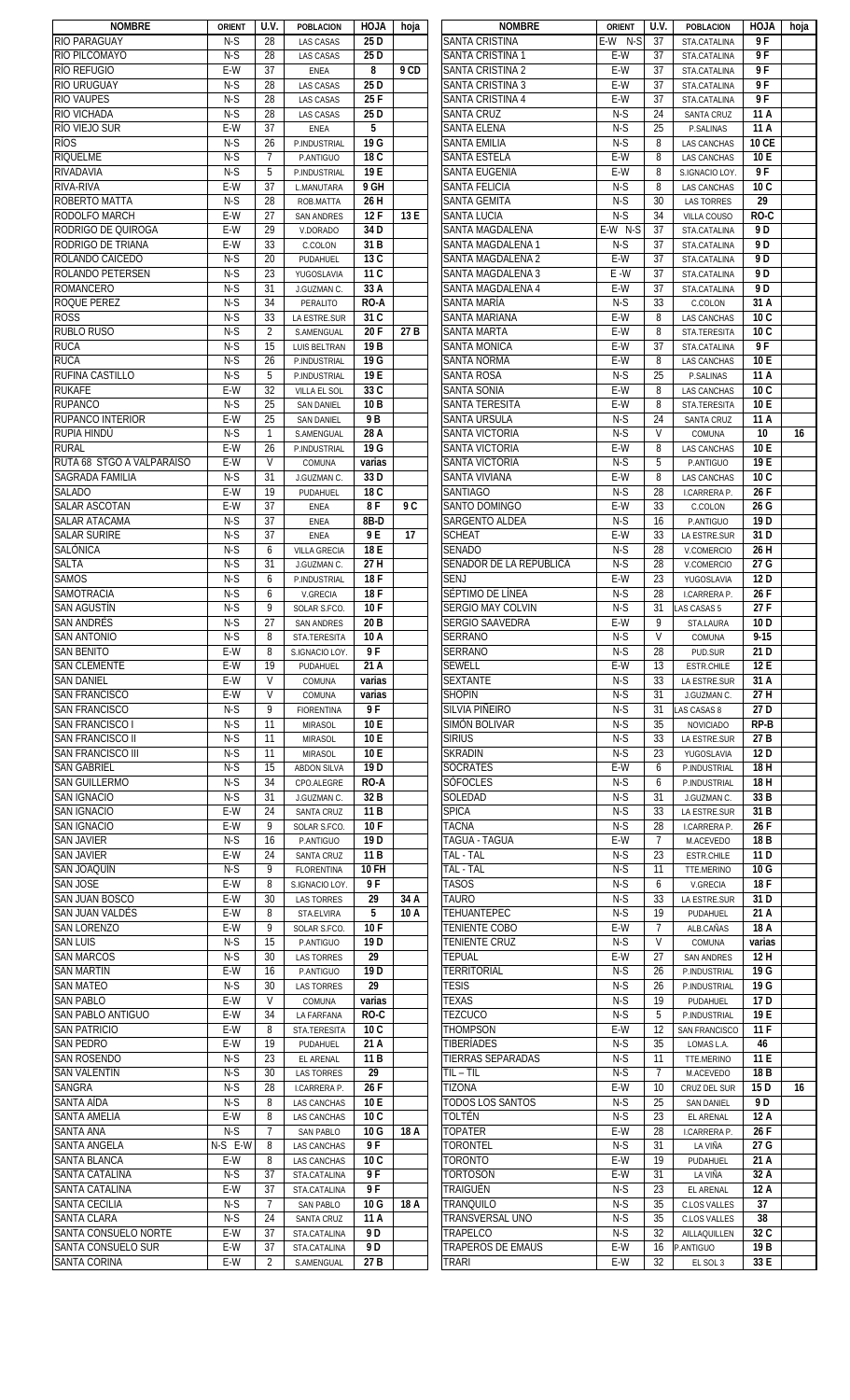| <b>NOMBRE</b>                             | <b>ORIENT</b> | U.V.               | <b>POBLACION</b>                    | <b>HOJA</b>            | hoja | <b>NOMBRE</b>                         | <b>ORIENT</b> | U.V.           | <b>POBLACION</b>                   | <b>HOJA</b>     | hoja |
|-------------------------------------------|---------------|--------------------|-------------------------------------|------------------------|------|---------------------------------------|---------------|----------------|------------------------------------|-----------------|------|
| <b>RIO PARAGUAY</b>                       | N-S           | 28                 | <b>LAS CASAS</b>                    | 25 D                   |      | <b>SANTA CRISTINA</b>                 | E-W<br>N-S    | 37             | STA.CATALINA                       | 9F              |      |
| RIO PILCOMAYO                             | $N-S$         | 28                 | <b>LAS CASAS</b>                    | 25 D                   |      | SANTA CRISTINA 1                      | E-W           | 37             | STA.CATALINA                       | 9 F             |      |
| <b>RÍO REFUGIO</b>                        | E-W           | 37                 | <b>ENEA</b>                         | 8                      | 9 CD | SANTA CRISTINA 2                      | E-W           | 37             | STA.CATALINA                       | 9 F             |      |
| <b>RIO URUGUAY</b>                        | $N-S$         | 28                 | <b>LAS CASAS</b>                    | 25 D                   |      | <b>SANTA CRISTINA 3</b>               | $E-W$         | 37             | STA.CATALINA                       | 9F              |      |
| <b>RIO VAUPES</b>                         | $N-S$         | 28                 | <b>LAS CASAS</b>                    | 25 F                   |      | <b>SANTA CRISTINA 4</b>               | E-W           | 37             | STA.CATALINA                       | 9F              |      |
| <b>RIO VICHADA</b>                        | $N-S$         | 28                 | <b>LAS CASAS</b>                    | 25 D                   |      | <b>SANTA CRUZ</b>                     | $N-S$         | 24             | <b>SANTA CRUZ</b>                  | 11 A            |      |
| RÍO VIEJO SUR                             | E-W           | 37                 | <b>ENEA</b>                         | 5                      |      | <b>SANTA ELENA</b>                    | $N-S$         | 25             | P.SALINAS                          | 11 A            |      |
| <b>RÍOS</b>                               | $N-S$         | 26                 | P.INDUSTRIAL                        | 19 G                   |      | SANTA EMILIA                          | $N-S$         | 8              | <b>LAS CANCHAS</b>                 | <b>10 CE</b>    |      |
| <b>RIQUELME</b>                           | $N-S$         | $\overline{7}$     | P.ANTIGUO                           | 18 C                   |      | <b>SANTA ESTELA</b>                   | E-W           | 8              | <b>LAS CANCHAS</b>                 | 10 E            |      |
| RIVADAVIA                                 | $N-S$         | 5                  | P.INDUSTRIAL                        | 19 E                   |      | SANTA EUGENIA                         | E-W           | 8              | S.IGNACIO LOY.                     | 9F              |      |
| RIVA-RIVA                                 | E-W           | 37                 | L.MANUTARA                          | 9 GH                   |      | <b>SANTA FELICIA</b>                  | $N-S$         | 8              | <b>LAS CANCHAS</b>                 | 10 <sub>C</sub> |      |
| ROBERTO MATTA                             | $N-S$         | 28                 | ROB.MATTA                           | 26 H                   |      | <b>SANTA GEMITA</b>                   | $N-S$         | 30             | <b>LAS TORRES</b>                  | 29              |      |
| <b>RODOLFO MARCH</b>                      | E-W           | 27                 | <b>SAN ANDRES</b>                   | 12F                    | 13 E | <b>SANTA LUCIA</b>                    | $N-S$         | 34             | VILLA COUSO                        | $RO-C$          |      |
| RODRIGO DE QUIROGA                        | E-W           | 29                 | V.DORADO                            | 34 D                   |      | SANTA MAGDALENA                       | $E-W$ N-S     | 37             | STA.CATALINA                       | 9 D             |      |
| <b>RODRIGO DE TRIANA</b>                  | E-W           | 33                 | C.COLON                             | 31 B                   |      | SANTA MAGDALENA 1                     | $N-S$         | 37             | STA.CATALINA                       | 9 D             |      |
| ROLANDO CAICEDO                           | $N-S$         | 20                 | PUDAHUEL                            | 13 C                   |      | SANTA MAGDALENA 2                     | E-W           | 37             | STA.CATALINA                       | 9 D             |      |
| <b>ROLANDO PETERSEN</b>                   | $N-S$         | 23                 | YUGOSLAVIA                          | 11 C                   |      | SANTA MAGDALENA 3                     | $E - W$       | 37             | STA.CATALINA                       | 9 D             |      |
| <b>ROMANCERO</b>                          | $N-S$         | 31                 | J.GUZMAN C.                         | 33 A                   |      | SANTA MAGDALENA 4                     | E-W           | 37             | STA.CATALINA                       | 9 D             |      |
| ROQUE PEREZ                               | $N-S$         | 34                 | PERALITO                            | RO-A                   |      | SANTA MARÍA                           | $N-S$         | 33             | C.COLON                            | 31 A            |      |
| <b>ROSS</b>                               | $N-S$         | 33                 | LA ESTRE.SUR                        | 31 C                   |      | SANTA MARIANA                         | E-W           | 8              | <b>LAS CANCHAS</b>                 | 10 <sub>C</sub> |      |
| <b>RUBLO RUSO</b>                         | $N-S$         | $\overline{2}$     | S.AMENGUAL                          | 20F                    | 27 B | SANTA MARTA                           | E-W           | 8              | STA.TERESITA                       | 10 <sub>C</sub> |      |
| <b>RUCA</b>                               | $N-S$         | 15                 |                                     | 19 <sub>B</sub>        |      | SANTA MONICA                          | E-W           | 37             |                                    | 9F              |      |
| <b>RUCA</b>                               | $N-S$         | 26                 | <b>LUIS BELTRAN</b><br>P.INDUSTRIAL | 19 G                   |      | SANTA NORMA                           | E-W           | 8              | STA.CATALINA<br><b>LAS CANCHAS</b> | 10 E            |      |
| <b>RUFINA CASTILLO</b>                    | $N-S$         | 5                  |                                     | 19 E                   |      | SANTA ROSA                            | $N-S$         | 25             |                                    | 11 A            |      |
| <b>RUKAFE</b>                             | E-W           | 32                 | P.INDUSTRIAL<br><b>VILLA EL SOL</b> | 33 C                   |      | <b>SANTA SONIA</b>                    | $E-W$         | 8              | P.SALINAS                          | 10 <sub>C</sub> |      |
|                                           |               |                    |                                     |                        |      |                                       |               |                | <b>LAS CANCHAS</b>                 |                 |      |
| <b>RUPANCO</b><br><b>RUPANCO INTERIOR</b> | $N-S$<br>E-W  | 25<br>25           | <b>SAN DANIEL</b>                   | 10 <sub>B</sub><br>9 B |      | SANTA TERESITA<br><b>SANTA URSULA</b> | E-W<br>$N-S$  | 8              | STA.TERESITA                       | 10 E<br>11 A    |      |
|                                           |               |                    | <b>SAN DANIEL</b>                   |                        |      |                                       |               | 24<br>V        | <b>SANTA CRUZ</b>                  |                 | 16   |
| RUPIA HINDÚ<br><b>RURAL</b>               | $N-S$         | $\mathbf{1}$       | S.AMENGUAL                          | 28 A                   |      | SANTA VICTORIA                        | $N-S$         |                | COMUNA                             | 10<br>10 E      |      |
|                                           | E-W           | 26<br>$\mathsf{V}$ | P.INDUSTRIAL                        | 19 G                   |      | <b>SANTA VICTORIA</b>                 | E-W           | 8              | <b>LAS CANCHAS</b>                 |                 |      |
| RUTA 68 STGO A VALPARAISO                 | E-W           |                    | COMUNA                              | varias                 |      | SANTA VICTORIA                        | $N-S$         | 5              | P.ANTIGUO                          | 19 E            |      |
| SAGRADA FAMILIA                           | $N-S$         | 31                 | J.GUZMAN C.                         | 33 D                   |      | <b>SANTA VIVIANA</b>                  | E-W           | 8              | <b>LAS CANCHAS</b>                 | 10 <sub>C</sub> |      |
| <b>SALADO</b>                             | E-W           | 19                 | PUDAHUEL                            | 18 C                   |      | <b>SANTIAGO</b>                       | $N-S$         | 28             | <b>I.CARRERA P.</b>                | 26 F            |      |
| <b>SALAR ASCOTAN</b>                      | E-W           | 37                 | <b>ENEA</b>                         | 8F                     | 9 C  | SANTO DOMINGO                         | $E-W$         | 33             | C.COLON                            | 26 G            |      |
| <b>SALAR ATACAMA</b>                      | N-S           | 37                 | <b>ENEA</b>                         | 8B-D                   |      | SARGENTO ALDEA                        | $N-S$         | 16             | P.ANTIGUO                          | 19 <sub>D</sub> |      |
| <b>SALAR SURIRE</b>                       | $N-S$         | 37                 | <b>ENEA</b>                         | 9E                     | 17   | <b>SCHEAT</b>                         | E-W           | 33             | LA ESTRE.SUR                       | 31D             |      |
| SALÓNICA                                  | $N-S$         | 6                  | <b>VILLA GRECIA</b>                 | 18 E                   |      | <b>SENADO</b>                         | $N-S$         | 28             | V.COMERCIO                         | 26 H            |      |
| <b>SALTA</b>                              | $N-S$         | 31                 | J.GUZMAN C.                         | 27 H                   |      | SENADOR DE LA REPÚBLICA               | $N-S$         | 28             | V.COMERCIO                         | 27 G            |      |
| <b>SAMOS</b>                              | N-S           | 6                  | P.INDUSTRIAL                        | 18F                    |      | <b>SENJ</b>                           | E-W           | 23             | YUGOSLAVIA                         | 12 D            |      |
| <b>SAMOTRACIA</b>                         | $N-S$         | 6                  | V.GRECIA                            | 18F                    |      | SÉPTIMO DE LÍNEA                      | $N-S$         | 28             | I.CARRERA P.                       | 26 F            |      |
| <b>SAN AGUSTÍN</b>                        | N-S           | 9                  | SOLAR S.FCO.                        | 10F                    |      | SERGIO MAY COLVIN                     | $N-S$         | 31             | AS CASAS 5                         | 27F             |      |
| <b>SAN ANDRÉS</b>                         | $N-S$         | 27                 | <b>SAN ANDRES</b>                   | 20 B                   |      | SERGIO SAAVEDRA                       | E-W           | 9              | STA.LAURA                          | 10 <sub>D</sub> |      |
| <b>SAN ANTONIO</b>                        | N-S           | 8                  | STA.TERESITA                        | 10 A                   |      | <b>SERRANO</b>                        | N-S           | V              | COMUNA                             | $9 - 15$        |      |
| <b>SAN BENITO</b>                         | E-W           | 8                  | S.IGNACIO LOY.                      | 9 F                    |      | <b>SERRANO</b>                        | $N-S$         | 28             | PUD.SUR                            | 21 D            |      |
| <b>SAN CLEMENTE</b>                       | E-W           | 19                 | PUDAHUEL                            | 21 A                   |      | <b>SEWELL</b>                         | E-W           | 13             | <b>ESTR.CHILE</b>                  | 12 E            |      |
| <b>SAN DANIEL</b>                         | E-W           | V                  | COMUNA                              | varias                 |      | <b>SEXTANTE</b>                       | $N-S$         | 33             | <b>LA ESTRE.SUR</b>                | 31 A            |      |
| <b>SAN FRANCISCO</b>                      | E-W           | V                  | COMUNA                              | varias                 |      | <b>SHOPIN</b>                         | $N-S$         | 31             | J.GUZMAN C.                        | 27 H            |      |
| <b>SAN FRANCISCO</b>                      | $N-S$         | 9                  | <b>FIORENTINA</b>                   | 9F                     |      | SILVIA PIÑEIRO                        | $N-S$         | 31             | LAS CASAS 8                        | 27 D            |      |
| <b>SAN FRANCISCO I</b>                    | $N-S$         | 11                 | <b>MIRASOL</b>                      | 10 E                   |      | SIMÓN BOLIVAR                         | $N-S$         | 35             | <b>NOVICIADO</b>                   | RP-B            |      |
| <b>SAN FRANCISCO II</b>                   | $N-S$         | 11                 | <b>MIRASOL</b>                      | 10 E                   |      | <b>SIRIUS</b>                         | $N-S$         | 33             | <b>LA ESTRE.SUR</b>                | 27 B            |      |
| <b>SAN FRANCISCO III</b>                  | $N-S$         | 11                 | <b>MIRASOL</b>                      | 10 E                   |      | <b>SKRADIN</b>                        | $N-S$         | 23             | YUGOSLAVIA                         | 12 <sub>D</sub> |      |
| <b>SAN GABRIEL</b>                        | $N-S$         | 15                 | <b>ABDON SILVA</b>                  | 19 <sub>D</sub>        |      | SÓCRATES                              | E-W           | 6              | P.INDUSTRIAL                       | 18 H            |      |
| <b>SAN GUILLERMO</b>                      | $N-S$         | 34                 | CPO.ALEGRE                          | RO-A                   |      | SÓFOCLES                              | $N-S$         | 6              | P.INDUSTRIAL                       | 18H             |      |
| <b>SAN IGNACIO</b>                        | $N-S$         | 31                 | J.GUZMAN C.                         | 32 B                   |      | SOLEDAD                               | $N-S$         | 31             | J.GUZMAN C.                        | 33 B            |      |
| <b>SAN IGNACIO</b>                        | E-W           | 24                 | <b>SANTA CRUZ</b>                   | 11 B                   |      | <b>SPICA</b>                          | $N-S$         | 33             | LA ESTRE.SUR                       | 31 B            |      |
| <b>SAN IGNACIO</b>                        | E-W           | 9                  | SOLAR S.FCO.                        | 10F                    |      | <b>TACNA</b>                          | $N-S$         | 28             | I.CARRERA P.                       | 26F             |      |
| <b>SAN JAVIER</b>                         | $N-S$         | 16                 | P.ANTIGUO                           | 19 <sub>D</sub>        |      | TAGUA - TAGUA                         | $E-W$         | $\overline{7}$ | M.ACEVEDO                          | 18 B            |      |
| <b>SAN JAVIER</b>                         | E-W           | 24                 | <b>SANTA CRUZ</b>                   | 11 B                   |      | TAL - TAL                             | $N-S$         | 23             | ESTR.CHILE                         | 11 D            |      |
| SAN JOAQUÍN                               | $N-S$         | 9                  | <b>FLORENTINA</b>                   | <b>10 FH</b>           |      | <b>TAL - TAL</b>                      | $N-S$         | 11             | TTE.MERINO                         | 10 G            |      |
| <b>SAN JOSE</b>                           | E-W           | 8                  | S.IGNACIO LOY.                      | 9F                     |      | <b>TASOS</b>                          | $N-S$         | 6              | V.GRECIA                           | 18F             |      |
| SAN JUAN BOSCO                            | E-W           | 30                 | <b>LAS TORRES</b>                   | 29                     | 34 A | <b>TAURO</b>                          | $N-S$         | 33             | LA ESTRE.SUR                       | 31 D            |      |
| SAN JUAN VALDÉS                           | E-W           | 8                  | STA.ELVIRA                          | 5                      | 10 A | TEHUANTEPEC                           | $N-S$         | 19             | PUDAHUEL                           | 21 A            |      |
| <b>SAN LORENZO</b>                        | E-W           | 9                  | SOLAR S.FCO.                        | 10F                    |      | TENIENTE COBO                         | E-W           | $\overline{7}$ | ALB.CAÑAS                          | 18 A            |      |
| <b>SAN LUIS</b>                           | $N-S$         | 15                 | P.ANTIGUO                           | 19 D                   |      | TENIENTE CRUZ                         | $N-S$         | $\mathsf{V}$   | COMUNA                             | varias          |      |
| <b>SAN MARCOS</b>                         | $N-S$         | 30                 | <b>LAS TORRES</b>                   | 29                     |      | <b>TEPUAL</b>                         | E-W           | 27             | <b>SAN ANDRES</b>                  | 12H             |      |
| <b>SAN MARTÍN</b>                         | E-W           | 16                 | P.ANTIGUO                           | 19 <sub>D</sub>        |      | <b>TERRITORIAL</b>                    | $N-S$         | 26             | P.INDUSTRIAL                       | 19 G            |      |
| <b>SAN MATEO</b>                          | $N-S$         | 30                 | <b>LAS TORRES</b>                   | 29                     |      | <b>TESIS</b>                          | $N-S$         | 26             | P.INDUSTRIAL                       | 19 G            |      |
| <b>SAN PABLO</b>                          | E-W           | V                  | COMUNA                              | varias                 |      | <b>TEXAS</b>                          | $N-S$         | 19             | PUDAHUEL                           | 17 D            |      |
| <b>SAN PABLO ANTIGUO</b>                  | E-W           | 34                 | LA FARFANA                          | RO-C                   |      | <b>TEZCUCO</b>                        | $N-S$         | 5              | P.INDUSTRIAL                       | 19 E            |      |
| <b>SAN PATRICIO</b>                       | E-W           | 8                  | STA.TERESITA                        | 10 C                   |      | THOMPSON                              | E-W           | 12             | SAN FRANCISCO                      | 11F             |      |
| <b>SAN PEDRO</b>                          | E-W           | 19                 | PUDAHUEL                            | 21 A                   |      | TIBERÍADES                            | $N-S$         | 35             | LOMAS L.A.                         | 46              |      |
| <b>SAN ROSENDO</b>                        | $N-S$         | 23                 | EL ARENAL                           | 11 B                   |      | <b>TIERRAS SEPARADAS</b>              | $N-S$         | 11             | TTE.MERINO                         | 11 E            |      |
| <b>SAN VALENTÍN</b>                       | $N-S$         | 30                 | <b>LAS TORRES</b>                   | 29                     |      | $TL - TIL$                            | $N-S$         | $\overline{7}$ | M.ACEVEDO                          | 18 B            |      |
| <b>SANGRA</b>                             | $N-S$         | 28                 | I.CARRERA P.                        | 26F                    |      | <b>TIZONA</b>                         | E-W           | 10             | CRUZ DEL SUR                       | 15 <sub>D</sub> | 16   |
| SANTA AÍDA                                | $N-S$         | 8                  | <b>LAS CANCHAS</b>                  | 10 E                   |      | <b>TODOS LOS SANTOS</b>               | $N-S$         | 25             | <b>SAN DANIEL</b>                  | 9 D             |      |
| <b>SANTA AMELIA</b>                       | E-W           | 8                  | <b>LAS CANCHAS</b>                  | 10 <sub>C</sub>        |      | TOLTÉN                                | $N-S$         | 23             | <b>EL ARENAL</b>                   | 12 A            |      |
| <b>SANTA ANA</b>                          | $N-S$         | 7                  | <b>SAN PABLO</b>                    | 10G                    | 18 A | <b>TOPATER</b>                        | $E-W$         | 28             | <b>I.CARRERA P.</b>                | 26 F            |      |
| <b>SANTA ANGELA</b>                       | N-S E-W       | 8                  | <b>LAS CANCHAS</b>                  | 9 F                    |      | <b>TORONTEL</b>                       | $N-S$         | 31             | LA VIÑA                            | 27 G            |      |
| <b>SANTA BLANCA</b>                       | E-W           | 8                  | <b>LAS CANCHAS</b>                  | 10 <sub>C</sub>        |      | <b>TORONTO</b>                        | E-W           | 19             | PUDAHUEL                           | 21 A            |      |
| SANTA CATALINA                            | N-S           | 37                 | STA.CATALINA                        | 9F                     |      | <b>TORTOSON</b>                       | E-W           | 31             | LA VIÑA                            | 32 A            |      |
| <b>SANTA CATALINA</b>                     | E-W           | 37                 | STA.CATALINA                        | 9F                     |      | traiguén                              | $N-S$         | 23             | EL ARENAL                          | 12 A            |      |
| <b>SANTA CECILIA</b>                      | $N-S$         | 7                  | <b>SAN PABLO</b>                    | 10 <sub>G</sub>        | 18 A | tranquilo                             | $N-S$         | 35             | <b>C.LOS VALLES</b>                | 37              |      |
| SANTA CLARA                               | $N-S$         | 24                 | SANTA CRUZ                          | 11 A                   |      | TRANSVERSAL UNO                       | $N-S$         | 35             | <b>C.LOS VALLES</b>                | 38              |      |
| SANTA CONSUELO NORTE                      | E-W           | 37                 | STA.CATALINA                        | 9 D                    |      | TRAPELCO                              | $N-S$         | 32             | AILLAQUILLEN                       | 32 C            |      |
| <b>SANTA CONSUELO SUR</b>                 | E-W           | 37                 | STA.CATALINA                        | 9 D                    |      | <b>TRAPEROS DE EMAUS</b>              | E-W           | 16             | P.ANTIGUO                          | 19 B            |      |
| SANTA CORINA                              | E-W           | 2                  | S.AMENGUAL                          | 27 B                   |      | <b>TRARI</b>                          | E-W           | 32             | EL SOL 3                           | 33 E            |      |
|                                           |               |                    |                                     |                        |      |                                       |               |                |                                    |                 |      |